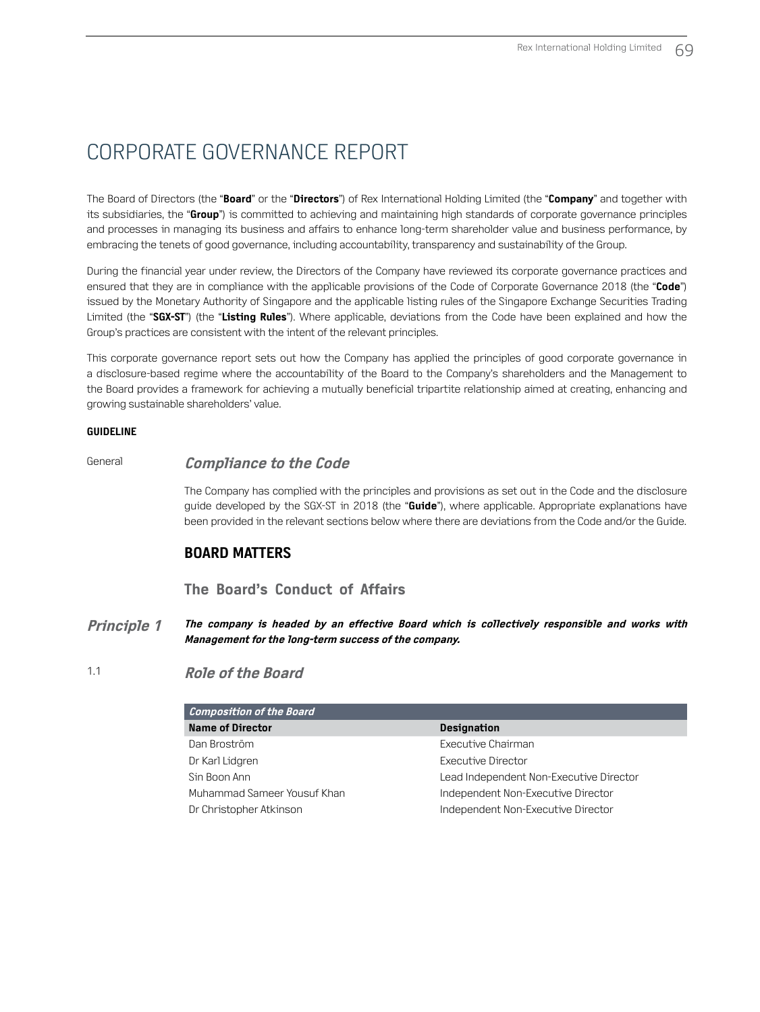The Board of Directors (the "**Board**" or the "**Directors**") of Rex International Holding Limited (the "**Company**" and together with its subsidiaries, the "**Group**") is committed to achieving and maintaining high standards of corporate governance principles and processes in managing its business and affairs to enhance long-term shareholder value and business performance, by embracing the tenets of good governance, including accountability, transparency and sustainability of the Group.

During the financial year under review, the Directors of the Company have reviewed its corporate governance practices and ensured that they are in compliance with the applicable provisions of the Code of Corporate Governance 2018 (the "**Code**") issued by the Monetary Authority of Singapore and the applicable listing rules of the Singapore Exchange Securities Trading Limited (the "**SGX‑ST**") (the "**Listing Rules**"). Where applicable, deviations from the Code have been explained and how the Group's practices are consistent with the intent of the relevant principles.

This corporate governance report sets out how the Company has applied the principles of good corporate governance in a disclosure-based regime where the accountability of the Board to the Company's shareholders and the Management to the Board provides a framework for achieving a mutually beneficial tripartite relationship aimed at creating, enhancing and growing sustainable shareholders' value.

#### **GUIDELINE**

#### General **Compliance to the Code**

The Company has complied with the principles and provisions as set out in the Code and the disclosure guide developed by the SGX-ST in 2018 (the "**Guide**"), where applicable. Appropriate explanations have been provided in the relevant sections below where there are deviations from the Code and/or the Guide.

### **BOARD MATTERS**

### **The Board's Conduct of Affairs**

- **Principle 1 The company is headed by an effective Board which is collectively responsible and works with Management for the long-term success of the company.**
- 

1.1 **Role of the Board** 

| <b>Composition of the Board</b> |                                         |
|---------------------------------|-----------------------------------------|
| <b>Name of Director</b>         | <b>Designation</b>                      |
| Dan Broström                    | Executive Chairman                      |
| Dr Karl Lidgren                 | Executive Director                      |
| Sin Boon Ann                    | Lead Independent Non-Executive Director |
| Muhammad Sameer Yousuf Khan     | Independent Non-Executive Director      |
| Dr Christopher Atkinson         | Independent Non-Executive Director      |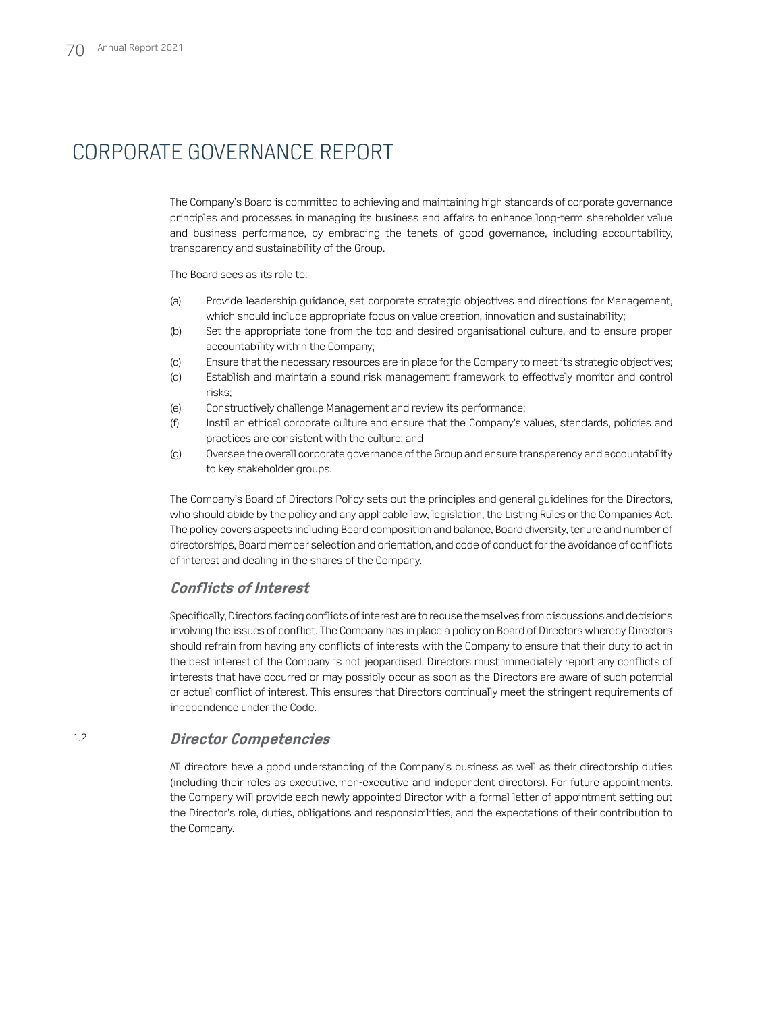The Company's Board is committed to achieving and maintaining high standards of corporate governance principles and processes in managing its business and affairs to enhance long-term shareholder value and business performance, by embracing the tenets of good governance, including accountability, transparency and sustainability of the Group.

The Board sees as its role to:

- (a) Provide leadership guidance, set corporate strategic objectives and directions for Management, which should include appropriate focus on value creation, innovation and sustainability;
- (b) Set the appropriate tone-from-the-top and desired organisational culture, and to ensure proper accountability within the Company;
- (c) Ensure that the necessary resources are in place for the Company to meet its strategic objectives;
- (d) Establish and maintain a sound risk management framework to effectively monitor and control risks;
- (e) Constructively challenge Management and review its performance;
- (f) Instil an ethical corporate culture and ensure that the Company's values, standards, policies and practices are consistent with the culture; and
- (g) Oversee the overall corporate governance of the Group and ensure transparency and accountability to key stakeholder groups.

The Company's Board of Directors Policy sets out the principles and general guidelines for the Directors, who should abide by the policy and any applicable law, legislation, the Listing Rules or the Companies Act. The policy covers aspects including Board composition and balance, Board diversity, tenure and number of directorships, Board member selection and orientation, and code of conduct for the avoidance of conflicts of interest and dealing in the shares of the Company.

### **Conflicts of Interest**

Specifically, Directors facing conflicts of interest are to recuse themselves from discussions and decisions involving the issues of conflict. The Company has in place a policy on Board of Directors whereby Directors should refrain from having any conflicts of interests with the Company to ensure that their duty to act in the best interest of the Company is not jeopardised. Directors must immediately report any conflicts of interests that have occurred or may possibly occur as soon as the Directors are aware of such potential or actual conflict of interest. This ensures that Directors continually meet the stringent requirements of independence under the Code.

### 1.2 **Director Competencies**

All directors have a good understanding of the Company's business as well as their directorship duties (including their roles as executive, non-executive and independent directors). For future appointments, the Company will provide each newly appointed Director with a formal letter of appointment setting out the Director's role, duties, obligations and responsibilities, and the expectations of their contribution to the Company.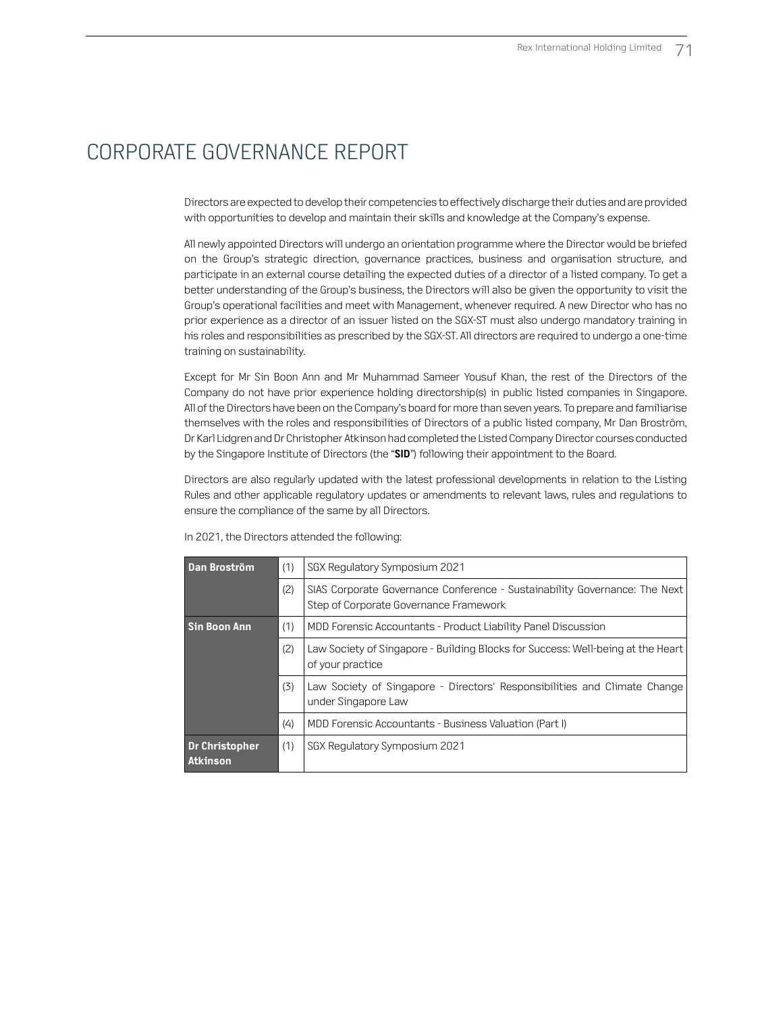Directors are expected to develop their competencies to effectively discharge their duties and are provided with opportunities to develop and maintain their skills and knowledge at the Company's expense.

All newly appointed Directors will undergo an orientation programme where the Director would be briefed on the Group's strategic direction, governance practices, business and organisation structure, and participate in an external course detailing the expected duties of a director of a listed company. To get a better understanding of the Group's business, the Directors will also be given the opportunity to visit the Group's operational facilities and meet with Management, whenever required. A new Director who has no prior experience as a director of an issuer listed on the SGX-ST must also undergo mandatory training in his roles and responsibilities as prescribed by the SGX-ST. All directors are required to undergo a one-time training on sustainability.

Except for Mr Sin Boon Ann and Mr Muhammad Sameer Yousuf Khan, the rest of the Directors of the Company do not have prior experience holding directorship(s) in public listed companies in Singapore. All of the Directors have been on the Company's board for more than seven years. To prepare and familiarise themselves with the roles and responsibilities of Directors of a public listed company, Mr Dan Broström, Dr Karl Lidgren and Dr Christopher Atkinson had completed the Listed Company Director courses conducted by the Singapore Institute of Directors (the "**SID**") following their appointment to the Board.

Directors are also regularly updated with the latest professional developments in relation to the Listing Rules and other applicable regulatory updates or amendments to relevant laws, rules and regulations to ensure the compliance of the same by all Directors.

| Dan Broström                      | (1) | SGX Regulatory Symposium 2021                                                                                        |
|-----------------------------------|-----|----------------------------------------------------------------------------------------------------------------------|
|                                   | (2) | SIAS Corporate Governance Conference - Sustainability Governance: The Next<br>Step of Corporate Governance Framework |
| <b>Sin Boon Ann</b>               | (1) | MDD Forensic Accountants - Product Liability Panel Discussion                                                        |
|                                   | (2) | Law Society of Singapore - Building Blocks for Success: Well-being at the Heart<br>of your practice                  |
|                                   | (3) | Law Society of Singapore - Directors' Responsibilities and Climate Change<br>under Singapore Law                     |
|                                   | (4) | MDD Forensic Accountants - Business Valuation (Part I)                                                               |
| Dr Christopher<br><b>Atkinson</b> | (1) | SGX Regulatory Symposium 2021                                                                                        |

In 2021, the Directors attended the following: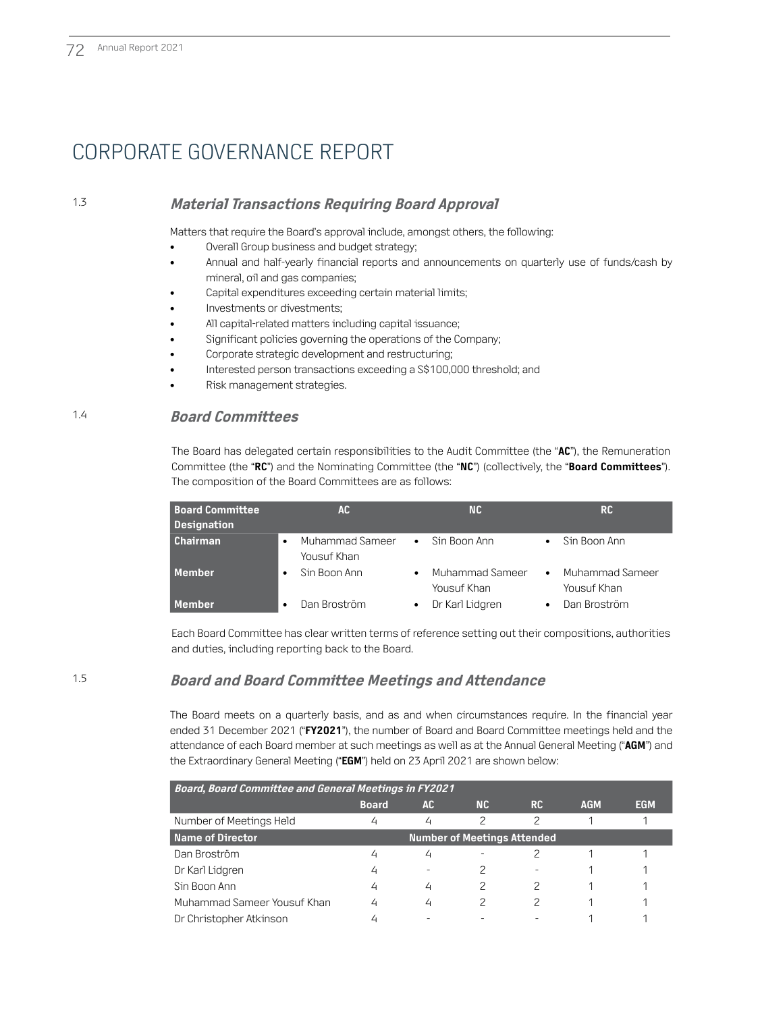### 1.3 **Material Transactions Requiring Board Approval**

Matters that require the Board's approval include, amongst others, the following:

- Overall Group business and budget strategy;
- Annual and half-yearly financial reports and announcements on quarterly use of funds/cash by mineral, oil and gas companies;
- Capital expenditures exceeding certain material limits;
- Investments or divestments;
- All capital-related matters including capital issuance;
- Significant policies governing the operations of the Company;
- Corporate strategic development and restructuring;
- Interested person transactions exceeding a S\$100,000 threshold; and
- Risk management strategies.

### 1.4 **Board Committees**

The Board has delegated certain responsibilities to the Audit Committee (the "**AC**"), the Remuneration Committee (the "**RC**") and the Nominating Committee (the "**NC**") (collectively, the "**Board Committees**"). The composition of the Board Committees are as follows:

| <b>Board Committee</b><br><b>Designation</b> | AC.                                         | <b>NC</b>                      | <b>RC</b>                                   |
|----------------------------------------------|---------------------------------------------|--------------------------------|---------------------------------------------|
| <b>Chairman</b>                              | Muhammad Sameer<br>$\bullet$<br>Yousuf Khan | Sin Boon Ann<br>$\bullet$      | Sin Boon Ann<br>$\bullet$                   |
| Member                                       | Sin Boon Ann<br>$\bullet$                   | Muhammad Sameer<br>Yousuf Khan | Muhammad Sameer<br>$\bullet$<br>Yousuf Khan |
| Member                                       | Dan Broström<br>$\bullet$                   | Dr Karl Lidgren<br>٠           | Dan Broström<br>$\bullet$                   |

Each Board Committee has clear written terms of reference setting out their compositions, authorities and duties, including reporting back to the Board.

### 1.5 **Board and Board Committee Meetings and Attendance**

The Board meets on a quarterly basis, and as and when circumstances require. In the financial year ended 31 December 2021 ("**FY2021**"), the number of Board and Board Committee meetings held and the attendance of each Board member at such meetings as well as at the Annual General Meeting ("**AGM**") and the Extraordinary General Meeting ("**EGM**") held on 23 April 2021 are shown below:

| <b>Board, Board Committee and General Meetings in FY2021</b> |                                    |           |           |           |            |            |  |  |  |
|--------------------------------------------------------------|------------------------------------|-----------|-----------|-----------|------------|------------|--|--|--|
|                                                              | <b>Board</b>                       | <b>AC</b> | <b>NC</b> | <b>RC</b> | <b>AGM</b> | <b>EGM</b> |  |  |  |
| Number of Meetings Held                                      | 4                                  | 4         | 2         | 2         |            |            |  |  |  |
| <b>Name of Director</b>                                      | <b>Number of Meetings Attended</b> |           |           |           |            |            |  |  |  |
| Dan Broström                                                 | 4                                  | 4         |           |           |            |            |  |  |  |
| Dr Karl Lidgren                                              | 4                                  |           | 2         |           |            |            |  |  |  |
| Sin Boon Ann                                                 | 4                                  | 4         | 2         | 2         |            |            |  |  |  |
| Muhammad Sameer Yousuf Khan                                  | 4                                  | 4         | 2         |           |            |            |  |  |  |
| Dr Christopher Atkinson                                      |                                    |           |           |           |            |            |  |  |  |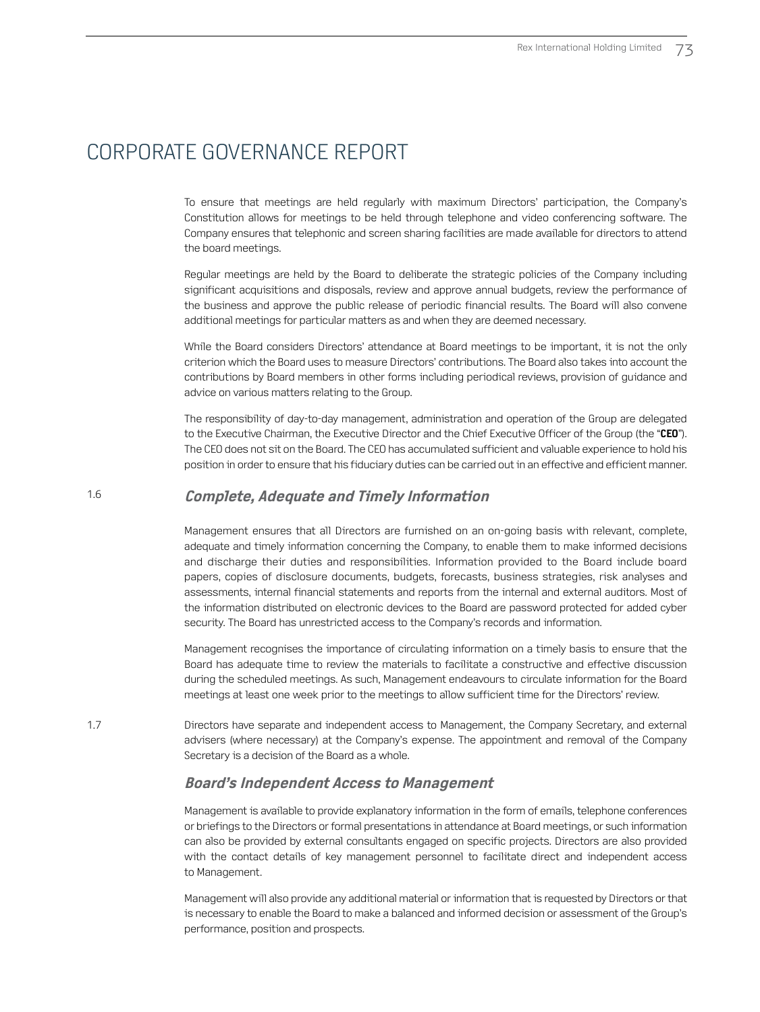To ensure that meetings are held regularly with maximum Directors' participation, the Company's Constitution allows for meetings to be held through telephone and video conferencing software. The Company ensures that telephonic and screen sharing facilities are made available for directors to attend the board meetings.

Regular meetings are held by the Board to deliberate the strategic policies of the Company including significant acquisitions and disposals, review and approve annual budgets, review the performance of the business and approve the public release of periodic financial results. The Board will also convene additional meetings for particular matters as and when they are deemed necessary.

While the Board considers Directors' attendance at Board meetings to be important, it is not the only criterion which the Board uses to measure Directors' contributions. The Board also takes into account the contributions by Board members in other forms including periodical reviews, provision of guidance and advice on various matters relating to the Group.

The responsibility of day-to-day management, administration and operation of the Group are delegated to the Executive Chairman, the Executive Director and the Chief Executive Officer of the Group (the "**CEO**"). The CEO does not sit on the Board. The CEO has accumulated sufficient and valuable experience to hold his position in order to ensure that his fiduciary duties can be carried out in an effective and efficient manner.

#### 1.6 **Complete, Adequate and Timely Information**

Management ensures that all Directors are furnished on an on-going basis with relevant, complete, adequate and timely information concerning the Company, to enable them to make informed decisions and discharge their duties and responsibilities. Information provided to the Board include board papers, copies of disclosure documents, budgets, forecasts, business strategies, risk analyses and assessments, internal financial statements and reports from the internal and external auditors. Most of the information distributed on electronic devices to the Board are password protected for added cyber security. The Board has unrestricted access to the Company's records and information.

Management recognises the importance of circulating information on a timely basis to ensure that the Board has adequate time to review the materials to facilitate a constructive and effective discussion during the scheduled meetings. As such, Management endeavours to circulate information for the Board meetings at least one week prior to the meetings to allow sufficient time for the Directors' review.

1.7 Directors have separate and independent access to Management, the Company Secretary, and external advisers (where necessary) at the Company's expense. The appointment and removal of the Company Secretary is a decision of the Board as a whole.

### **Board's Independent Access to Management**

Management is available to provide explanatory information in the form of emails, telephone conferences or briefings to the Directors or formal presentations in attendance at Board meetings, or such information can also be provided by external consultants engaged on specific projects. Directors are also provided with the contact details of key management personnel to facilitate direct and independent access to Management.

Management will also provide any additional material or information that is requested by Directors or that is necessary to enable the Board to make a balanced and informed decision or assessment of the Group's performance, position and prospects.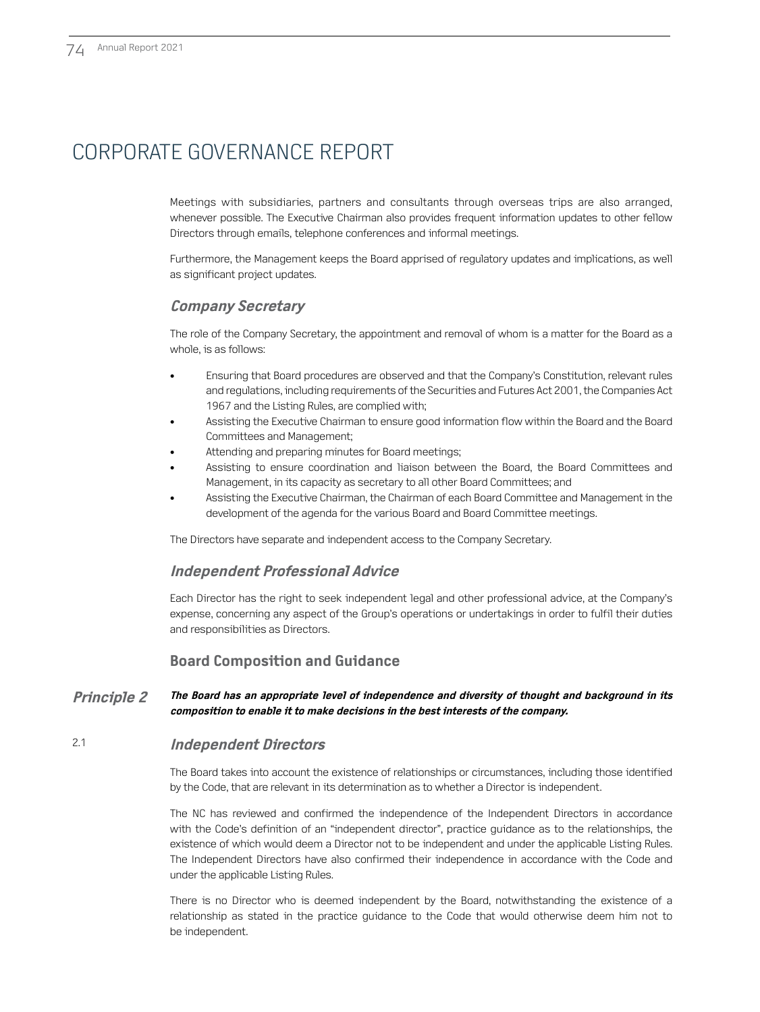Meetings with subsidiaries, partners and consultants through overseas trips are also arranged, whenever possible. The Executive Chairman also provides frequent information updates to other fellow Directors through emails, telephone conferences and informal meetings.

Furthermore, the Management keeps the Board apprised of regulatory updates and implications, as well as significant project updates.

### **Company Secretary**

The role of the Company Secretary, the appointment and removal of whom is a matter for the Board as a whole, is as follows:

- Ensuring that Board procedures are observed and that the Company's Constitution, relevant rules and regulations, including requirements of the Securities and Futures Act 2001, the Companies Act 1967 and the Listing Rules, are complied with;
- Assisting the Executive Chairman to ensure good information flow within the Board and the Board Committees and Management;
- Attending and preparing minutes for Board meetings;
- Assisting to ensure coordination and liaison between the Board, the Board Committees and Management, in its capacity as secretary to all other Board Committees; and
- Assisting the Executive Chairman, the Chairman of each Board Committee and Management in the development of the agenda for the various Board and Board Committee meetings.

The Directors have separate and independent access to the Company Secretary.

### **Independent Professional Advice**

Each Director has the right to seek independent legal and other professional advice, at the Company's expense, concerning any aspect of the Group's operations or undertakings in order to fulfil their duties and responsibilities as Directors.

### **Board Composition and Guidance**

#### **Principle 2 The Board has an appropriate level of independence and diversity of thought and background in its composition to enable it to make decisions in the best interests of the company.**

### 2.1 **Independent Directors**

The Board takes into account the existence of relationships or circumstances, including those identified by the Code, that are relevant in its determination as to whether a Director is independent.

The NC has reviewed and confirmed the independence of the Independent Directors in accordance with the Code's definition of an "independent director", practice guidance as to the relationships, the existence of which would deem a Director not to be independent and under the applicable Listing Rules. The Independent Directors have also confirmed their independence in accordance with the Code and under the applicable Listing Rules.

There is no Director who is deemed independent by the Board, notwithstanding the existence of a relationship as stated in the practice guidance to the Code that would otherwise deem him not to be independent.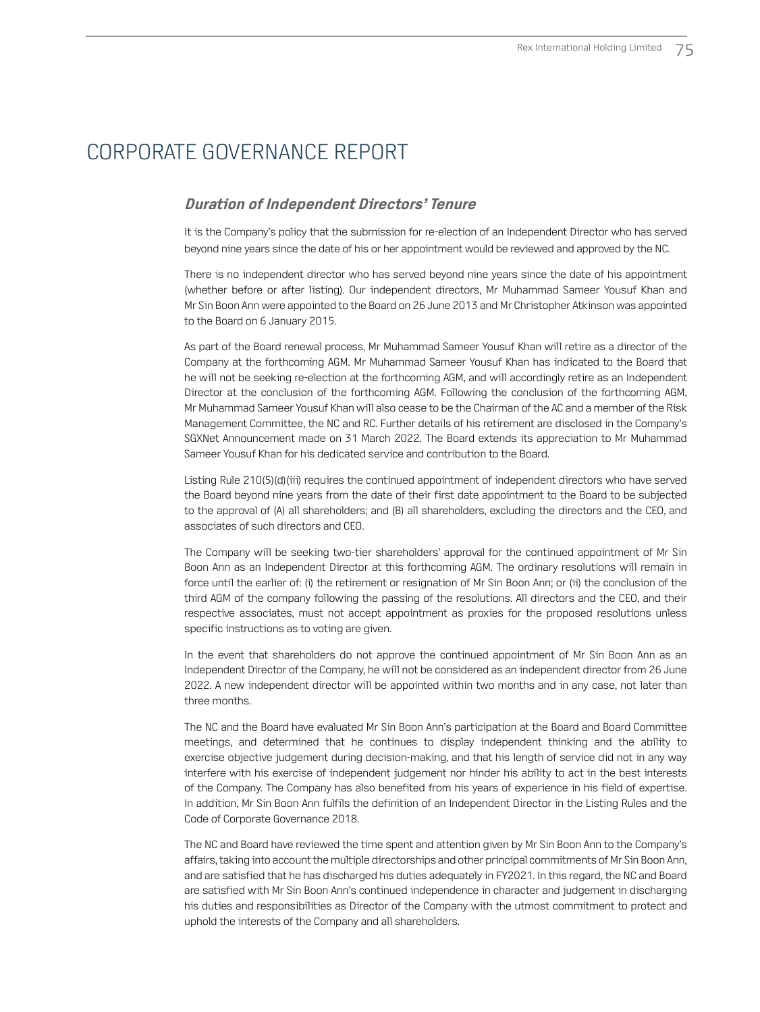### **Duration of Independent Directors' Tenure**

It is the Company's policy that the submission for re-election of an Independent Director who has served beyond nine years since the date of his or her appointment would be reviewed and approved by the NC.

There is no independent director who has served beyond nine years since the date of his appointment (whether before or after listing). Our independent directors, Mr Muhammad Sameer Yousuf Khan and Mr Sin Boon Ann were appointed to the Board on 26 June 2013 and Mr Christopher Atkinson was appointed to the Board on 6 January 2015.

As part of the Board renewal process, Mr Muhammad Sameer Yousuf Khan will retire as a director of the Company at the forthcoming AGM. Mr Muhammad Sameer Yousuf Khan has indicated to the Board that he will not be seeking re-election at the forthcoming AGM, and will accordingly retire as an Independent Director at the conclusion of the forthcoming AGM. Following the conclusion of the forthcoming AGM, Mr Muhammad Sameer Yousuf Khan will also cease to be the Chairman of the AC and a member of the Risk Management Committee, the NC and RC. Further details of his retirement are disclosed in the Company's SGXNet Announcement made on 31 March 2022. The Board extends its appreciation to Mr Muhammad Sameer Yousuf Khan for his dedicated service and contribution to the Board.

Listing Rule 210(5)(d)(iii) requires the continued appointment of independent directors who have served the Board beyond nine years from the date of their first date appointment to the Board to be subjected to the approval of (A) all shareholders; and (B) all shareholders, excluding the directors and the CEO, and associates of such directors and CEO.

The Company will be seeking two-tier shareholders' approval for the continued appointment of Mr Sin Boon Ann as an Independent Director at this forthcoming AGM. The ordinary resolutions will remain in force until the earlier of: (i) the retirement or resignation of Mr Sin Boon Ann; or (ii) the conclusion of the third AGM of the company following the passing of the resolutions. All directors and the CEO, and their respective associates, must not accept appointment as proxies for the proposed resolutions unless specific instructions as to voting are given.

In the event that shareholders do not approve the continued appointment of Mr Sin Boon Ann as an Independent Director of the Company, he will not be considered as an independent director from 26 June 2022. A new independent director will be appointed within two months and in any case, not later than three months.

The NC and the Board have evaluated Mr Sin Boon Ann's participation at the Board and Board Committee meetings, and determined that he continues to display independent thinking and the ability to exercise objective judgement during decision-making, and that his length of service did not in any way interfere with his exercise of independent judgement nor hinder his ability to act in the best interests of the Company. The Company has also benefited from his years of experience in his field of expertise. In addition, Mr Sin Boon Ann fulfils the definition of an Independent Director in the Listing Rules and the Code of Corporate Governance 2018.

The NC and Board have reviewed the time spent and attention given by Mr Sin Boon Ann to the Company's affairs, taking into account the multiple directorships and other principal commitments of Mr Sin Boon Ann, and are satisfied that he has discharged his duties adequately in FY2021. In this regard, the NC and Board are satisfied with Mr Sin Boon Ann's continued independence in character and judgement in discharging his duties and responsibilities as Director of the Company with the utmost commitment to protect and uphold the interests of the Company and all shareholders.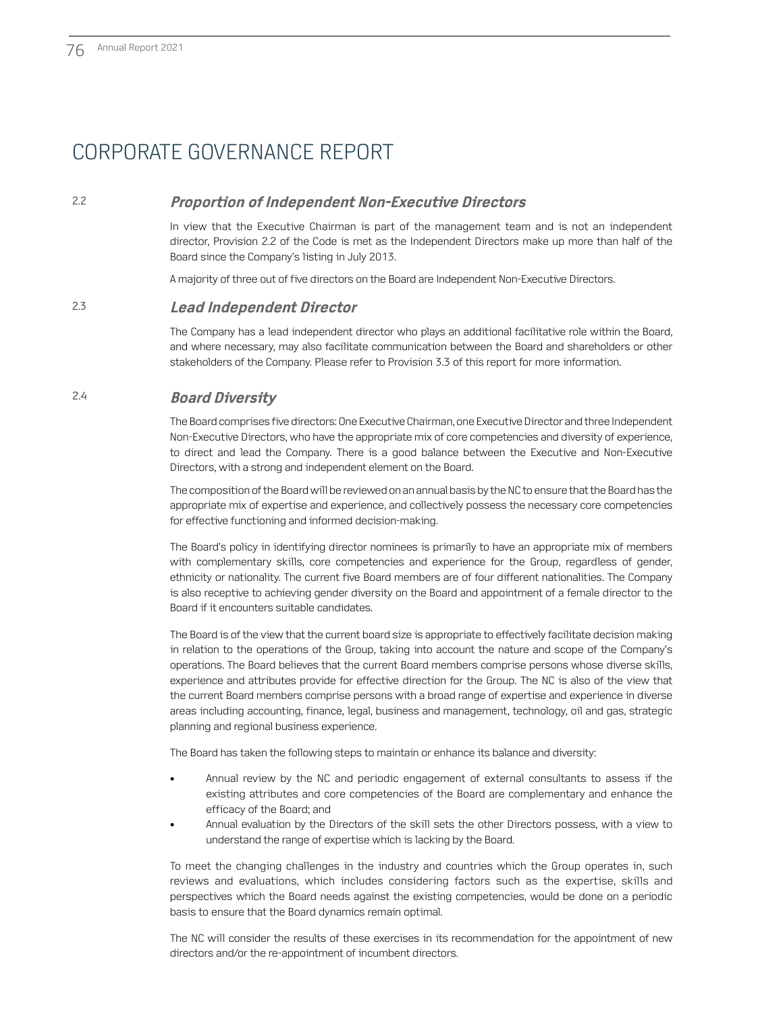### 2.2 **Proportion of Independent Non-Executive Directors**

In view that the Executive Chairman is part of the management team and is not an independent director, Provision 2.2 of the Code is met as the Independent Directors make up more than half of the Board since the Company's listing in July 2013.

A majority of three out of five directors on the Board are Independent Non-Executive Directors.

### 2.3 **Lead Independent Director**

The Company has a lead independent director who plays an additional facilitative role within the Board, and where necessary, may also facilitate communication between the Board and shareholders or other stakeholders of the Company. Please refer to Provision 3.3 of this report for more information.

### 2.4 **Board Diversity**

The Board comprises five directors: One Executive Chairman, one Executive Director and three Independent Non-Executive Directors, who have the appropriate mix of core competencies and diversity of experience, to direct and lead the Company. There is a good balance between the Executive and Non-Executive Directors, with a strong and independent element on the Board.

The composition of the Board will be reviewed on an annual basis by the NC to ensure that the Board has the appropriate mix of expertise and experience, and collectively possess the necessary core competencies for effective functioning and informed decision-making.

The Board's policy in identifying director nominees is primarily to have an appropriate mix of members with complementary skills, core competencies and experience for the Group, regardless of gender, ethnicity or nationality. The current five Board members are of four different nationalities. The Company is also receptive to achieving gender diversity on the Board and appointment of a female director to the Board if it encounters suitable candidates.

The Board is of the view that the current board size is appropriate to effectively facilitate decision making in relation to the operations of the Group, taking into account the nature and scope of the Company's operations. The Board believes that the current Board members comprise persons whose diverse skills, experience and attributes provide for effective direction for the Group. The NC is also of the view that the current Board members comprise persons with a broad range of expertise and experience in diverse areas including accounting, finance, legal, business and management, technology, oil and gas, strategic planning and regional business experience.

The Board has taken the following steps to maintain or enhance its balance and diversity:

- Annual review by the NC and periodic engagement of external consultants to assess if the existing attributes and core competencies of the Board are complementary and enhance the efficacy of the Board; and
- Annual evaluation by the Directors of the skill sets the other Directors possess, with a view to understand the range of expertise which is lacking by the Board.

To meet the changing challenges in the industry and countries which the Group operates in, such reviews and evaluations, which includes considering factors such as the expertise, skills and perspectives which the Board needs against the existing competencies, would be done on a periodic basis to ensure that the Board dynamics remain optimal.

The NC will consider the results of these exercises in its recommendation for the appointment of new directors and/or the re-appointment of incumbent directors.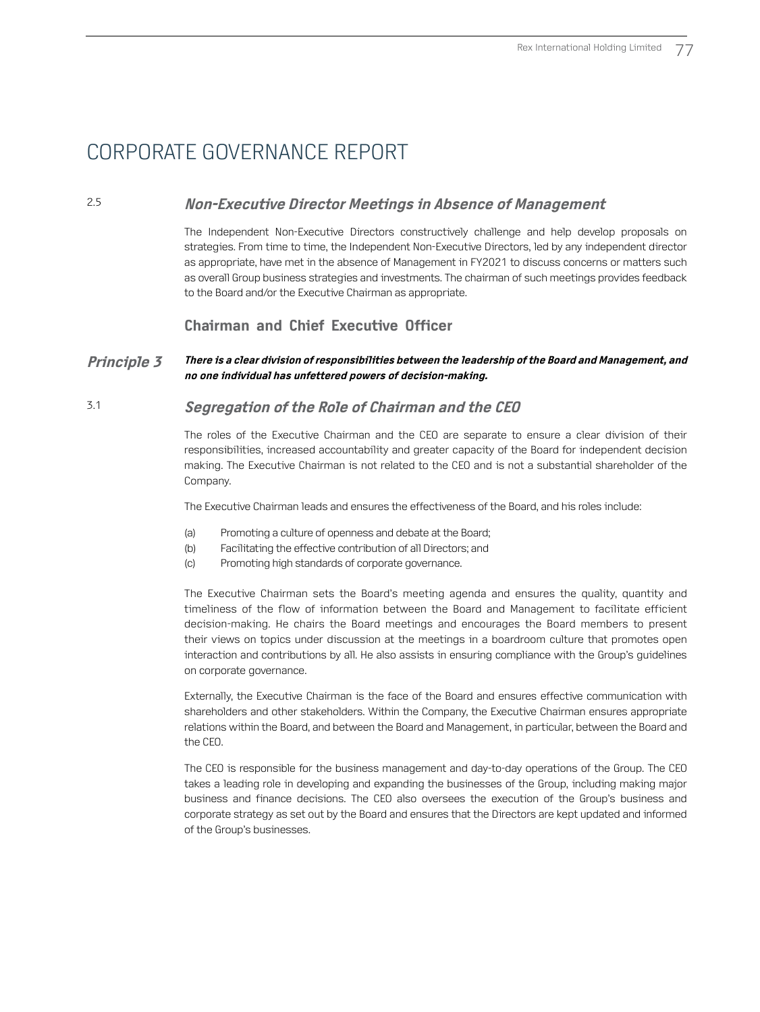### 2.5 **Non-Executive Director Meetings in Absence of Management**

The Independent Non-Executive Directors constructively challenge and help develop proposals on strategies. From time to time, the Independent Non-Executive Directors, led by any independent director as appropriate, have met in the absence of Management in FY2021 to discuss concerns or matters such as overall Group business strategies and investments. The chairman of such meetings provides feedback to the Board and/or the Executive Chairman as appropriate.

### **Chairman and Chief Executive Officer**

#### **Principle 3 There is a clear division of responsibilities between the leadership of the Board and Management, and no one individual has unfettered powers of decision-making.**

### 3.1 **Segregation of the Role of Chairman and the CEO**

The roles of the Executive Chairman and the CEO are separate to ensure a clear division of their responsibilities, increased accountability and greater capacity of the Board for independent decision making. The Executive Chairman is not related to the CEO and is not a substantial shareholder of the Company.

The Executive Chairman leads and ensures the effectiveness of the Board, and his roles include:

- (a) Promoting a culture of openness and debate at the Board;
- (b) Facilitating the effective contribution of all Directors; and
- (c) Promoting high standards of corporate governance.

The Executive Chairman sets the Board's meeting agenda and ensures the quality, quantity and timeliness of the flow of information between the Board and Management to facilitate efficient decision-making. He chairs the Board meetings and encourages the Board members to present their views on topics under discussion at the meetings in a boardroom culture that promotes open interaction and contributions by all. He also assists in ensuring compliance with the Group's guidelines on corporate governance.

Externally, the Executive Chairman is the face of the Board and ensures effective communication with shareholders and other stakeholders. Within the Company, the Executive Chairman ensures appropriate relations within the Board, and between the Board and Management, in particular, between the Board and the CEO.

The CEO is responsible for the business management and day-to-day operations of the Group. The CEO takes a leading role in developing and expanding the businesses of the Group, including making major business and finance decisions. The CEO also oversees the execution of the Group's business and corporate strategy as set out by the Board and ensures that the Directors are kept updated and informed of the Group's businesses.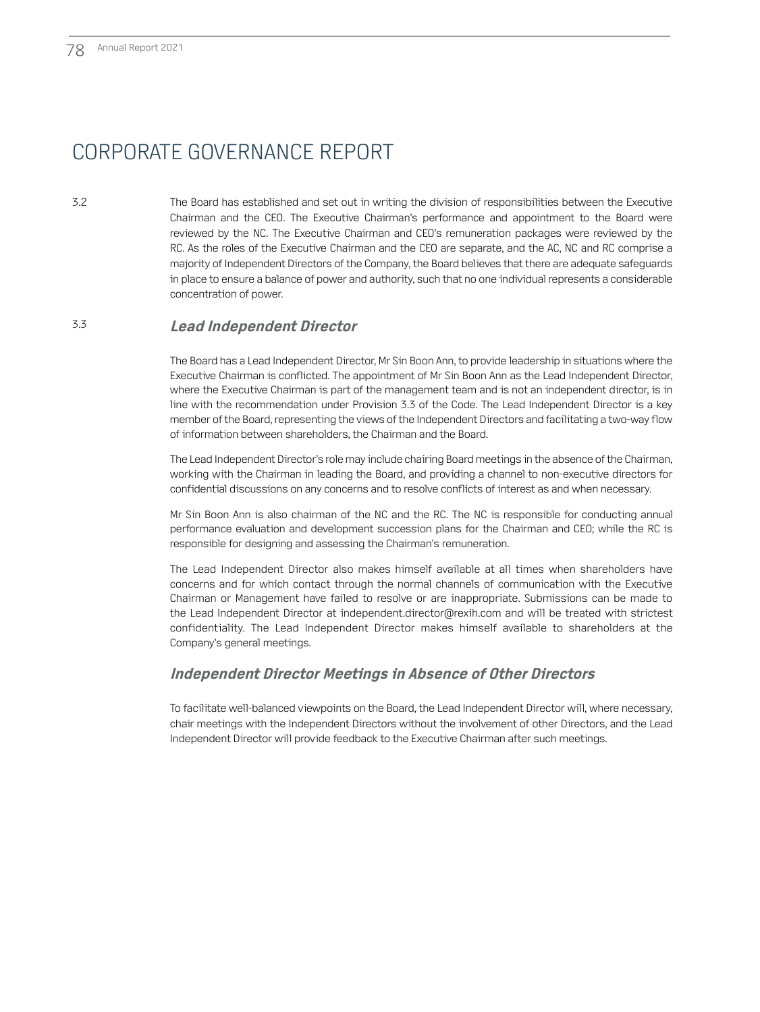3.2 The Board has established and set out in writing the division of responsibilities between the Executive Chairman and the CEO. The Executive Chairman's performance and appointment to the Board were reviewed by the NC. The Executive Chairman and CEO's remuneration packages were reviewed by the RC. As the roles of the Executive Chairman and the CEO are separate, and the AC, NC and RC comprise a majority of Independent Directors of the Company, the Board believes that there are adequate safeguards in place to ensure a balance of power and authority, such that no one individual represents a considerable concentration of power.

### 3.3 **Lead Independent Director**

The Board has a Lead Independent Director, Mr Sin Boon Ann, to provide leadership in situations where the Executive Chairman is conflicted. The appointment of Mr Sin Boon Ann as the Lead Independent Director, where the Executive Chairman is part of the management team and is not an independent director, is in line with the recommendation under Provision 3.3 of the Code. The Lead Independent Director is a key member of the Board, representing the views of the Independent Directors and facilitating a two-way flow of information between shareholders, the Chairman and the Board.

The Lead Independent Director's role may include chairing Board meetings in the absence of the Chairman, working with the Chairman in leading the Board, and providing a channel to non-executive directors for confidential discussions on any concerns and to resolve conflicts of interest as and when necessary.

Mr Sin Boon Ann is also chairman of the NC and the RC. The NC is responsible for conducting annual performance evaluation and development succession plans for the Chairman and CEO; while the RC is responsible for designing and assessing the Chairman's remuneration.

The Lead Independent Director also makes himself available at all times when shareholders have concerns and for which contact through the normal channels of communication with the Executive Chairman or Management have failed to resolve or are inappropriate. Submissions can be made to the Lead Independent Director at independent.director@rexih.com and will be treated with strictest confidentiality. The Lead Independent Director makes himself available to shareholders at the Company's general meetings.

### **Independent Director Meetings in Absence of Other Directors**

To facilitate well-balanced viewpoints on the Board, the Lead Independent Director will, where necessary, chair meetings with the Independent Directors without the involvement of other Directors, and the Lead Independent Director will provide feedback to the Executive Chairman after such meetings.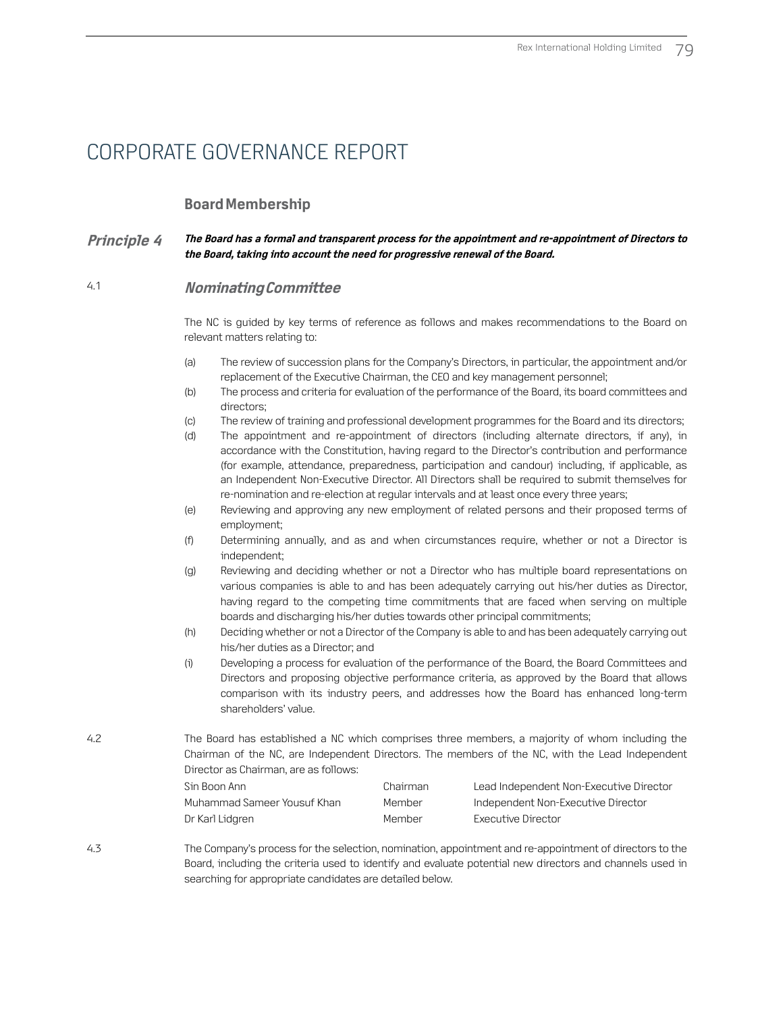### **Board Membership**

#### **Principle 4 The Board has a formal and transparent process for the appointment and re-appointment of Directors to the Board, taking into account the need for progressive renewal of the Board.**

### 4.1 **Nominating Committee**

The NC is guided by key terms of reference as follows and makes recommendations to the Board on relevant matters relating to:

- (a) The review of succession plans for the Company's Directors, in particular, the appointment and/or replacement of the Executive Chairman, the CEO and key management personnel;
- (b) The process and criteria for evaluation of the performance of the Board, its board committees and directors;
- (c) The review of training and professional development programmes for the Board and its directors;
- (d) The appointment and re-appointment of directors (including alternate directors, if any), in accordance with the Constitution, having regard to the Director's contribution and performance (for example, attendance, preparedness, participation and candour) including, if applicable, as an Independent Non-Executive Director. All Directors shall be required to submit themselves for re-nomination and re-election at regular intervals and at least once every three years;
- (e) Reviewing and approving any new employment of related persons and their proposed terms of employment;
- (f) Determining annually, and as and when circumstances require, whether or not a Director is independent;
- (g) Reviewing and deciding whether or not a Director who has multiple board representations on various companies is able to and has been adequately carrying out his/her duties as Director, having regard to the competing time commitments that are faced when serving on multiple boards and discharging his/her duties towards other principal commitments;
- (h) Deciding whether or not a Director of the Company is able to and has been adequately carrying out his/her duties as a Director; and
- (i) Developing a process for evaluation of the performance of the Board, the Board Committees and Directors and proposing objective performance criteria, as approved by the Board that allows comparison with its industry peers, and addresses how the Board has enhanced long-term shareholders' value.
- 4.2 The Board has established a NC which comprises three members, a majority of whom including the Chairman of the NC, are Independent Directors. The members of the NC, with the Lead Independent Director as Chairman, are as follows:

| -Sin Boon Ann               | Chairman | Lead Independent Non-Executive Director |
|-----------------------------|----------|-----------------------------------------|
| Muhammad Sameer Yousuf Khan | Member   | Independent Non-Executive Director      |
| Dr Karl Lidgren             | Member   | Executive Director                      |

4.3 The Company's process for the selection, nomination, appointment and re-appointment of directors to the Board, including the criteria used to identify and evaluate potential new directors and channels used in searching for appropriate candidates are detailed below.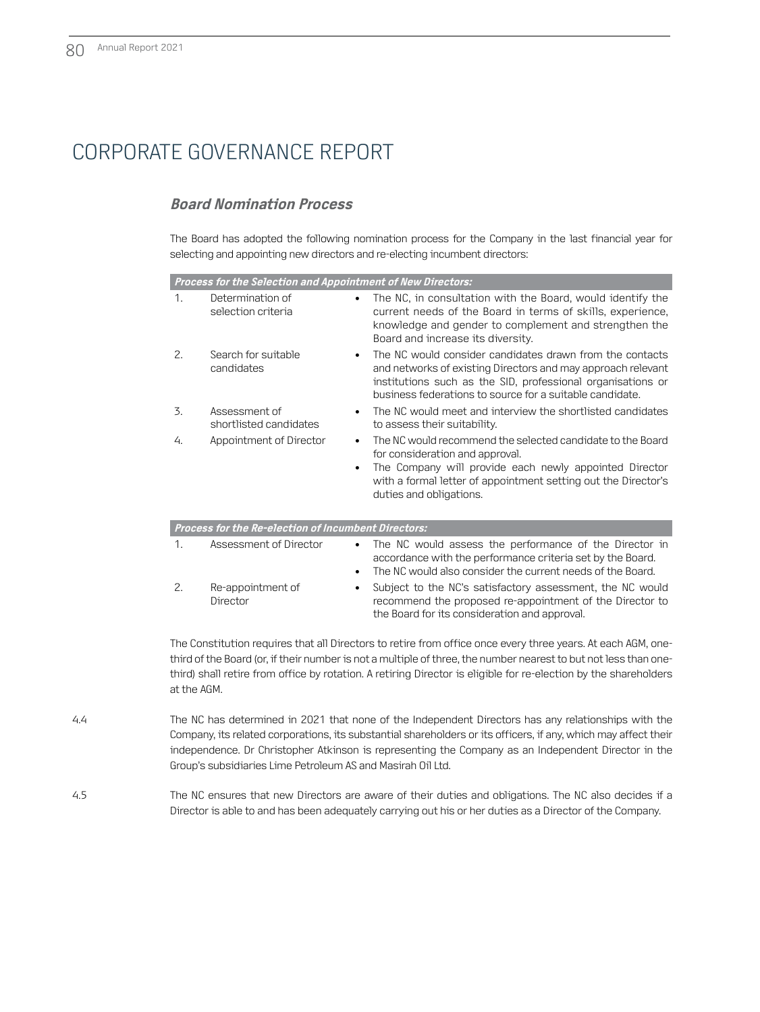### **Board Nomination Process**

The Board has adopted the following nomination process for the Company in the last financial year for selecting and appointing new directors and re-electing incumbent directors:

|                | Process for the Selection and Appointment of New Directors: |                                                                                                                                                                                                                                                      |
|----------------|-------------------------------------------------------------|------------------------------------------------------------------------------------------------------------------------------------------------------------------------------------------------------------------------------------------------------|
| 1.             | Determination of<br>$\bullet$<br>selection criteria         | The NC, in consultation with the Board, would identify the<br>current needs of the Board in terms of skills, experience,<br>knowledge and gender to complement and strengthen the<br>Board and increase its diversity.                               |
| 2.             | Search for suitable<br>$\bullet$<br>candidates              | The NC would consider candidates drawn from the contacts<br>and networks of existing Directors and may approach relevant<br>institutions such as the SID, professional organisations or<br>business federations to source for a suitable candidate.  |
| 3.             | Assessment of<br>$\bullet$<br>shortlisted candidates        | The NC would meet and interview the shortlisted candidates<br>to assess their suitability.                                                                                                                                                           |
| 4.             | Appointment of Director<br>$\bullet$<br>$\bullet$           | The NC would recommend the selected candidate to the Board<br>for consideration and approval.<br>The Company will provide each newly appointed Director<br>with a formal letter of appointment setting out the Director's<br>duties and obligations. |
|                | Process for the Re-election of Incumbent Directors:         |                                                                                                                                                                                                                                                      |
| $\mathbf{1}$ . | Assessment of Director<br>$\bullet$<br>$\bullet$            | The NC would assess the performance of the Director in<br>accordance with the performance criteria set by the Board.<br>The NC would also consider the current needs of the Board.                                                                   |
| 2.             | Re-appointment of<br>٠<br>Director                          | Subject to the NC's satisfactory assessment, the NC would<br>recommend the proposed re-appointment of the Director to<br>the Board for its consideration and approval.                                                                               |

The Constitution requires that all Directors to retire from office once every three years. At each AGM, onethird of the Board (or, if their number is not a multiple of three, the number nearest to but not less than onethird) shall retire from office by rotation. A retiring Director is eligible for re-election by the shareholders at the AGM.

- 4.4 The NC has determined in 2021 that none of the Independent Directors has any relationships with the Company, its related corporations, its substantial shareholders or its officers, if any, which may affect their independence. Dr Christopher Atkinson is representing the Company as an Independent Director in the Group's subsidiaries Lime Petroleum AS and Masirah Oil Ltd.
- 4.5 The NC ensures that new Directors are aware of their duties and obligations. The NC also decides if a Director is able to and has been adequately carrying out his or her duties as a Director of the Company.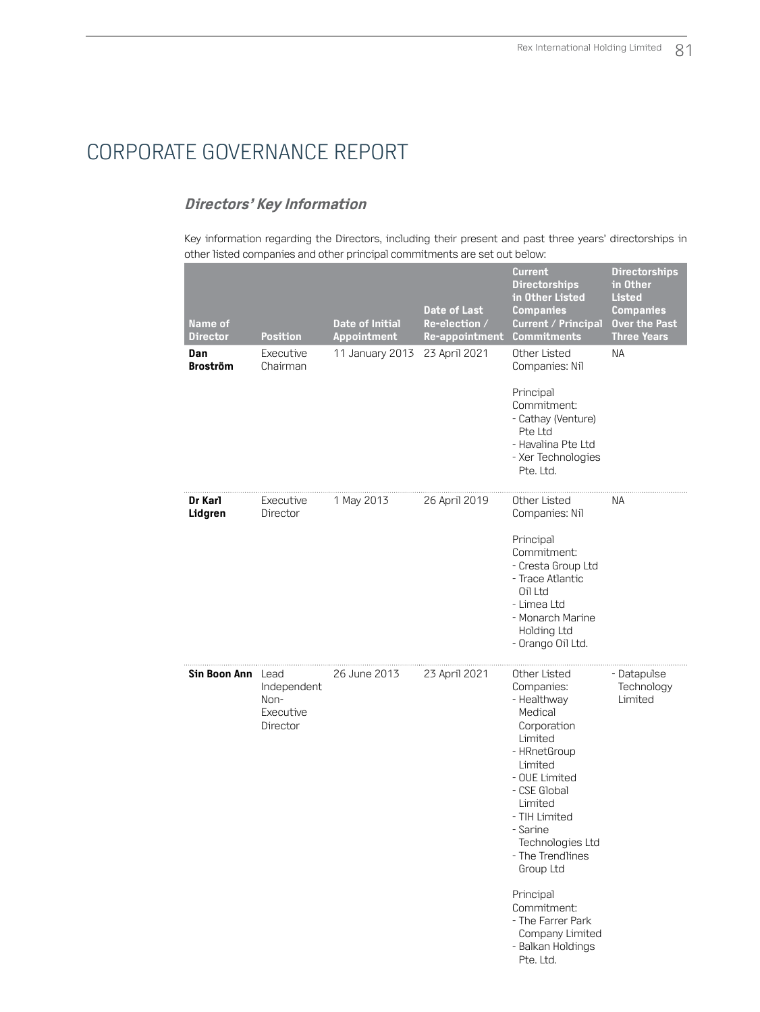### **Directors' Key Information**

Key information regarding the Directors, including their present and past three years' directorships in other listed companies and other principal commitments are set out below:

| Name of<br><b>Director</b><br>Dan<br><b>Broström</b> | Position<br>Executive<br>Chairman            | <b>Date of Initial</b><br>Appointment<br>11 January 2013 | Date of Last<br>Re-election /<br>Re-appointment<br>23 April 2021 | Current<br><b>Directorships</b><br>in Other Listed<br><b>Companies</b><br>Current / Principal<br><b>Commitments</b><br>Other Listed<br>Companies: Nil<br>Principal<br>Commitment:<br>- Cathay (Venture)<br>Pte Ltd<br>- Havalina Pte Ltd<br>- Xer Technologies<br>Pte. Ltd.                                                                   | <b>Directorships</b><br>in Other<br><b>Listed</b><br><b>Companies</b><br><b>Over the Past</b><br><b>Three Years</b><br><b>NA</b> |
|------------------------------------------------------|----------------------------------------------|----------------------------------------------------------|------------------------------------------------------------------|-----------------------------------------------------------------------------------------------------------------------------------------------------------------------------------------------------------------------------------------------------------------------------------------------------------------------------------------------|----------------------------------------------------------------------------------------------------------------------------------|
| Dr Karl<br>Lidgren                                   | Executive<br>Director                        | 1 May 2013                                               | 26 April 2019                                                    | Other Listed<br>Companies: Nil<br>Principal<br>Commitment:<br>- Cresta Group Ltd<br>- Trace Atlantic<br>Oil Ltd<br>- Limea Ltd<br>- Monarch Marine<br>Holding Ltd<br>- Orango Oil Ltd.                                                                                                                                                        | ΝA                                                                                                                               |
| Sin Boon Ann Lead                                    | Independent<br>Non-<br>Executive<br>Director | 26 June 2013                                             | 23 April 2021                                                    | Other Listed<br>Companies:<br>- Healthway<br>Medical<br>Corporation<br>Limited<br>- HRnetGroup<br>Limited<br>- OUE Limited<br>- CSE Global<br>Limited<br>- TIH Limited<br>- Sarine<br>Technologies Ltd<br>- The Trendlines<br>Group Ltd<br>Principal<br>Commitment:<br>- The Farrer Park<br>Company Limited<br>- Balkan Holdings<br>Pte. Ltd. | - Datapulse<br>Technology<br>Limited                                                                                             |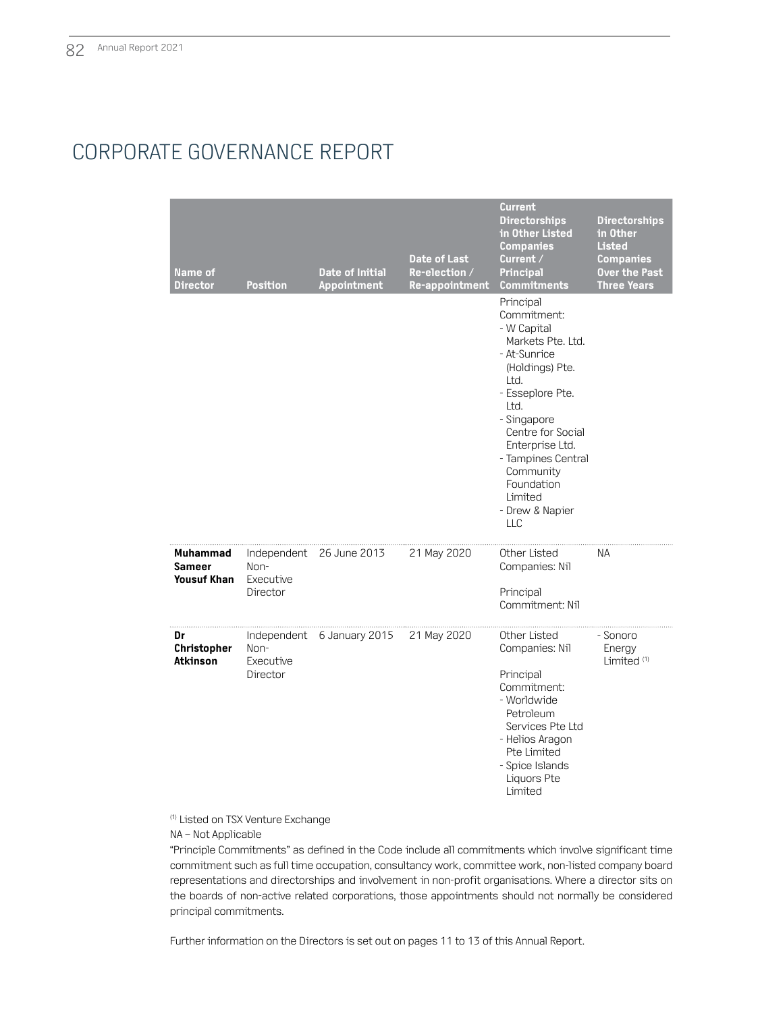| Name of<br><b>Director</b>                      | <b>Position</b>               | <b>Date of Initial</b><br>Appointment | <b>Date of Last</b><br>Re-election /<br>Re-appointment | <b>Current</b><br><b>Directorships</b><br>in Other Listed<br><b>Companies</b><br>Current /<br><b>Principal</b><br><b>Commitments</b>                                                                                                                                                    | <b>Directorships</b><br>in Other<br><b>Listed</b><br><b>Companies</b><br><b>Over the Past</b><br><b>Three Years</b> |
|-------------------------------------------------|-------------------------------|---------------------------------------|--------------------------------------------------------|-----------------------------------------------------------------------------------------------------------------------------------------------------------------------------------------------------------------------------------------------------------------------------------------|---------------------------------------------------------------------------------------------------------------------|
|                                                 |                               |                                       |                                                        | Principal<br>Commitment:<br>- W Capital<br>Markets Pte. Ltd.<br>- At-Sunrice<br>(Holdings) Pte.<br>Ltd.<br>- Esseplore Pte.<br>Ltd.<br>- Singapore<br>Centre for Social<br>Enterprise Ltd.<br>- Tampines Central<br>Community<br>Foundation<br>Limited<br>- Drew & Napier<br><b>LLC</b> |                                                                                                                     |
| Muhammad<br><b>Sameer</b><br><b>Yousuf Khan</b> | Non-<br>Executive<br>Director | Independent 26 June 2013              | 21 May 2020                                            | Other Listed<br>Companies: Nil<br>Principal<br>Commitment: Nil                                                                                                                                                                                                                          | ΝA                                                                                                                  |
| Dr<br>Christopher<br>Atkinson                   | Non-<br>Executive<br>Director | Independent 6 January 2015            | 21 May 2020                                            | Other Listed<br>Companies: Nil<br>Principal<br>Commitment:<br>- Worldwide<br>Petroleum<br>Services Pte Ltd<br>- Helios Aragon<br>Pte Limited<br>- Spice Islands<br>Liquors Pte<br>Limited                                                                                               | - Sonoro<br>Energy<br>Limited <sup>(1)</sup>                                                                        |

(1) Listed on TSX Venture Exchange

NA – Not Applicable

"Principle Commitments" as defined in the Code include all commitments which involve significant time commitment such as full time occupation, consultancy work, committee work, non-listed company board representations and directorships and involvement in non-profit organisations. Where a director sits on the boards of non-active related corporations, those appointments should not normally be considered principal commitments.

Further information on the Directors is set out on pages 11 to 13 of this Annual Report.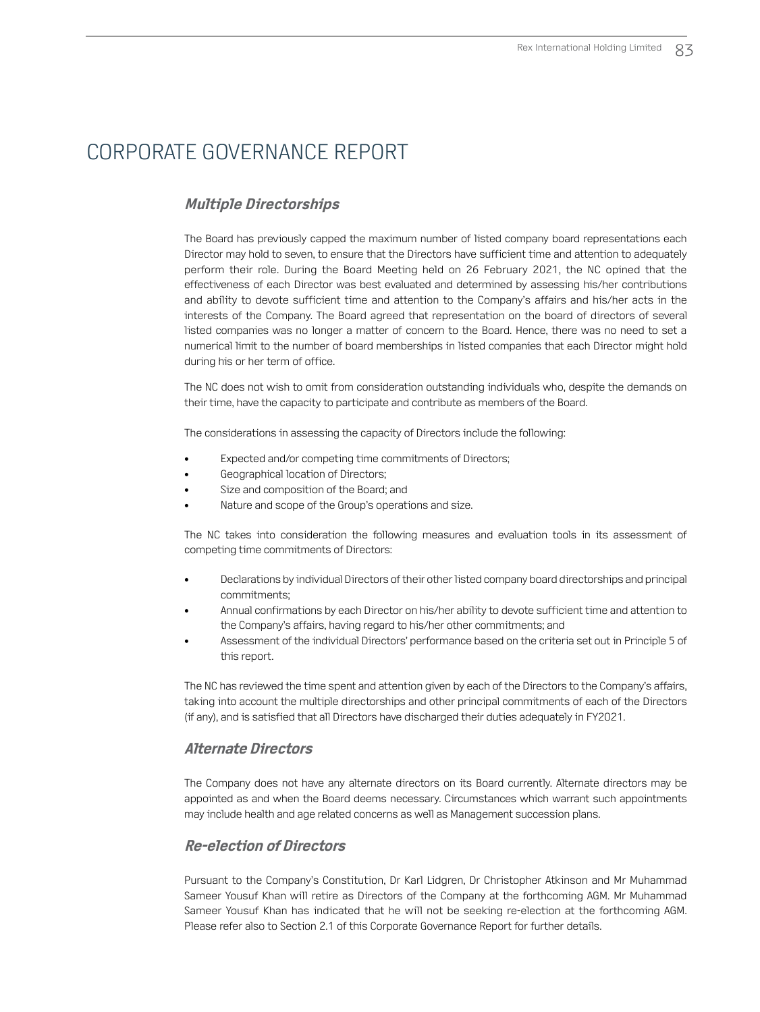### **Multiple Directorships**

The Board has previously capped the maximum number of listed company board representations each Director may hold to seven, to ensure that the Directors have sufficient time and attention to adequately perform their role. During the Board Meeting held on 26 February 2021, the NC opined that the effectiveness of each Director was best evaluated and determined by assessing his/her contributions and ability to devote sufficient time and attention to the Company's affairs and his/her acts in the interests of the Company. The Board agreed that representation on the board of directors of several listed companies was no longer a matter of concern to the Board. Hence, there was no need to set a numerical limit to the number of board memberships in listed companies that each Director might hold during his or her term of office.

The NC does not wish to omit from consideration outstanding individuals who, despite the demands on their time, have the capacity to participate and contribute as members of the Board.

The considerations in assessing the capacity of Directors include the following:

- Expected and/or competing time commitments of Directors;
- Geographical location of Directors;
- Size and composition of the Board; and
- Nature and scope of the Group's operations and size.

The NC takes into consideration the following measures and evaluation tools in its assessment of competing time commitments of Directors:

- Declarations by individual Directors of their other listed company board directorships and principal commitments;
- Annual confirmations by each Director on his/her ability to devote sufficient time and attention to the Company's affairs, having regard to his/her other commitments; and
- Assessment of the individual Directors' performance based on the criteria set out in Principle 5 of this report.

The NC has reviewed the time spent and attention given by each of the Directors to the Company's affairs, taking into account the multiple directorships and other principal commitments of each of the Directors (if any), and is satisfied that all Directors have discharged their duties adequately in FY2021.

### **Alternate Directors**

The Company does not have any alternate directors on its Board currently. Alternate directors may be appointed as and when the Board deems necessary. Circumstances which warrant such appointments may include health and age related concerns as well as Management succession plans.

### **Re-election of Directors**

Pursuant to the Company's Constitution, Dr Karl Lidgren, Dr Christopher Atkinson and Mr Muhammad Sameer Yousuf Khan will retire as Directors of the Company at the forthcoming AGM. Mr Muhammad Sameer Yousuf Khan has indicated that he will not be seeking re-election at the forthcoming AGM. Please refer also to Section 2.1 of this Corporate Governance Report for further details.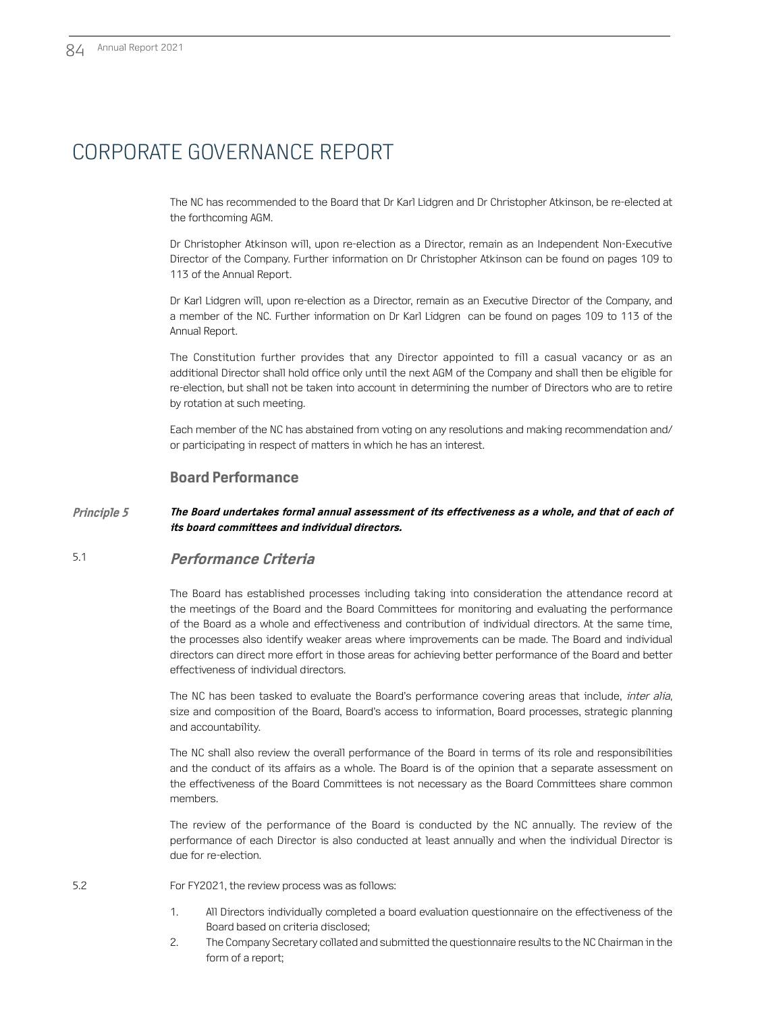The NC has recommended to the Board that Dr Karl Lidgren and Dr Christopher Atkinson, be re-elected at the forthcoming AGM.

Dr Christopher Atkinson will, upon re-election as a Director, remain as an Independent Non-Executive Director of the Company. Further information on Dr Christopher Atkinson can be found on pages 109 to 113 of the Annual Report.

Dr Karl Lidgren will, upon re-election as a Director, remain as an Executive Director of the Company, and a member of the NC. Further information on Dr Karl Lidgren can be found on pages 109 to 113 of the Annual Report.

The Constitution further provides that any Director appointed to fill a casual vacancy or as an additional Director shall hold office only until the next AGM of the Company and shall then be eligible for re-election, but shall not be taken into account in determining the number of Directors who are to retire by rotation at such meeting.

Each member of the NC has abstained from voting on any resolutions and making recommendation and/ or participating in respect of matters in which he has an interest.

#### **Board Performance**

#### **Principle 5 The Board undertakes formal annual assessment of its effectiveness as a whole, and that of each of its board committees and individual directors.**

### 5.1 **Performance Criteria**

The Board has established processes including taking into consideration the attendance record at the meetings of the Board and the Board Committees for monitoring and evaluating the performance of the Board as a whole and effectiveness and contribution of individual directors. At the same time, the processes also identify weaker areas where improvements can be made. The Board and individual directors can direct more effort in those areas for achieving better performance of the Board and better effectiveness of individual directors.

The NC has been tasked to evaluate the Board's performance covering areas that include, *inter alia*, size and composition of the Board, Board's access to information, Board processes, strategic planning and accountability.

The NC shall also review the overall performance of the Board in terms of its role and responsibilities and the conduct of its affairs as a whole. The Board is of the opinion that a separate assessment on the effectiveness of the Board Committees is not necessary as the Board Committees share common members.

The review of the performance of the Board is conducted by the NC annually. The review of the performance of each Director is also conducted at least annually and when the individual Director is due for re-election.

- 5.2 For FY2021, the review process was as follows:
	- 1. All Directors individually completed a board evaluation questionnaire on the effectiveness of the Board based on criteria disclosed;
	- 2. The Company Secretary collated and submitted the questionnaire results to the NC Chairman in the form of a report;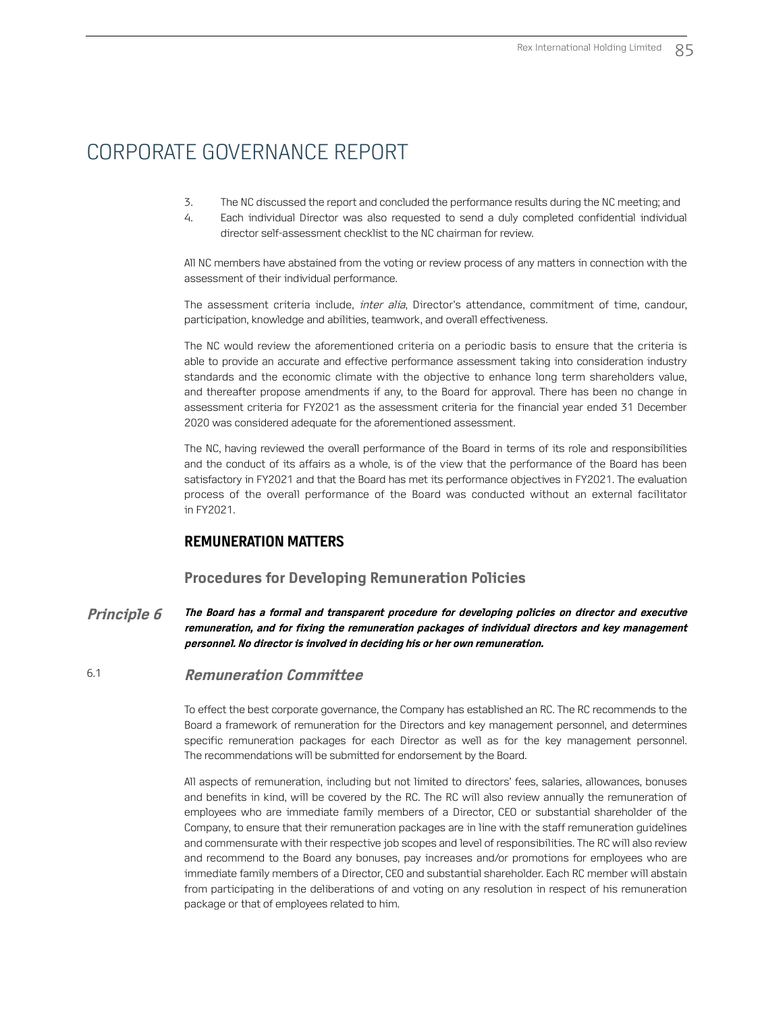- 3. The NC discussed the report and concluded the performance results during the NC meeting; and
- 4. Each individual Director was also requested to send a duly completed confidential individual director self-assessment checklist to the NC chairman for review.

All NC members have abstained from the voting or review process of any matters in connection with the assessment of their individual performance.

The assessment criteria include, *inter alia*, Director's attendance, commitment of time, candour, participation, knowledge and abilities, teamwork, and overall effectiveness.

The NC would review the aforementioned criteria on a periodic basis to ensure that the criteria is able to provide an accurate and effective performance assessment taking into consideration industry standards and the economic climate with the objective to enhance long term shareholders value, and thereafter propose amendments if any, to the Board for approval. There has been no change in assessment criteria for FY2021 as the assessment criteria for the financial year ended 31 December 2020 was considered adequate for the aforementioned assessment.

The NC, having reviewed the overall performance of the Board in terms of its role and responsibilities and the conduct of its affairs as a whole, is of the view that the performance of the Board has been satisfactory in FY2021 and that the Board has met its performance objectives in FY2021. The evaluation process of the overall performance of the Board was conducted without an external facilitator in FY2021.

### **REMUNERATION MATTERS**

### **Procedures for Developing Remuneration Policies**

**Principle 6 The Board has a formal and transparent procedure for developing policies on director and executive remuneration, and for fixing the remuneration packages of individual directors and key management personnel. No director is involved in deciding his or her own remuneration.** 

#### 6.1 **Remuneration Committee**

To effect the best corporate governance, the Company has established an RC. The RC recommends to the Board a framework of remuneration for the Directors and key management personnel, and determines specific remuneration packages for each Director as well as for the key management personnel. The recommendations will be submitted for endorsement by the Board.

All aspects of remuneration, including but not limited to directors' fees, salaries, allowances, bonuses and benefits in kind, will be covered by the RC. The RC will also review annually the remuneration of employees who are immediate family members of a Director, CEO or substantial shareholder of the Company, to ensure that their remuneration packages are in line with the staff remuneration guidelines and commensurate with their respective job scopes and level of responsibilities. The RC will also review and recommend to the Board any bonuses, pay increases and/or promotions for employees who are immediate family members of a Director, CEO and substantial shareholder. Each RC member will abstain from participating in the deliberations of and voting on any resolution in respect of his remuneration package or that of employees related to him.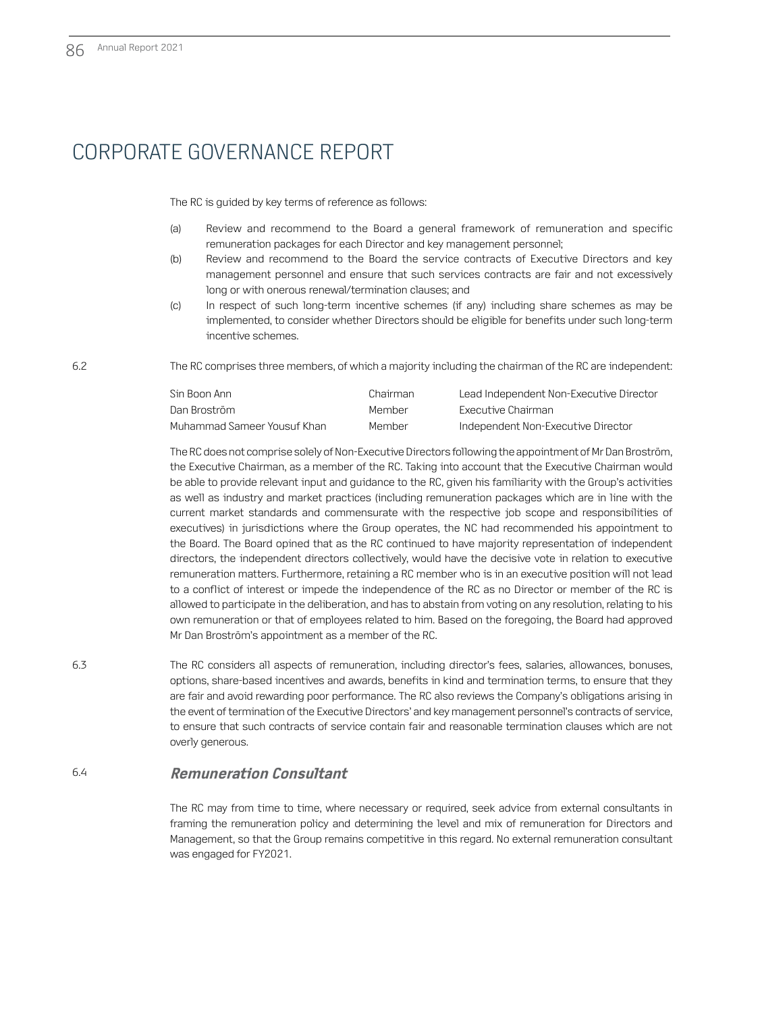The RC is guided by key terms of reference as follows:

- (a) Review and recommend to the Board a general framework of remuneration and specific remuneration packages for each Director and key management personnel;
- (b) Review and recommend to the Board the service contracts of Executive Directors and key management personnel and ensure that such services contracts are fair and not excessively long or with onerous renewal/termination clauses; and
- (c) In respect of such long-term incentive schemes (if any) including share schemes as may be implemented, to consider whether Directors should be eligible for benefits under such long-term incentive schemes.

6.2 The RC comprises three members, of which a majority including the chairman of the RC are independent:

| Sin Boon Ann                | Chairman | Lead Independent Non-Executive Director |
|-----------------------------|----------|-----------------------------------------|
| Dan Broström.               | Member   | Executive Chairman                      |
| Muhammad Sameer Yousuf Khan | Member   | Independent Non-Executive Director      |

The RC does not comprise solely of Non-Executive Directors following the appointment of Mr Dan Broström, the Executive Chairman, as a member of the RC. Taking into account that the Executive Chairman would be able to provide relevant input and guidance to the RC, given his familiarity with the Group's activities as well as industry and market practices (including remuneration packages which are in line with the current market standards and commensurate with the respective job scope and responsibilities of executives) in jurisdictions where the Group operates, the NC had recommended his appointment to the Board. The Board opined that as the RC continued to have majority representation of independent directors, the independent directors collectively, would have the decisive vote in relation to executive remuneration matters. Furthermore, retaining a RC member who is in an executive position will not lead to a conflict of interest or impede the independence of the RC as no Director or member of the RC is allowed to participate in the deliberation, and has to abstain from voting on any resolution, relating to his own remuneration or that of employees related to him. Based on the foregoing, the Board had approved Mr Dan Broström's appointment as a member of the RC.

6.3 The RC considers all aspects of remuneration, including director's fees, salaries, allowances, bonuses, options, share-based incentives and awards, benefits in kind and termination terms, to ensure that they are fair and avoid rewarding poor performance. The RC also reviews the Company's obligations arising in the event of termination of the Executive Directors' and key management personnel's contracts of service, to ensure that such contracts of service contain fair and reasonable termination clauses which are not overly generous.

### 6.4 **Remuneration Consultant**

The RC may from time to time, where necessary or required, seek advice from external consultants in framing the remuneration policy and determining the level and mix of remuneration for Directors and Management, so that the Group remains competitive in this regard. No external remuneration consultant was engaged for FY2021.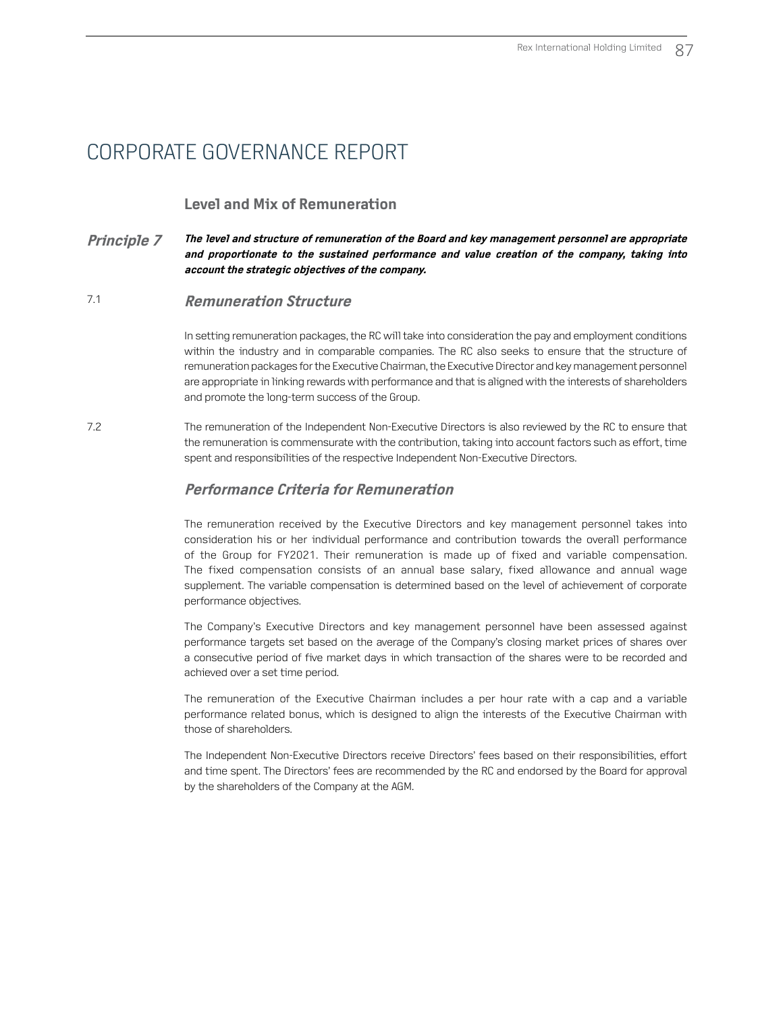### **Level and Mix of Remuneration**

#### **Principle 7 The level and structure of remuneration of the Board and key management personnel are appropriate and proportionate to the sustained performance and value creation of the company, taking into account the strategic objectives of the company.**

### 7.1 **Remuneration Structure**

In setting remuneration packages, the RC will take into consideration the pay and employment conditions within the industry and in comparable companies. The RC also seeks to ensure that the structure of remuneration packages for the Executive Chairman, the Executive Director and key management personnel are appropriate in linking rewards with performance and that is aligned with the interests of shareholders and promote the long-term success of the Group.

7.2 The remuneration of the Independent Non-Executive Directors is also reviewed by the RC to ensure that the remuneration is commensurate with the contribution, taking into account factors such as effort, time spent and responsibilities of the respective Independent Non-Executive Directors.

### **Performance Criteria for Remuneration**

The remuneration received by the Executive Directors and key management personnel takes into consideration his or her individual performance and contribution towards the overall performance of the Group for FY2021. Their remuneration is made up of fixed and variable compensation. The fixed compensation consists of an annual base salary, fixed allowance and annual wage supplement. The variable compensation is determined based on the level of achievement of corporate performance objectives.

The Company's Executive Directors and key management personnel have been assessed against performance targets set based on the average of the Company's closing market prices of shares over a consecutive period of five market days in which transaction of the shares were to be recorded and achieved over a set time period.

The remuneration of the Executive Chairman includes a per hour rate with a cap and a variable performance related bonus, which is designed to align the interests of the Executive Chairman with those of shareholders.

The Independent Non-Executive Directors receive Directors' fees based on their responsibilities, effort and time spent. The Directors' fees are recommended by the RC and endorsed by the Board for approval by the shareholders of the Company at the AGM.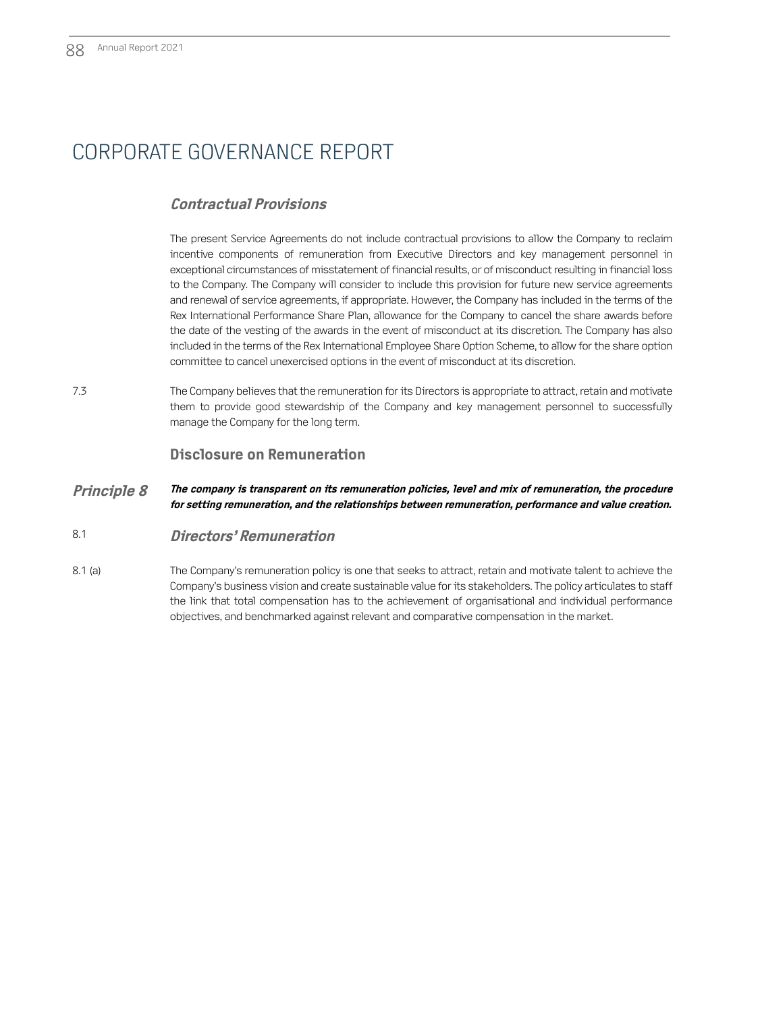### **Contractual Provisions**

The present Service Agreements do not include contractual provisions to allow the Company to reclaim incentive components of remuneration from Executive Directors and key management personnel in exceptional circumstances of misstatement of financial results, or of misconduct resulting in financial loss to the Company. The Company will consider to include this provision for future new service agreements and renewal of service agreements, if appropriate. However, the Company has included in the terms of the Rex International Performance Share Plan, allowance for the Company to cancel the share awards before the date of the vesting of the awards in the event of misconduct at its discretion. The Company has also included in the terms of the Rex International Employee Share Option Scheme, to allow for the share option committee to cancel unexercised options in the event of misconduct at its discretion.

7.3 The Company believes that the remuneration for its Directors is appropriate to attract, retain and motivate them to provide good stewardship of the Company and key management personnel to successfully manage the Company for the long term.

### **Disclosure on Remuneration**

**Principle 8 The company is transparent on its remuneration policies, level and mix of remuneration, the procedure for setting remuneration, and the relationships between remuneration, performance and value creation.** 

### 8.1 **Directors' Remuneration**

8.1 (a) The Company's remuneration policy is one that seeks to attract, retain and motivate talent to achieve the Company's business vision and create sustainable value for its stakeholders. The policy articulates to staff the link that total compensation has to the achievement of organisational and individual performance objectives, and benchmarked against relevant and comparative compensation in the market.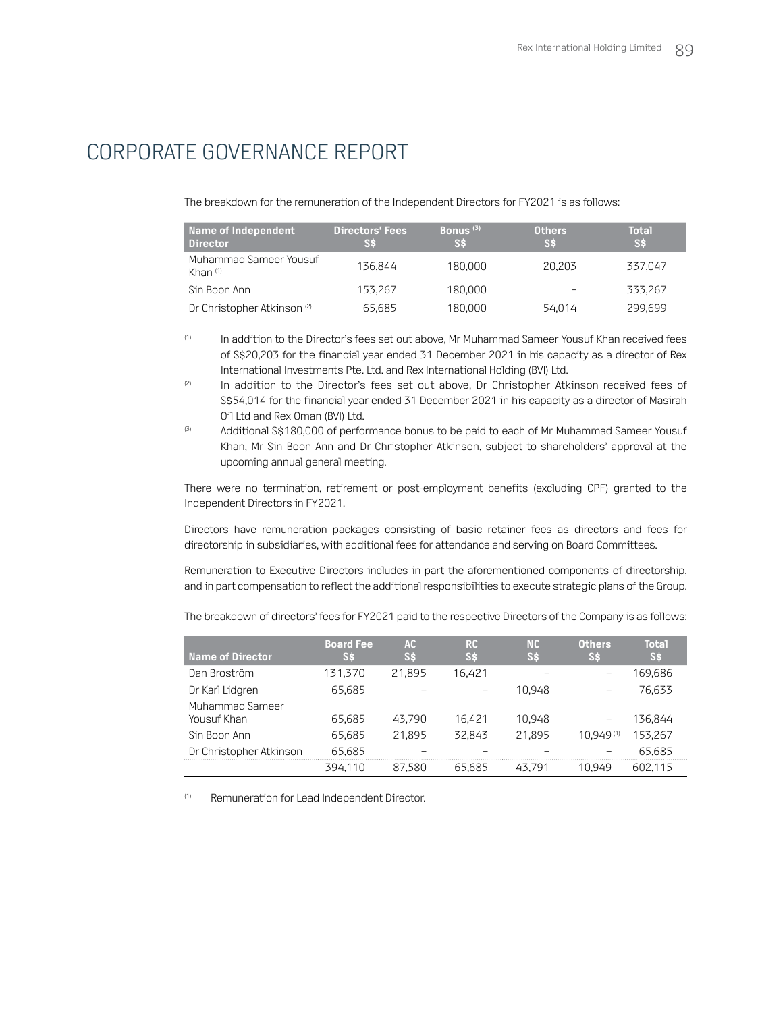The breakdown for the remuneration of the Independent Directors for FY2021 is as follows:

| Name of Independent<br>Director        | <b>Directors' Fees</b><br>S\$ | Bonus $(3)$<br><b>SS</b> | <b>Others</b><br>S\$ | <b>Total</b><br>S\$ |
|----------------------------------------|-------------------------------|--------------------------|----------------------|---------------------|
| Muhammad Sameer Yousuf<br>Khan $(1)$   | 136.844                       | 180.000                  | 20.203               | 337.047             |
| Sin Boon Ann                           | 153.267                       | 180.000                  |                      | 333.267             |
| Dr Christopher Atkinson <sup>(2)</sup> | 65.685                        | 180,000                  | 54.014               | 299.699             |

- (1) In addition to the Director's fees set out above, Mr Muhammad Sameer Yousuf Khan received fees of S\$20,203 for the financial year ended 31 December 2021 in his capacity as a director of Rex International Investments Pte. Ltd. and Rex International Holding (BVI) Ltd.
- (2) In addition to the Director's fees set out above, Dr Christopher Atkinson received fees of S\$54,014 for the financial year ended 31 December 2021 in his capacity as a director of Masirah Oil Ltd and Rex Oman (BVI) Ltd.
- <sup>(3)</sup> Additional S\$180,000 of performance bonus to be paid to each of Mr Muhammad Sameer Yousuf Khan, Mr Sin Boon Ann and Dr Christopher Atkinson, subject to shareholders' approval at the upcoming annual general meeting.

There were no termination, retirement or post-employment benefits (excluding CPF) granted to the Independent Directors in FY2021.

Directors have remuneration packages consisting of basic retainer fees as directors and fees for directorship in subsidiaries, with additional fees for attendance and serving on Board Committees.

Remuneration to Executive Directors includes in part the aforementioned components of directorship, and in part compensation to reflect the additional responsibilities to execute strategic plans of the Group.

The breakdown of directors' fees for FY2021 paid to the respective Directors of the Company is as follows:

| <b>Name of Director</b>        | <b>Board Fee</b><br>Ss | AC.<br>SS | <b>RC</b><br>'S\$ | NC.<br>'S\$ | <b>Others</b><br>SS | <b>Total</b><br>SS |
|--------------------------------|------------------------|-----------|-------------------|-------------|---------------------|--------------------|
| Dan Broström                   | 131.370                | 21.895    | 16,421            |             |                     | 169.686            |
| Dr Karl Lidgren                | 65,685                 |           |                   | 10.948      |                     | 76.633             |
| Muhammad Sameer<br>Yousuf Khan | 65,685                 | 43.790    | 16.421            | 10.948      |                     | 136.844            |
| Sin Boon Ann                   | 65.685                 | 21.895    | 32.843            | 21.895      | 10.949(1)           | 153.267            |
| Dr Christopher Atkinson        | 65,685                 |           |                   |             |                     | 65.685             |
|                                | 394.110                | 87.580    | 65.685            | 43.791      | 10 949              | 602.115            |

(1) Remuneration for Lead Independent Director.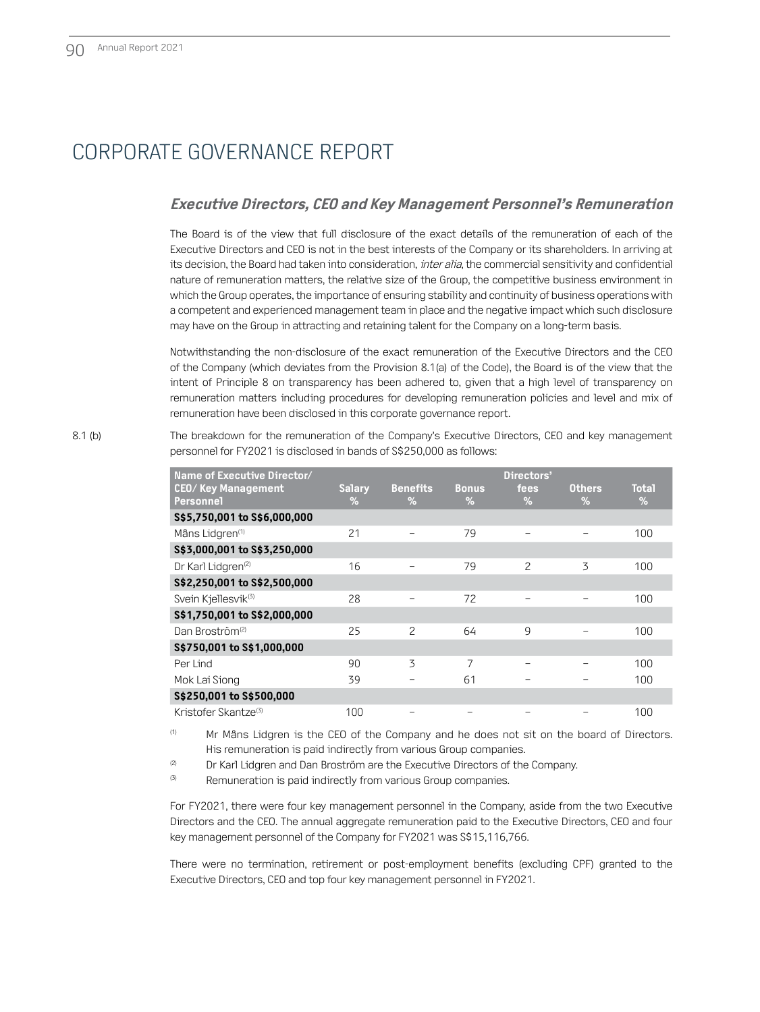### **Executive Directors, CEO and Key Management Personnel's Remuneration**

The Board is of the view that full disclosure of the exact details of the remuneration of each of the Executive Directors and CEO is not in the best interests of the Company or its shareholders. In arriving at its decision, the Board had taken into consideration, *inter alia*, the commercial sensitivity and confidential nature of remuneration matters, the relative size of the Group, the competitive business environment in which the Group operates, the importance of ensuring stability and continuity of business operations with a competent and experienced management team in place and the negative impact which such disclosure may have on the Group in attracting and retaining talent for the Company on a long-term basis.

Notwithstanding the non-disclosure of the exact remuneration of the Executive Directors and the CEO of the Company (which deviates from the Provision 8.1(a) of the Code), the Board is of the view that the intent of Principle 8 on transparency has been adhered to, given that a high level of transparency on remuneration matters including procedures for developing remuneration policies and level and mix of remuneration have been disclosed in this corporate governance report.

8.1 (b) The breakdown for the remuneration of the Company's Executive Directors, CEO and key management personnel for FY2021 is disclosed in bands of S\$250,000 as follows:

| Name of Executive Director/      |               |                 |              | Directors'    |               |              |
|----------------------------------|---------------|-----------------|--------------|---------------|---------------|--------------|
| <b>CEO/ Key Management</b>       | <b>Salary</b> | <b>Benefits</b> | <b>Bonus</b> | fees          | <b>Others</b> | <b>Total</b> |
| <b>Personnel</b>                 | $\%$          | $\%$            | %            | $\%$          | $\%$          | %            |
| \$\$5,750,001 to \$\$6,000,000   |               |                 |              |               |               |              |
| Måns Lidgren <sup>(1)</sup>      | 21            |                 | 79           |               |               | 100          |
| S\$3,000,001 to S\$3,250,000     |               |                 |              |               |               |              |
| Dr Karl Lidgren <sup>(2)</sup>   | 16            |                 | 79           | $\mathcal{P}$ | 3             | 100          |
| S\$2,250,001 to S\$2,500,000     |               |                 |              |               |               |              |
| Svein Kjellesvik <sup>(3)</sup>  | 28            |                 | 72           |               |               | 100          |
| S\$1,750,001 to S\$2,000,000     |               |                 |              |               |               |              |
| Dan Broström <sup>(2)</sup>      | 25            | $\mathcal{P}$   | 64           | 9             |               | 100          |
| S\$750,001 to S\$1,000,000       |               |                 |              |               |               |              |
| Per Lind                         | 90            | $\overline{5}$  | 7            |               |               | 100          |
| Mok Lai Siong                    | 39            |                 | 61           |               |               | 100          |
| S\$250,001 to S\$500,000         |               |                 |              |               |               |              |
| Kristofer Skantze <sup>(3)</sup> | 100           |                 |              |               |               | 100          |

(1) Mr Måns Lidgren is the CEO of the Company and he does not sit on the board of Directors. His remuneration is paid indirectly from various Group companies.

<sup>(2)</sup> Dr Karl Lidgren and Dan Broström are the Executive Directors of the Company.

<sup>(3)</sup> Remuneration is paid indirectly from various Group companies.

For FY2021, there were four key management personnel in the Company, aside from the two Executive Directors and the CEO. The annual aggregate remuneration paid to the Executive Directors, CEO and four key management personnel of the Company for FY2021 was S\$15,116,766.

There were no termination, retirement or post-employment benefits (excluding CPF) granted to the Executive Directors, CEO and top four key management personnel in FY2021.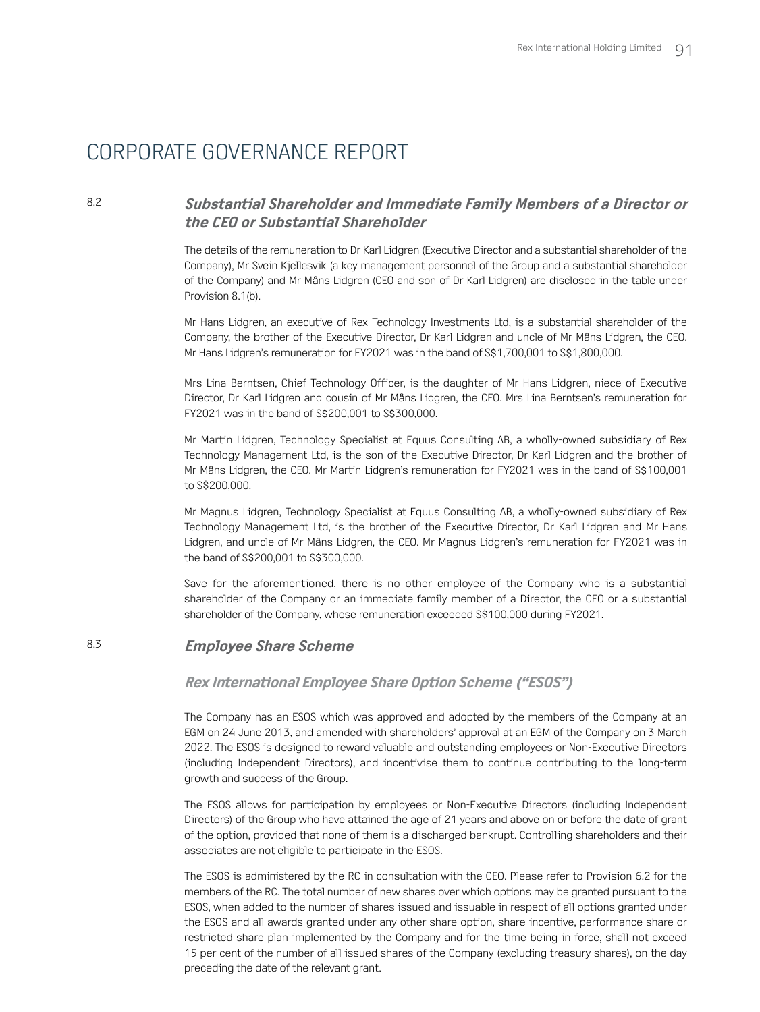### 8.2 **Substantial Shareholder and Immediate Family Members of a Director or the CEO or Substantial Shareholder**

The details of the remuneration to Dr Karl Lidgren (Executive Director and a substantial shareholder of the Company), Mr Svein Kjellesvik (a key management personnel of the Group and a substantial shareholder of the Company) and Mr Måns Lidgren (CEO and son of Dr Karl Lidgren) are disclosed in the table under Provision 8.1(b).

Mr Hans Lidgren, an executive of Rex Technology Investments Ltd, is a substantial shareholder of the Company, the brother of the Executive Director, Dr Karl Lidgren and uncle of Mr Måns Lidgren, the CEO. Mr Hans Lidgren's remuneration for FY2021 was in the band of S\$1,700,001 to S\$1,800,000.

Mrs Lina Berntsen, Chief Technology Officer, is the daughter of Mr Hans Lidgren, niece of Executive Director, Dr Karl Lidgren and cousin of Mr Måns Lidgren, the CEO. Mrs Lina Berntsen's remuneration for FY2021 was in the band of S\$200,001 to S\$300,000.

Mr Martin Lidgren, Technology Specialist at Equus Consulting AB, a wholly-owned subsidiary of Rex Technology Management Ltd, is the son of the Executive Director, Dr Karl Lidgren and the brother of Mr Måns Lidgren, the CEO. Mr Martin Lidgren's remuneration for FY2021 was in the band of S\$100,001 to S\$200,000.

Mr Magnus Lidgren, Technology Specialist at Equus Consulting AB, a wholly-owned subsidiary of Rex Technology Management Ltd, is the brother of the Executive Director, Dr Karl Lidgren and Mr Hans Lidgren, and uncle of Mr Måns Lidgren, the CEO. Mr Magnus Lidgren's remuneration for FY2021 was in the band of S\$200,001 to S\$300,000.

Save for the aforementioned, there is no other employee of the Company who is a substantial shareholder of the Company or an immediate family member of a Director, the CEO or a substantial shareholder of the Company, whose remuneration exceeded S\$100,000 during FY2021.

### 8.3 **Employee Share Scheme**

#### **Rex International Employee Share Option Scheme ("ESOS")**

The Company has an ESOS which was approved and adopted by the members of the Company at an EGM on 24 June 2013, and amended with shareholders' approval at an EGM of the Company on 3 March 2022. The ESOS is designed to reward valuable and outstanding employees or Non-Executive Directors (including Independent Directors), and incentivise them to continue contributing to the long-term growth and success of the Group.

The ESOS allows for participation by employees or Non-Executive Directors (including Independent Directors) of the Group who have attained the age of 21 years and above on or before the date of grant of the option, provided that none of them is a discharged bankrupt. Controlling shareholders and their associates are not eligible to participate in the ESOS.

The ESOS is administered by the RC in consultation with the CEO. Please refer to Provision 6.2 for the members of the RC. The total number of new shares over which options may be granted pursuant to the ESOS, when added to the number of shares issued and issuable in respect of all options granted under the ESOS and all awards granted under any other share option, share incentive, performance share or restricted share plan implemented by the Company and for the time being in force, shall not exceed 15 per cent of the number of all issued shares of the Company (excluding treasury shares), on the day preceding the date of the relevant grant.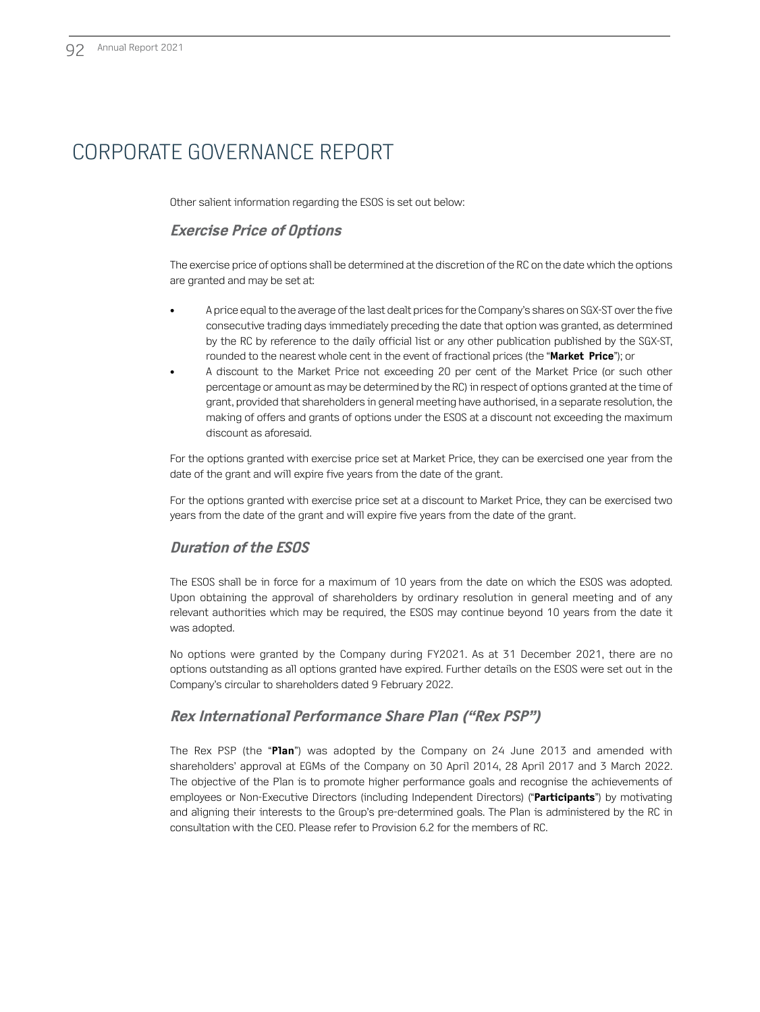Other salient information regarding the ESOS is set out below:

### **Exercise Price of Options**

The exercise price of options shall be determined at the discretion of the RC on the date which the options are granted and may be set at:

- A price equal to the average of the last dealt prices for the Company's shares on SGX-ST over the five consecutive trading days immediately preceding the date that option was granted, as determined by the RC by reference to the daily official list or any other publication published by the SGX-ST, rounded to the nearest whole cent in the event of fractional prices (the "**Market Price**"); or
- A discount to the Market Price not exceeding 20 per cent of the Market Price (or such other percentage or amount as may be determined by the RC) in respect of options granted at the time of grant, provided that shareholders in general meeting have authorised, in a separate resolution, the making of offers and grants of options under the ESOS at a discount not exceeding the maximum discount as aforesaid.

For the options granted with exercise price set at Market Price, they can be exercised one year from the date of the grant and will expire five years from the date of the grant.

For the options granted with exercise price set at a discount to Market Price, they can be exercised two years from the date of the grant and will expire five years from the date of the grant.

### **Duration of the ESOS**

The ESOS shall be in force for a maximum of 10 years from the date on which the ESOS was adopted. Upon obtaining the approval of shareholders by ordinary resolution in general meeting and of any relevant authorities which may be required, the ESOS may continue beyond 10 years from the date it was adopted.

No options were granted by the Company during FY2021. As at 31 December 2021, there are no options outstanding as all options granted have expired. Further details on the ESOS were set out in the Company's circular to shareholders dated 9 February 2022.

### **Rex International Performance Share Plan ("Rex PSP")**

The Rex PSP (the "**Plan**") was adopted by the Company on 24 June 2013 and amended with shareholders' approval at EGMs of the Company on 30 April 2014, 28 April 2017 and 3 March 2022. The objective of the Plan is to promote higher performance goals and recognise the achievements of employees or Non-Executive Directors (including Independent Directors) ("**Participants**") by motivating and aligning their interests to the Group's pre-determined goals. The Plan is administered by the RC in consultation with the CEO. Please refer to Provision 6.2 for the members of RC.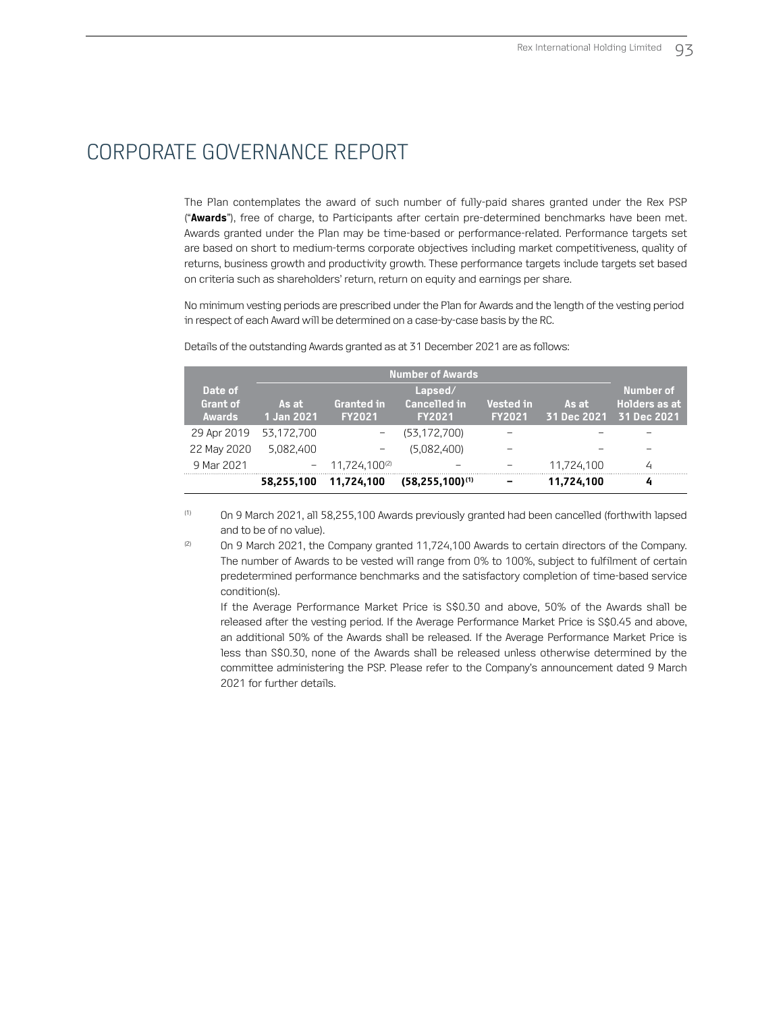The Plan contemplates the award of such number of fully-paid shares granted under the Rex PSP ("**Awards**"), free of charge, to Participants after certain pre-determined benchmarks have been met. Awards granted under the Plan may be time-based or performance-related. Performance targets set are based on short to medium-terms corporate objectives including market competitiveness, quality of returns, business growth and productivity growth. These performance targets include targets set based on criteria such as shareholders' return, return on equity and earnings per share.

No minimum vesting periods are prescribed under the Plan for Awards and the length of the vesting period in respect of each Award will be determined on a case-by-case basis by the RC.

|                                             |                     |                                    | <b>Number of Awards</b>                         |                                   |            |                                                              |
|---------------------------------------------|---------------------|------------------------------------|-------------------------------------------------|-----------------------------------|------------|--------------------------------------------------------------|
| Date of<br><b>Grant of</b><br><b>Awards</b> | As at<br>1 Jan 2021 | <b>Granted in</b><br><b>FY2021</b> | Lapsed/<br><b>Cancelled in</b><br><b>FY2021</b> | <b>Vested in</b><br><b>FY2021</b> | As at      | Number of<br><b>Holders as at</b><br>31 Dec 2021 31 Dec 2021 |
| 29 Apr 2019                                 | 53,172,700          |                                    | (53, 172, 700)                                  |                                   |            |                                                              |
| 22 May 2020                                 | 5,082,400           |                                    | (5,082,400)                                     |                                   |            |                                                              |
| 9 Mar 2021                                  | $\qquad \qquad -$   | 11.724.100 <sup>(2)</sup>          |                                                 |                                   | 11.724.100 | 4                                                            |
|                                             | 58.255.100          | 11.724.100                         | $(58, 255, 100)^{(1)}$                          |                                   | 11,724,100 | 4                                                            |

Details of the outstanding Awards granted as at 31 December 2021 are as follows:

(1) On 9 March 2021, all 58,255,100 Awards previously granted had been cancelled (forthwith lapsed and to be of no value).

<sup>(2)</sup> On 9 March 2021, the Company granted 11,724,100 Awards to certain directors of the Company. The number of Awards to be vested will range from 0% to 100%, subject to fulfilment of certain predetermined performance benchmarks and the satisfactory completion of time-based service condition(s).

If the Average Performance Market Price is S\$0.30 and above, 50% of the Awards shall be released after the vesting period. If the Average Performance Market Price is S\$0.45 and above, an additional 50% of the Awards shall be released. If the Average Performance Market Price is less than S\$0.30, none of the Awards shall be released unless otherwise determined by the committee administering the PSP. Please refer to the Company's announcement dated 9 March 2021 for further details.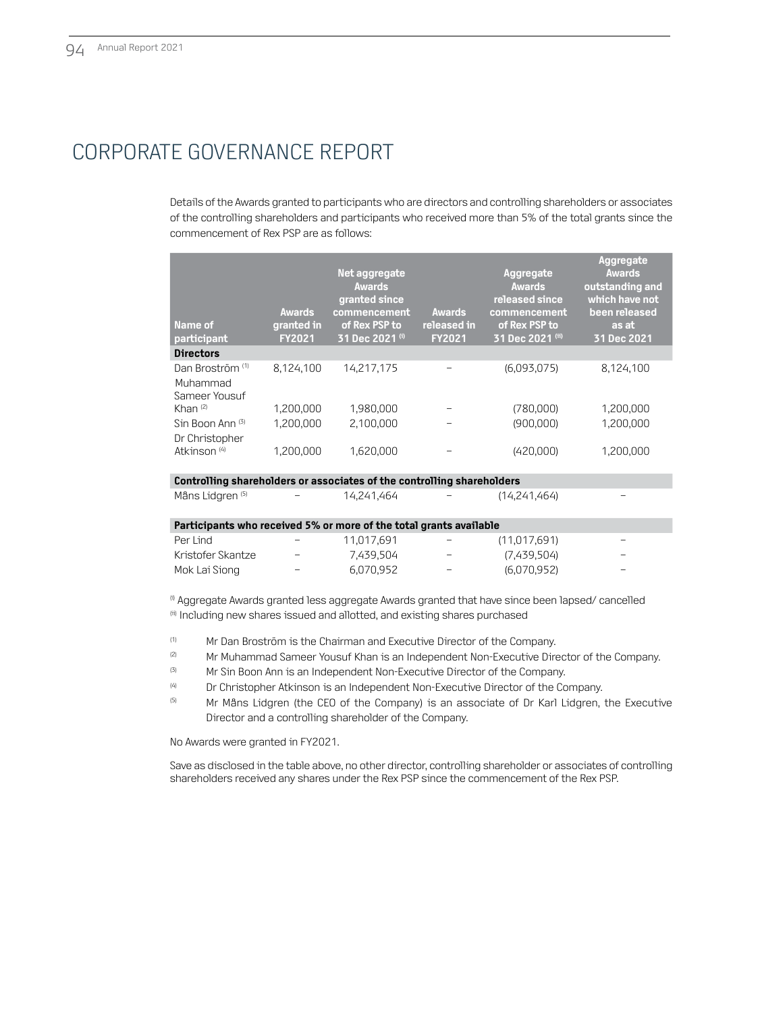Details of the Awards granted to participants who are directors and controlling shareholders or associates of the controlling shareholders and participants who received more than 5% of the total grants since the commencement of Rex PSP are as follows:

| Name of<br>participant                                                 | Awards<br>granted in<br><b>FY2021</b> | Net aggregate<br><b>Awards</b><br>granted since<br>commencement<br>of Rex PSP to<br>31 Dec 2021 (i) | <b>Awards</b><br>released in<br><b>FY2021</b> | Aggregate<br><b>Awards</b><br>released since<br>commencement<br>of Rex PSP to<br>31 Dec 2021 (ii) | Aggregate<br><b>Awards</b><br>outstanding and<br>which have not<br>been released<br>as at<br>31 Dec 2021 |
|------------------------------------------------------------------------|---------------------------------------|-----------------------------------------------------------------------------------------------------|-----------------------------------------------|---------------------------------------------------------------------------------------------------|----------------------------------------------------------------------------------------------------------|
| <b>Directors</b>                                                       |                                       |                                                                                                     |                                               |                                                                                                   |                                                                                                          |
| Dan Broström <sup>(1)</sup><br>Muhammad<br>Sameer Yousuf               | 8,124,100                             | 14,217,175                                                                                          |                                               | (6,093,075)                                                                                       | 8,124,100                                                                                                |
| Khan $(2)$                                                             | 1,200,000                             | 1,980,000                                                                                           |                                               | (780,000)                                                                                         | 1,200,000                                                                                                |
| Sin Boon Ann (3)<br>Dr Christopher                                     | 1,200,000                             | 2.100.000                                                                                           |                                               | (900,000)                                                                                         | 1,200,000                                                                                                |
| Atkinson <sup>(4)</sup>                                                | 1,200,000                             | 1.620.000                                                                                           |                                               | (420,000)                                                                                         | 1,200,000                                                                                                |
| Controlling shareholders or associates of the controlling shareholders |                                       |                                                                                                     |                                               |                                                                                                   |                                                                                                          |
| Mâns Lidgren <sup>(5)</sup>                                            |                                       | 14.241.464                                                                                          |                                               | (14,241,464)                                                                                      |                                                                                                          |
|                                                                        |                                       |                                                                                                     |                                               |                                                                                                   |                                                                                                          |

| Participants who received 5% or more of the total grants available |                          |            |                          |              |                          |
|--------------------------------------------------------------------|--------------------------|------------|--------------------------|--------------|--------------------------|
| Per Lind                                                           | $\sim$ 100 $\mu$         | 11.017.691 | <b>Service</b>           | (11.017.691) |                          |
| Kristofer Skantze                                                  | $\overline{\phantom{0}}$ | 7.439.504  | $\overline{\phantom{0}}$ | (7.439.504)  | $\overline{\phantom{0}}$ |
| Mok Lai Siong                                                      | $-$                      | 6.070.952  | $\overline{\phantom{a}}$ | (6.070.952)  | $\overline{\phantom{0}}$ |

(i) Aggregate Awards granted less aggregate Awards granted that have since been lapsed/ cancelled (ii) Including new shares issued and allotted, and existing shares purchased

- (1) Mr Dan Broström is the Chairman and Executive Director of the Company.
- <sup>(2)</sup> Mr Muhammad Sameer Yousuf Khan is an Independent Non-Executive Director of the Company.
- <sup>(3)</sup> Mr Sin Boon Ann is an Independent Non-Executive Director of the Company.
- (4) Dr Christopher Atkinson is an Independent Non-Executive Director of the Company.
- <sup>(5)</sup> Mr Måns Lidgren (the CEO of the Company) is an associate of Dr Karl Lidgren, the Executive Director and a controlling shareholder of the Company.

No Awards were granted in FY2021.

Save as disclosed in the table above, no other director, controlling shareholder or associates of controlling shareholders received any shares under the Rex PSP since the commencement of the Rex PSP.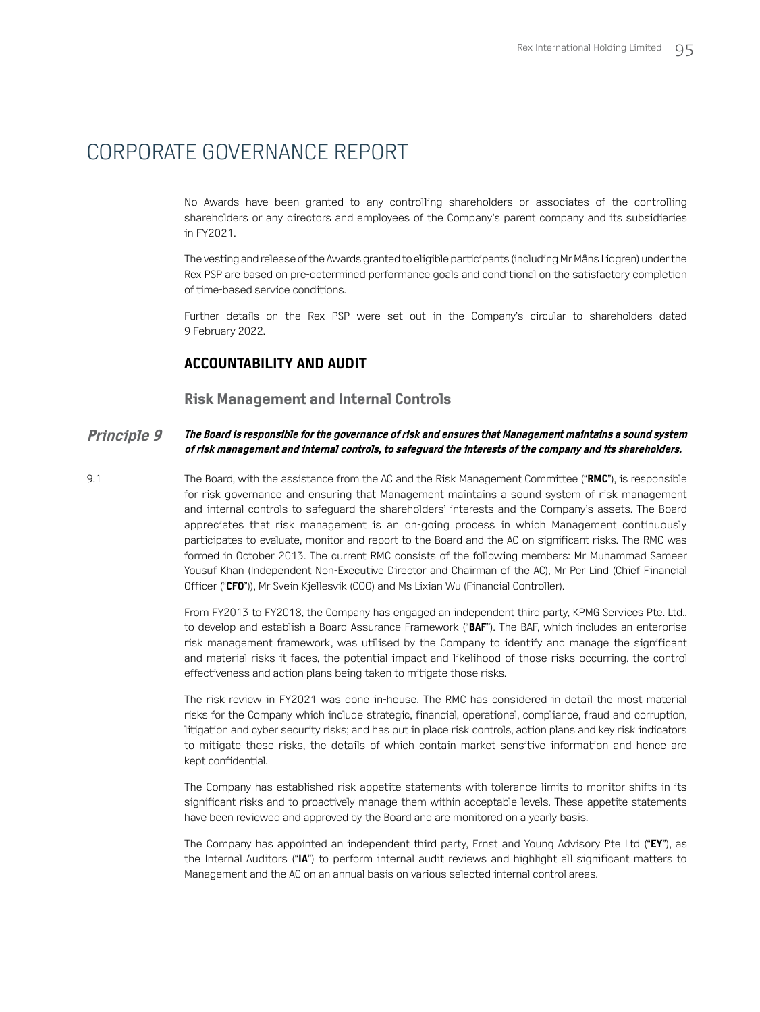No Awards have been granted to any controlling shareholders or associates of the controlling shareholders or any directors and employees of the Company's parent company and its subsidiaries in FY2021.

The vesting and release of the Awards granted to eligible participants (including Mr Måns Lidgren) under the Rex PSP are based on pre-determined performance goals and conditional on the satisfactory completion of time-based service conditions.

Further details on the Rex PSP were set out in the Company's circular to shareholders dated 9 February 2022.

### **ACCOUNTABILITY AND AUDIT**

#### **Risk Management and Internal Controls**

#### **Principle 9 The Board is responsible for the governance of risk and ensures that Management maintains a sound system of risk management and internal controls, to safeguard the interests of the company and its shareholders.**

9.1 The Board, with the assistance from the AC and the Risk Management Committee ("**RMC**"), is responsible for risk governance and ensuring that Management maintains a sound system of risk management and internal controls to safeguard the shareholders' interests and the Company's assets. The Board appreciates that risk management is an on-going process in which Management continuously participates to evaluate, monitor and report to the Board and the AC on significant risks. The RMC was formed in October 2013. The current RMC consists of the following members: Mr Muhammad Sameer Yousuf Khan (Independent Non-Executive Director and Chairman of the AC), Mr Per Lind (Chief Financial Officer ("**CFO**")), Mr Svein Kjellesvik (COO) and Ms Lixian Wu (Financial Controller).

> From FY2013 to FY2018, the Company has engaged an independent third party, KPMG Services Pte. Ltd., to develop and establish a Board Assurance Framework ("**BAF**"). The BAF, which includes an enterprise risk management framework, was utilised by the Company to identify and manage the significant and material risks it faces, the potential impact and likelihood of those risks occurring, the control effectiveness and action plans being taken to mitigate those risks.

> The risk review in FY2021 was done in-house. The RMC has considered in detail the most material risks for the Company which include strategic, financial, operational, compliance, fraud and corruption, litigation and cyber security risks; and has put in place risk controls, action plans and key risk indicators to mitigate these risks, the details of which contain market sensitive information and hence are kept confidential.

> The Company has established risk appetite statements with tolerance limits to monitor shifts in its significant risks and to proactively manage them within acceptable levels. These appetite statements have been reviewed and approved by the Board and are monitored on a yearly basis.

> The Company has appointed an independent third party, Ernst and Young Advisory Pte Ltd ("**EY**"), as the Internal Auditors ("**IA**") to perform internal audit reviews and highlight all significant matters to Management and the AC on an annual basis on various selected internal control areas.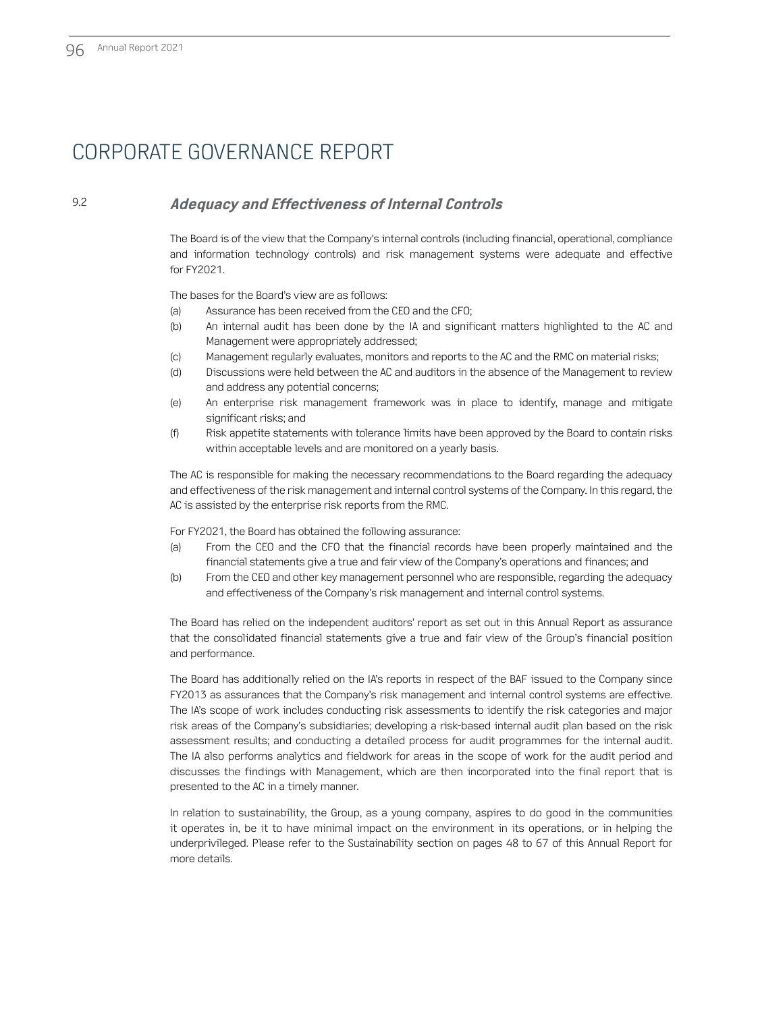### 9.2 **Adequacy and Effectiveness of Internal Controls**

The Board is of the view that the Company's internal controls (including financial, operational, compliance and information technology controls) and risk management systems were adequate and effective for FY2021.

The bases for the Board's view are as follows:

- (a) Assurance has been received from the CEO and the CFO;
- (b) An internal audit has been done by the IA and significant matters highlighted to the AC and Management were appropriately addressed;
- (c) Management regularly evaluates, monitors and reports to the AC and the RMC on material risks;
- (d) Discussions were held between the AC and auditors in the absence of the Management to review and address any potential concerns;
- (e) An enterprise risk management framework was in place to identify, manage and mitigate significant risks; and
- (f) Risk appetite statements with tolerance limits have been approved by the Board to contain risks within acceptable levels and are monitored on a yearly basis.

The AC is responsible for making the necessary recommendations to the Board regarding the adequacy and effectiveness of the risk management and internal control systems of the Company. In this regard, the AC is assisted by the enterprise risk reports from the RMC.

For FY2021, the Board has obtained the following assurance:

- (a) From the CEO and the CFO that the financial records have been properly maintained and the financial statements give a true and fair view of the Company's operations and finances; and
- (b) From the CEO and other key management personnel who are responsible, regarding the adequacy and effectiveness of the Company's risk management and internal control systems.

The Board has relied on the independent auditors' report as set out in this Annual Report as assurance that the consolidated financial statements give a true and fair view of the Group's financial position and performance.

The Board has additionally relied on the IA's reports in respect of the BAF issued to the Company since FY2013 as assurances that the Company's risk management and internal control systems are effective. The IA's scope of work includes conducting risk assessments to identify the risk categories and major risk areas of the Company's subsidiaries; developing a risk-based internal audit plan based on the risk assessment results; and conducting a detailed process for audit programmes for the internal audit. The IA also performs analytics and fieldwork for areas in the scope of work for the audit period and discusses the findings with Management, which are then incorporated into the final report that is presented to the AC in a timely manner.

In relation to sustainability, the Group, as a young company, aspires to do good in the communities it operates in, be it to have minimal impact on the environment in its operations, or in helping the underprivileged. Please refer to the Sustainability section on pages 48 to 67 of this Annual Report for more details.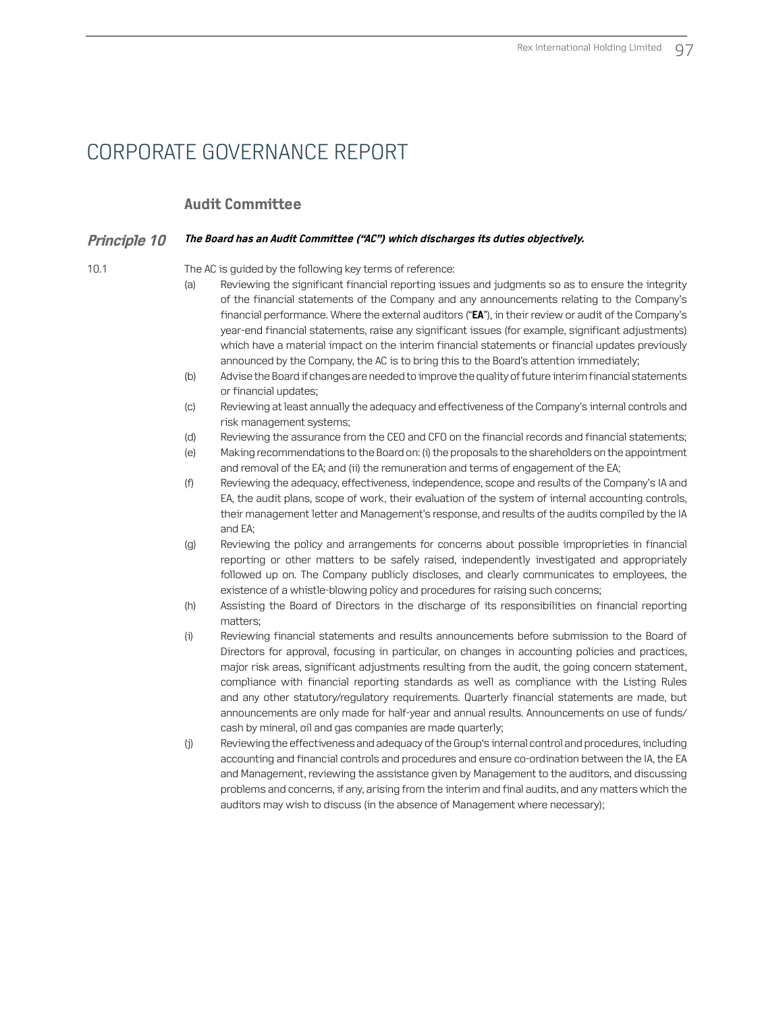### **Audit Committee**

#### **Principle 10 The Board has an Audit Committee ("AC") which discharges its duties objectively.**

10.1 The AC is guided by the following key terms of reference:

- (a) Reviewing the significant financial reporting issues and judgments so as to ensure the integrity of the financial statements of the Company and any announcements relating to the Company's financial performance. Where the external auditors ("**EA**"), in their review or audit of the Company's year-end financial statements, raise any significant issues (for example, significant adjustments) which have a material impact on the interim financial statements or financial updates previously announced by the Company, the AC is to bring this to the Board's attention immediately;
- (b) Advise the Board if changes are needed to improve the quality of future interim financial statements or financial updates;
- (c) Reviewing at least annually the adequacy and effectiveness of the Company's internal controls and risk management systems;
- (d) Reviewing the assurance from the CEO and CFO on the financial records and financial statements;
- (e) Making recommendations to the Board on: (i) the proposals to the shareholders on the appointment and removal of the EA; and (ii) the remuneration and terms of engagement of the EA;
- (f) Reviewing the adequacy, effectiveness, independence, scope and results of the Company's IA and EA, the audit plans, scope of work, their evaluation of the system of internal accounting controls, their management letter and Management's response, and results of the audits compiled by the IA and EA;
- (g) Reviewing the policy and arrangements for concerns about possible improprieties in financial reporting or other matters to be safely raised, independently investigated and appropriately followed up on. The Company publicly discloses, and clearly communicates to employees, the existence of a whistle-blowing policy and procedures for raising such concerns;
- (h) Assisting the Board of Directors in the discharge of its responsibilities on financial reporting matters;
- (i) Reviewing financial statements and results announcements before submission to the Board of Directors for approval, focusing in particular, on changes in accounting policies and practices, major risk areas, significant adjustments resulting from the audit, the going concern statement, compliance with financial reporting standards as well as compliance with the Listing Rules and any other statutory/regulatory requirements. Quarterly financial statements are made, but announcements are only made for half-year and annual results. Announcements on use of funds/ cash by mineral, oil and gas companies are made quarterly;
- (j) Reviewing the effectiveness and adequacy of the Group's internal control and procedures, including accounting and financial controls and procedures and ensure co-ordination between the IA, the EA and Management, reviewing the assistance given by Management to the auditors, and discussing problems and concerns, if any, arising from the interim and final audits, and any matters which the auditors may wish to discuss (in the absence of Management where necessary);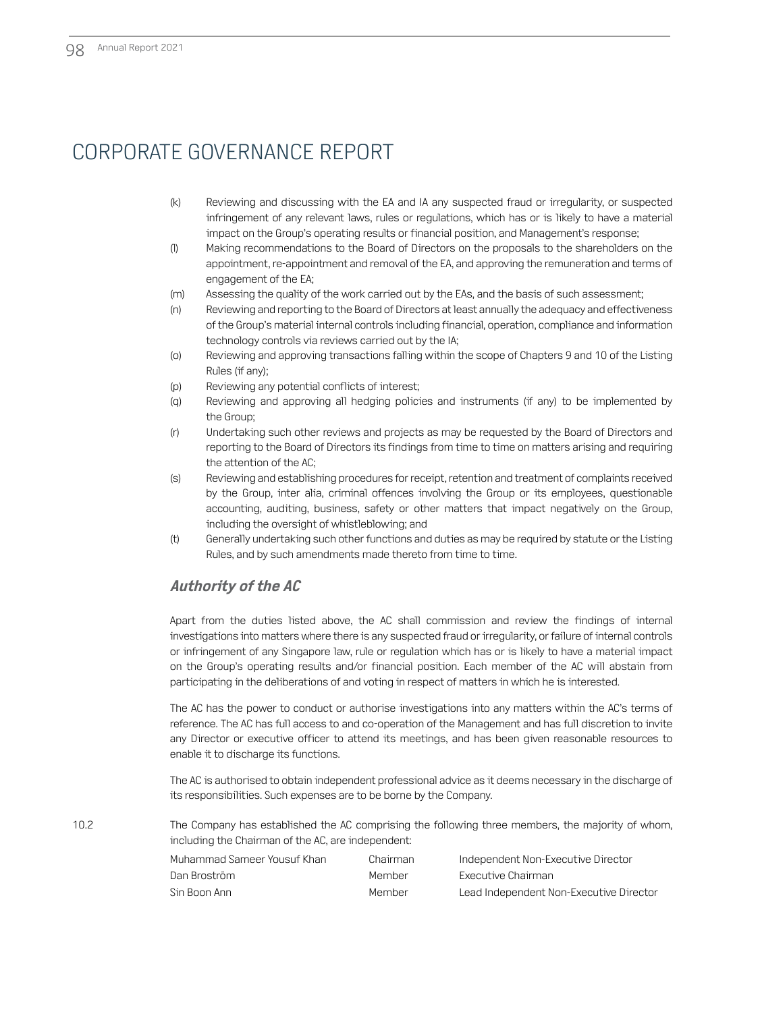- (k) Reviewing and discussing with the EA and IA any suspected fraud or irregularity, or suspected infringement of any relevant laws, rules or regulations, which has or is likely to have a material impact on the Group's operating results or financial position, and Management's response;
- (l) Making recommendations to the Board of Directors on the proposals to the shareholders on the appointment, re-appointment and removal of the EA, and approving the remuneration and terms of engagement of the EA;
- (m) Assessing the quality of the work carried out by the EAs, and the basis of such assessment;
- (n) Reviewing and reporting to the Board of Directors at least annually the adequacy and effectiveness of the Group's material internal controls including financial, operation, compliance and information technology controls via reviews carried out by the IA;
- (o) Reviewing and approving transactions falling within the scope of Chapters 9 and 10 of the Listing Rules (if any);
- (p) Reviewing any potential conflicts of interest;
- (q) Reviewing and approving all hedging policies and instruments (if any) to be implemented by the Group;
- (r) Undertaking such other reviews and projects as may be requested by the Board of Directors and reporting to the Board of Directors its findings from time to time on matters arising and requiring the attention of the AC;
- (s) Reviewing and establishing procedures for receipt, retention and treatment of complaints received by the Group, inter alia, criminal offences involving the Group or its employees, questionable accounting, auditing, business, safety or other matters that impact negatively on the Group, including the oversight of whistleblowing; and
- (t) Generally undertaking such other functions and duties as may be required by statute or the Listing Rules, and by such amendments made thereto from time to time.

### **Authority of the AC**

Apart from the duties listed above, the AC shall commission and review the findings of internal investigations into matters where there is any suspected fraud or irregularity, or failure of internal controls or infringement of any Singapore law, rule or regulation which has or is likely to have a material impact on the Group's operating results and/or financial position. Each member of the AC will abstain from participating in the deliberations of and voting in respect of matters in which he is interested.

The AC has the power to conduct or authorise investigations into any matters within the AC's terms of reference. The AC has full access to and co-operation of the Management and has full discretion to invite any Director or executive officer to attend its meetings, and has been given reasonable resources to enable it to discharge its functions.

The AC is authorised to obtain independent professional advice as it deems necessary in the discharge of its responsibilities. Such expenses are to be borne by the Company.

10.2 The Company has established the AC comprising the following three members, the majority of whom, including the Chairman of the AC, are independent:

| Muhammad Sameer Yousuf Khan | Chairman | Independent Non-Executive Director      |
|-----------------------------|----------|-----------------------------------------|
| Dan Broström                | Member   | Executive Chairman                      |
| -Sin Boon Ann               | Member   | Lead Independent Non-Executive Director |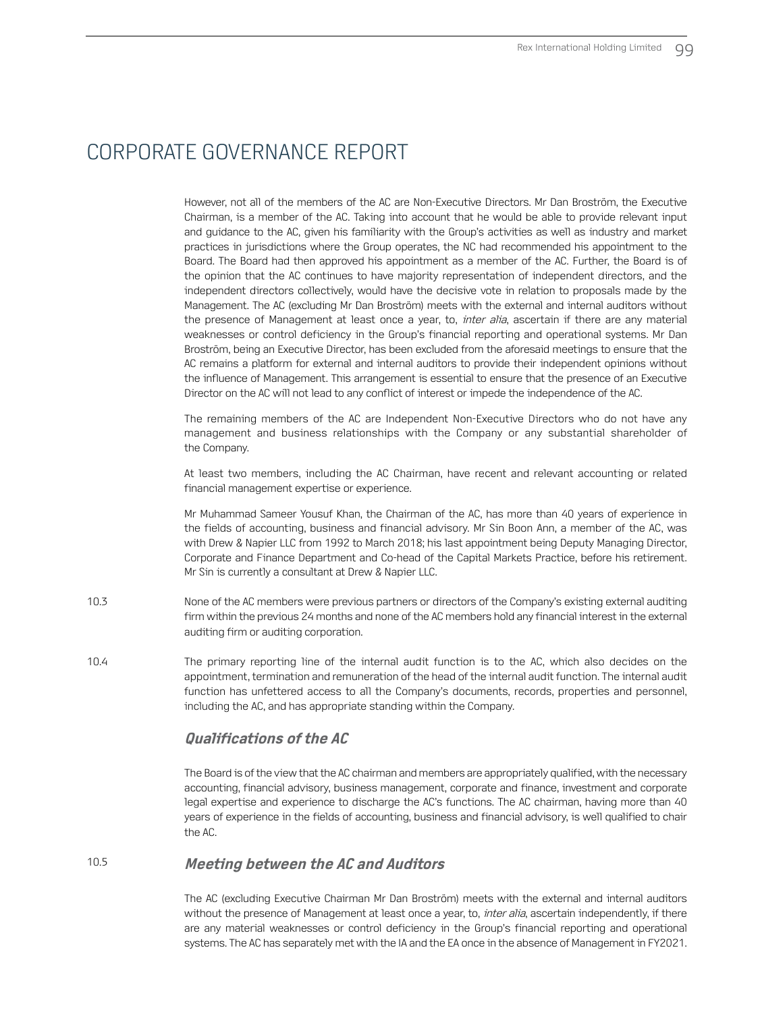However, not all of the members of the AC are Non-Executive Directors. Mr Dan Broström, the Executive Chairman, is a member of the AC. Taking into account that he would be able to provide relevant input and guidance to the AC, given his familiarity with the Group's activities as well as industry and market practices in jurisdictions where the Group operates, the NC had recommended his appointment to the Board. The Board had then approved his appointment as a member of the AC. Further, the Board is of the opinion that the AC continues to have majority representation of independent directors, and the independent directors collectively, would have the decisive vote in relation to proposals made by the Management. The AC (excluding Mr Dan Broström) meets with the external and internal auditors without the presence of Management at least once a year, to, *inter alia*, ascertain if there are any material weaknesses or control deficiency in the Group's financial reporting and operational systems. Mr Dan Broström, being an Executive Director, has been excluded from the aforesaid meetings to ensure that the AC remains a platform for external and internal auditors to provide their independent opinions without the influence of Management. This arrangement is essential to ensure that the presence of an Executive Director on the AC will not lead to any conflict of interest or impede the independence of the AC.

The remaining members of the AC are Independent Non-Executive Directors who do not have any management and business relationships with the Company or any substantial shareholder of the Company.

At least two members, including the AC Chairman, have recent and relevant accounting or related financial management expertise or experience.

Mr Muhammad Sameer Yousuf Khan, the Chairman of the AC, has more than 40 years of experience in the fields of accounting, business and financial advisory. Mr Sin Boon Ann, a member of the AC, was with Drew & Napier LLC from 1992 to March 2018; his last appointment being Deputy Managing Director, Corporate and Finance Department and Co-head of the Capital Markets Practice, before his retirement. Mr Sin is currently a consultant at Drew & Napier LLC.

- 10.3 None of the AC members were previous partners or directors of the Company's existing external auditing firm within the previous 24 months and none of the AC members hold any financial interest in the external auditing firm or auditing corporation.
- 10.4 The primary reporting line of the internal audit function is to the AC, which also decides on the appointment, termination and remuneration of the head of the internal audit function. The internal audit function has unfettered access to all the Company's documents, records, properties and personnel, including the AC, and has appropriate standing within the Company.

### **Qualifications of the AC**

The Board is of the view that the AC chairman and members are appropriately qualified, with the necessary accounting, financial advisory, business management, corporate and finance, investment and corporate legal expertise and experience to discharge the AC's functions. The AC chairman, having more than 40 years of experience in the fields of accounting, business and financial advisory, is well qualified to chair the AC.

### 10.5 **Meeting between the AC and Auditors**

The AC (excluding Executive Chairman Mr Dan Broström) meets with the external and internal auditors without the presence of Management at least once a year, to, *inter alia*, ascertain independently, if there are any material weaknesses or control deficiency in the Group's financial reporting and operational systems. The AC has separately met with the IA and the EA once in the absence of Management in FY2021.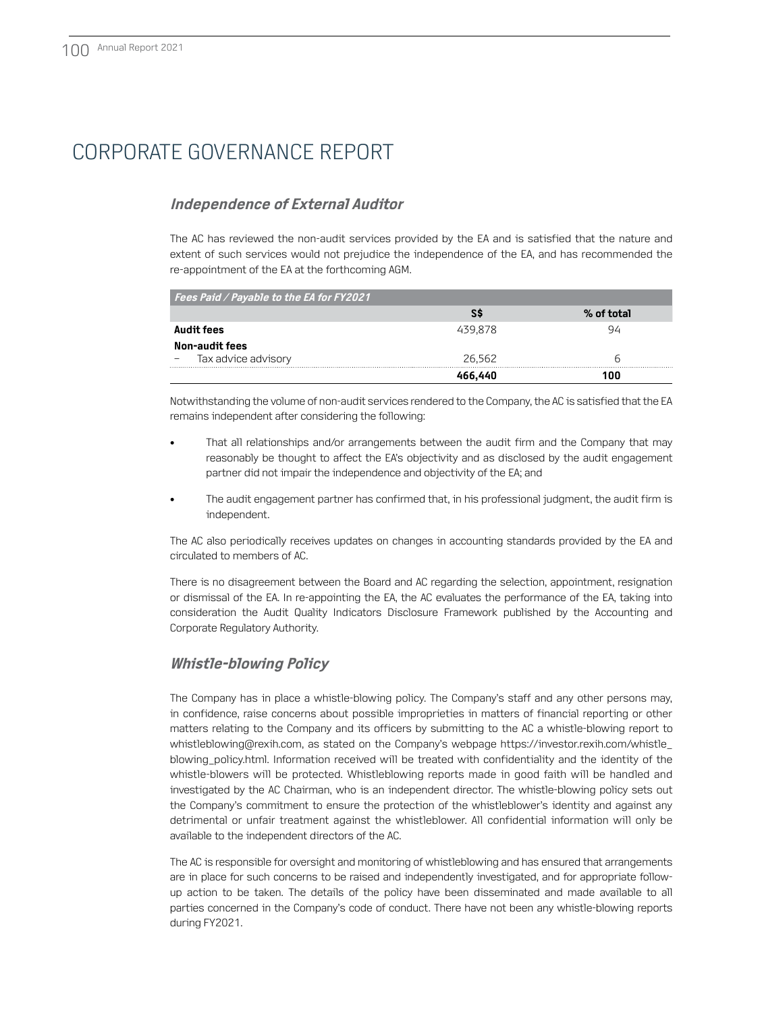### **Independence of External Auditor**

The AC has reviewed the non-audit services provided by the EA and is satisfied that the nature and extent of such services would not prejudice the independence of the EA, and has recommended the re-appointment of the EA at the forthcoming AGM.

| Fees Paid / Payable to the EA for FY2021 |         |            |
|------------------------------------------|---------|------------|
|                                          |         | % of total |
| Audit fees                               | 439878  | 94         |
| Non-audit fees                           |         |            |
| Tax advice advisory                      | 26.562  |            |
|                                          | 466.440 |            |

Notwithstanding the volume of non-audit services rendered to the Company, the AC is satisfied that the EA remains independent after considering the following:

- That all relationships and/or arrangements between the audit firm and the Company that may reasonably be thought to affect the EA's objectivity and as disclosed by the audit engagement partner did not impair the independence and objectivity of the EA; and
- The audit engagement partner has confirmed that, in his professional judgment, the audit firm is independent.

The AC also periodically receives updates on changes in accounting standards provided by the EA and circulated to members of AC.

There is no disagreement between the Board and AC regarding the selection, appointment, resignation or dismissal of the EA. In re-appointing the EA, the AC evaluates the performance of the EA, taking into consideration the Audit Quality Indicators Disclosure Framework published by the Accounting and Corporate Regulatory Authority.

### **Whistle‑blowing Policy**

The Company has in place a whistle-blowing policy. The Company's staff and any other persons may, in confidence, raise concerns about possible improprieties in matters of financial reporting or other matters relating to the Company and its officers by submitting to the AC a whistle-blowing report to whistleblowing@rexih.com, as stated on the Company's webpage https://investor.rexih.com/whistle\_ blowing\_policy.html. Information received will be treated with confidentiality and the identity of the whistle-blowers will be protected. Whistleblowing reports made in good faith will be handled and investigated by the AC Chairman, who is an independent director. The whistle-blowing policy sets out the Company's commitment to ensure the protection of the whistleblower's identity and against any detrimental or unfair treatment against the whistleblower. All confidential information will only be available to the independent directors of the AC.

The AC is responsible for oversight and monitoring of whistleblowing and has ensured that arrangements are in place for such concerns to be raised and independently investigated, and for appropriate followup action to be taken. The details of the policy have been disseminated and made available to all parties concerned in the Company's code of conduct. There have not been any whistle-blowing reports during FY2021.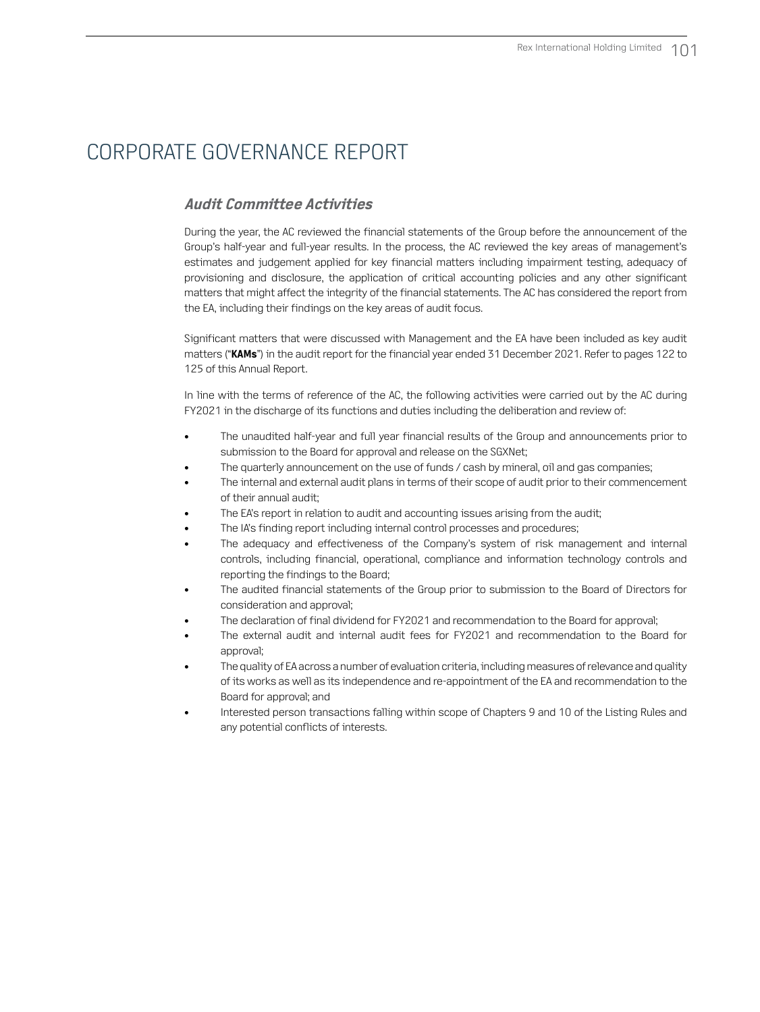### **Audit Committee Activities**

During the year, the AC reviewed the financial statements of the Group before the announcement of the Group's half-year and full-year results. In the process, the AC reviewed the key areas of management's estimates and judgement applied for key financial matters including impairment testing, adequacy of provisioning and disclosure, the application of critical accounting policies and any other significant matters that might affect the integrity of the financial statements. The AC has considered the report from the EA, including their findings on the key areas of audit focus.

Significant matters that were discussed with Management and the EA have been included as key audit matters ("**KAMs**") in the audit report for the financial year ended 31 December 2021. Refer to pages 122 to 125 of this Annual Report.

In line with the terms of reference of the AC, the following activities were carried out by the AC during FY2021 in the discharge of its functions and duties including the deliberation and review of:

- The unaudited half-year and full year financial results of the Group and announcements prior to submission to the Board for approval and release on the SGXNet;
- The quarterly announcement on the use of funds / cash by mineral, oil and gas companies;
- The internal and external audit plans in terms of their scope of audit prior to their commencement of their annual audit;
- The EA's report in relation to audit and accounting issues arising from the audit;
- The IA's finding report including internal control processes and procedures;
- The adequacy and effectiveness of the Company's system of risk management and internal controls, including financial, operational, compliance and information technology controls and reporting the findings to the Board;
- The audited financial statements of the Group prior to submission to the Board of Directors for consideration and approval;
- The declaration of final dividend for FY2021 and recommendation to the Board for approval;
- The external audit and internal audit fees for FY2021 and recommendation to the Board for approval;
- The quality of EA across a number of evaluation criteria, including measures of relevance and quality of its works as well as its independence and re-appointment of the EA and recommendation to the Board for approval; and
- Interested person transactions falling within scope of Chapters 9 and 10 of the Listing Rules and any potential conflicts of interests.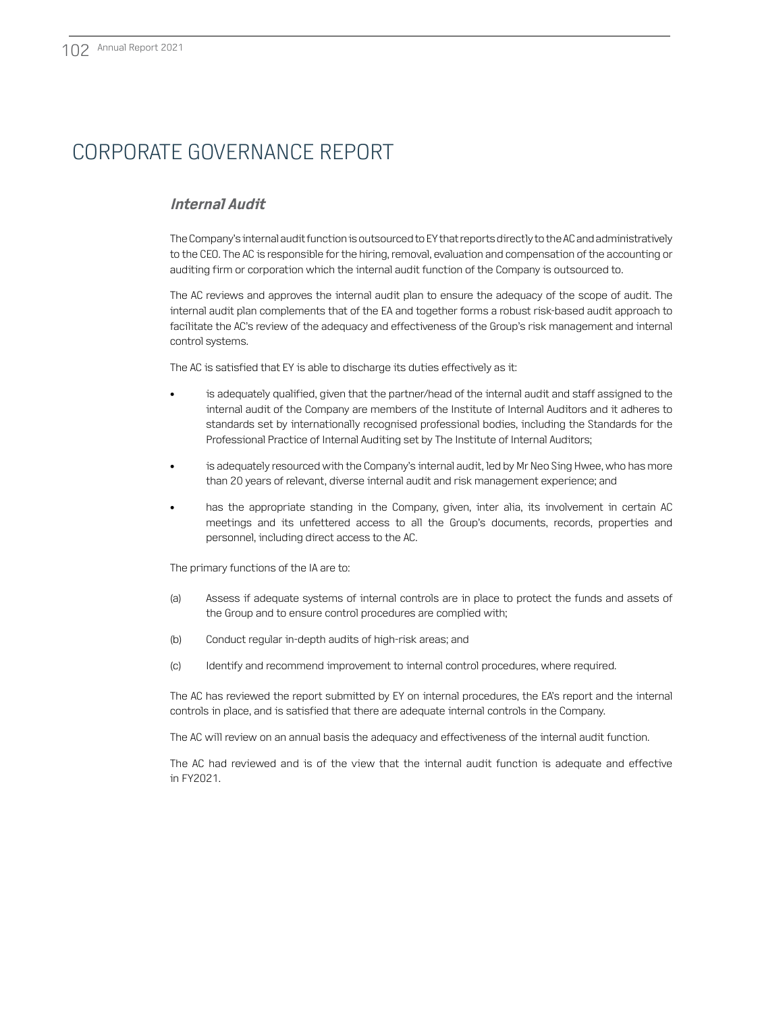### **Internal Audit**

The Company's internal audit function is outsourced to EY that reports directly to the AC and administratively to the CEO. The AC is responsible for the hiring, removal, evaluation and compensation of the accounting or auditing firm or corporation which the internal audit function of the Company is outsourced to.

The AC reviews and approves the internal audit plan to ensure the adequacy of the scope of audit. The internal audit plan complements that of the EA and together forms a robust risk-based audit approach to facilitate the AC's review of the adequacy and effectiveness of the Group's risk management and internal control systems.

The AC is satisfied that EY is able to discharge its duties effectively as it:

- is adequately qualified, given that the partner/head of the internal audit and staff assigned to the internal audit of the Company are members of the Institute of Internal Auditors and it adheres to standards set by internationally recognised professional bodies, including the Standards for the Professional Practice of Internal Auditing set by The Institute of Internal Auditors;
- is adequately resourced with the Company's internal audit, led by Mr Neo Sing Hwee, who has more than 20 years of relevant, diverse internal audit and risk management experience; and
- has the appropriate standing in the Company, given, inter alia, its involvement in certain AC meetings and its unfettered access to all the Group's documents, records, properties and personnel, including direct access to the AC.

The primary functions of the IA are to:

- (a) Assess if adequate systems of internal controls are in place to protect the funds and assets of the Group and to ensure control procedures are complied with;
- (b) Conduct regular in-depth audits of high-risk areas; and
- (c) Identify and recommend improvement to internal control procedures, where required.

The AC has reviewed the report submitted by EY on internal procedures, the EA's report and the internal controls in place, and is satisfied that there are adequate internal controls in the Company.

The AC will review on an annual basis the adequacy and effectiveness of the internal audit function.

The AC had reviewed and is of the view that the internal audit function is adequate and effective in FY2021.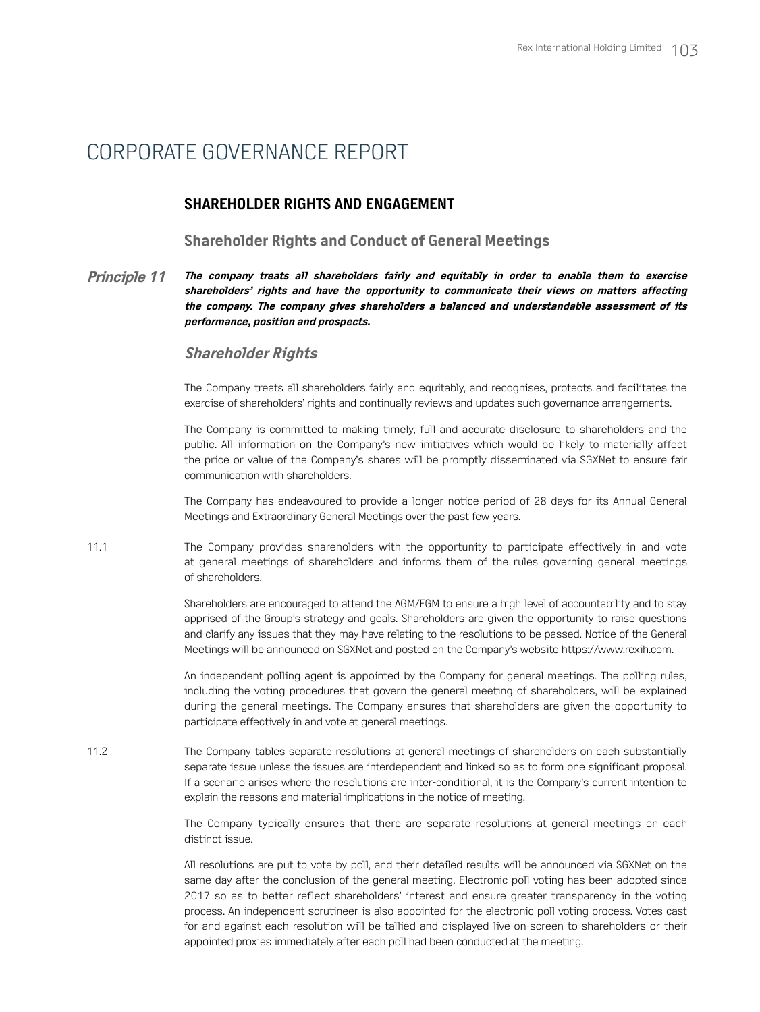### **SHAREHOLDER RIGHTS AND ENGAGEMENT**

#### **Shareholder Rights and Conduct of General Meetings**

**Principle 11 The company treats all shareholders fairly and equitably in order to enable them to exercise shareholders' rights and have the opportunity to communicate their views on matters affecting the company. The company gives shareholders a balanced and understandable assessment of its performance, position and prospects.** 

#### **Shareholder Rights**

The Company treats all shareholders fairly and equitably, and recognises, protects and facilitates the exercise of shareholders' rights and continually reviews and updates such governance arrangements.

The Company is committed to making timely, full and accurate disclosure to shareholders and the public. All information on the Company's new initiatives which would be likely to materially affect the price or value of the Company's shares will be promptly disseminated via SGXNet to ensure fair communication with shareholders.

The Company has endeavoured to provide a longer notice period of 28 days for its Annual General Meetings and Extraordinary General Meetings over the past few years.

11.1 The Company provides shareholders with the opportunity to participate effectively in and vote at general meetings of shareholders and informs them of the rules governing general meetings of shareholders.

> Shareholders are encouraged to attend the AGM/EGM to ensure a high level of accountability and to stay apprised of the Group's strategy and goals. Shareholders are given the opportunity to raise questions and clarify any issues that they may have relating to the resolutions to be passed. Notice of the General Meetings will be announced on SGXNet and posted on the Company's website https://www.rexih.com.

> An independent polling agent is appointed by the Company for general meetings. The polling rules, including the voting procedures that govern the general meeting of shareholders, will be explained during the general meetings. The Company ensures that shareholders are given the opportunity to participate effectively in and vote at general meetings.

11.2 The Company tables separate resolutions at general meetings of shareholders on each substantially separate issue unless the issues are interdependent and linked so as to form one significant proposal. If a scenario arises where the resolutions are inter-conditional, it is the Company's current intention to explain the reasons and material implications in the notice of meeting.

> The Company typically ensures that there are separate resolutions at general meetings on each distinct issue.

> All resolutions are put to vote by poll, and their detailed results will be announced via SGXNet on the same day after the conclusion of the general meeting. Electronic poll voting has been adopted since 2017 so as to better reflect shareholders' interest and ensure greater transparency in the voting process. An independent scrutineer is also appointed for the electronic poll voting process. Votes cast for and against each resolution will be tallied and displayed live-on-screen to shareholders or their appointed proxies immediately after each poll had been conducted at the meeting.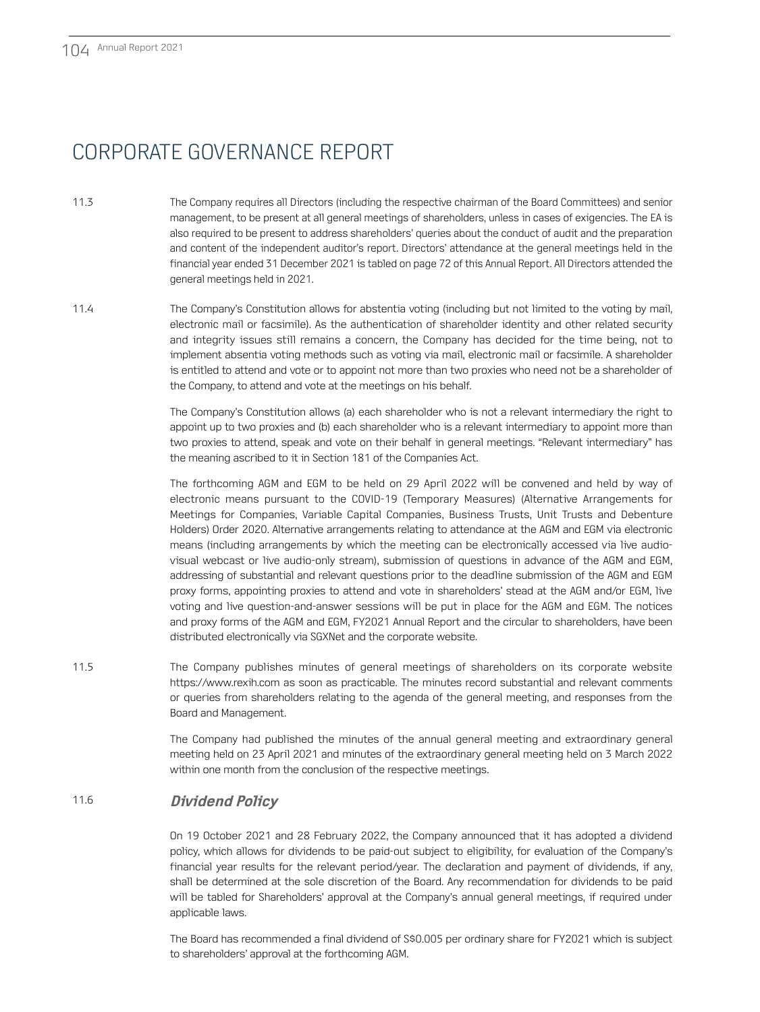- 11.3 The Company requires all Directors (including the respective chairman of the Board Committees) and senior management, to be present at all general meetings of shareholders, unless in cases of exigencies. The EA is also required to be present to address shareholders' queries about the conduct of audit and the preparation and content of the independent auditor's report. Directors' attendance at the general meetings held in the financial year ended 31 December 2021 is tabled on page 72 of this Annual Report. All Directors attended the general meetings held in 2021.
- 11.4 The Company's Constitution allows for abstentia voting (including but not limited to the voting by mail, electronic mail or facsimile). As the authentication of shareholder identity and other related security and integrity issues still remains a concern, the Company has decided for the time being, not to implement absentia voting methods such as voting via mail, electronic mail or facsimile. A shareholder is entitled to attend and vote or to appoint not more than two proxies who need not be a shareholder of the Company, to attend and vote at the meetings on his behalf.

The Company's Constitution allows (a) each shareholder who is not a relevant intermediary the right to appoint up to two proxies and (b) each shareholder who is a relevant intermediary to appoint more than two proxies to attend, speak and vote on their behalf in general meetings. "Relevant intermediary" has the meaning ascribed to it in Section 181 of the Companies Act.

The forthcoming AGM and EGM to be held on 29 April 2022 will be convened and held by way of electronic means pursuant to the COVID-19 (Temporary Measures) (Alternative Arrangements for Meetings for Companies, Variable Capital Companies, Business Trusts, Unit Trusts and Debenture Holders) Order 2020. Alternative arrangements relating to attendance at the AGM and EGM via electronic means (including arrangements by which the meeting can be electronically accessed via live audiovisual webcast or live audio-only stream), submission of questions in advance of the AGM and EGM, addressing of substantial and relevant questions prior to the deadline submission of the AGM and EGM proxy forms, appointing proxies to attend and vote in shareholders' stead at the AGM and/or EGM, live voting and live question-and-answer sessions will be put in place for the AGM and EGM. The notices and proxy forms of the AGM and EGM, FY2021 Annual Report and the circular to shareholders, have been distributed electronically via SGXNet and the corporate website.

11.5 The Company publishes minutes of general meetings of shareholders on its corporate website https://www.rexih.com as soon as practicable. The minutes record substantial and relevant comments or queries from shareholders relating to the agenda of the general meeting, and responses from the Board and Management.

> The Company had published the minutes of the annual general meeting and extraordinary general meeting held on 23 April 2021 and minutes of the extraordinary general meeting held on 3 March 2022 within one month from the conclusion of the respective meetings.

### 11.6 **Dividend Policy**

On 19 October 2021 and 28 February 2022, the Company announced that it has adopted a dividend policy, which allows for dividends to be paid-out subject to eligibility, for evaluation of the Company's financial year results for the relevant period/year. The declaration and payment of dividends, if any, shall be determined at the sole discretion of the Board. Any recommendation for dividends to be paid will be tabled for Shareholders' approval at the Company's annual general meetings, if required under applicable laws.

The Board has recommended a final dividend of S\$0.005 per ordinary share for FY2021 which is subject to shareholders' approval at the forthcoming AGM.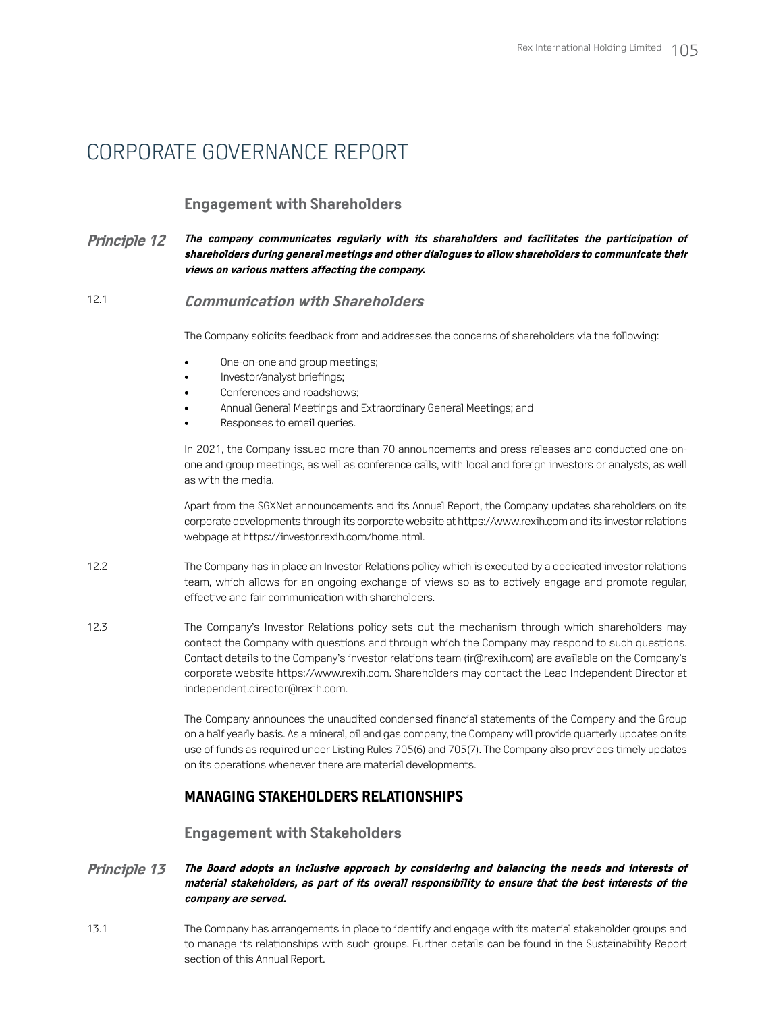### **Engagement with Shareholders**

#### **Principle 12 The company communicates regularly with its shareholders and facilitates the participation of shareholders during general meetings and other dialogues to allow shareholders to communicate their views on various matters affecting the company.**

### 12.1 **Communication with Shareholders**

The Company solicits feedback from and addresses the concerns of shareholders via the following:

- One-on-one and group meetings;
- Investor/analyst briefings;
- Conferences and roadshows;
- Annual General Meetings and Extraordinary General Meetings; and
- Responses to email queries.

In 2021, the Company issued more than 70 announcements and press releases and conducted one-onone and group meetings, as well as conference calls, with local and foreign investors or analysts, as well as with the media.

Apart from the SGXNet announcements and its Annual Report, the Company updates shareholders on its corporate developments through its corporate website at https://www.rexih.com and its investor relations webpage at https://investor.rexih.com/home.html.

- 12.2 The Company has in place an Investor Relations policy which is executed by a dedicated investor relations team, which allows for an ongoing exchange of views so as to actively engage and promote regular, effective and fair communication with shareholders.
- 12.3 The Company's Investor Relations policy sets out the mechanism through which shareholders may contact the Company with questions and through which the Company may respond to such questions. Contact details to the Company's investor relations team (ir@rexih.com) are available on the Company's corporate website https://www.rexih.com. Shareholders may contact the Lead Independent Director at independent.director@rexih.com.

The Company announces the unaudited condensed financial statements of the Company and the Group on a half yearly basis. As a mineral, oil and gas company, the Company will provide quarterly updates on its use of funds as required under Listing Rules 705(6) and 705(7). The Company also provides timely updates on its operations whenever there are material developments.

### **MANAGING STAKEHOLDERS RELATIONSHIPS**

### **Engagement with Stakeholders**

#### **Principle 13 The Board adopts an inclusive approach by considering and balancing the needs and interests of material stakeholders, as part of its overall responsibility to ensure that the best interests of the company are served.**

13.1 The Company has arrangements in place to identify and engage with its material stakeholder groups and to manage its relationships with such groups. Further details can be found in the Sustainability Report section of this Annual Report.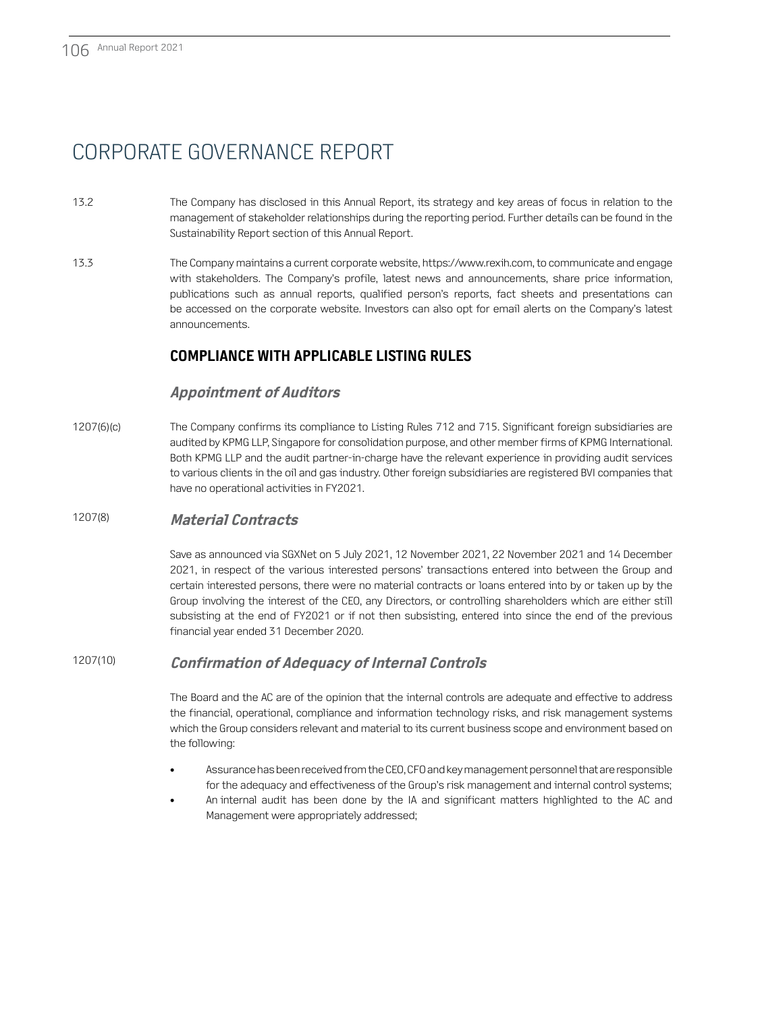- 13.2 The Company has disclosed in this Annual Report, its strategy and key areas of focus in relation to the management of stakeholder relationships during the reporting period. Further details can be found in the Sustainability Report section of this Annual Report.
- 13.3 The Company maintains a current corporate website, https://www.rexih.com, to communicate and engage with stakeholders. The Company's profile, latest news and announcements, share price information, publications such as annual reports, qualified person's reports, fact sheets and presentations can be accessed on the corporate website. Investors can also opt for email alerts on the Company's latest announcements.

### **COMPLIANCE WITH APPLICABLE LISTING RULES**

### **Appointment of Auditors**

1207(6)(c) The Company confirms its compliance to Listing Rules 712 and 715. Significant foreign subsidiaries are audited by KPMG LLP, Singapore for consolidation purpose, and other member firms of KPMG International. Both KPMG LLP and the audit partner-in-charge have the relevant experience in providing audit services to various clients in the oil and gas industry. Other foreign subsidiaries are registered BVI companies that have no operational activities in FY2021.

### 1207(8) **Material Contracts**

Save as announced via SGXNet on 5 July 2021, 12 November 2021, 22 November 2021 and 14 December 2021, in respect of the various interested persons' transactions entered into between the Group and certain interested persons, there were no material contracts or loans entered into by or taken up by the Group involving the interest of the CEO, any Directors, or controlling shareholders which are either still subsisting at the end of FY2021 or if not then subsisting, entered into since the end of the previous financial year ended 31 December 2020.

### 1207(10) **Confirmation of Adequacy of Internal Controls**

The Board and the AC are of the opinion that the internal controls are adequate and effective to address the financial, operational, compliance and information technology risks, and risk management systems which the Group considers relevant and material to its current business scope and environment based on the following:

- Assurance has been received from the CEO, CFO and key management personnel that are responsible for the adequacy and effectiveness of the Group's risk management and internal control systems; • An internal audit has been done by the IA and significant matters highlighted to the AC and
- Management were appropriately addressed;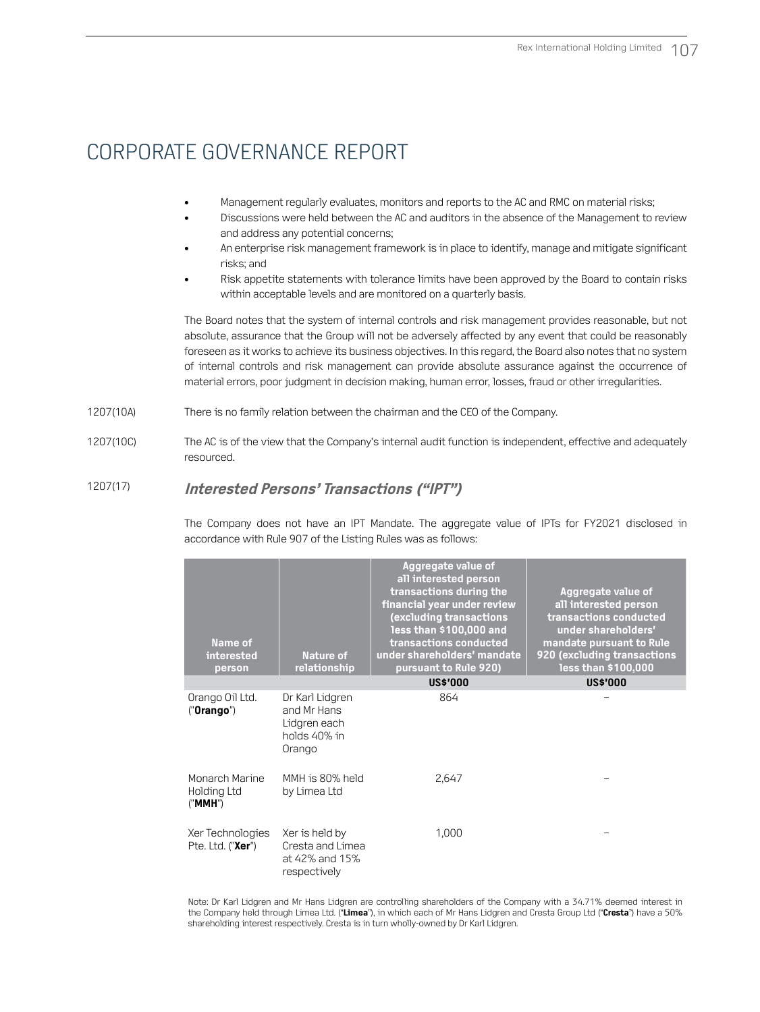- Management regularly evaluates, monitors and reports to the AC and RMC on material risks;
- Discussions were held between the AC and auditors in the absence of the Management to review and address any potential concerns;
- An enterprise risk management framework is in place to identify, manage and mitigate significant risks; and
- Risk appetite statements with tolerance limits have been approved by the Board to contain risks within acceptable levels and are monitored on a quarterly basis.

The Board notes that the system of internal controls and risk management provides reasonable, but not absolute, assurance that the Group will not be adversely affected by any event that could be reasonably foreseen as it works to achieve its business objectives. In this regard, the Board also notes that no system of internal controls and risk management can provide absolute assurance against the occurrence of material errors, poor judgment in decision making, human error, losses, fraud or other irregularities.

1207(10A) There is no family relation between the chairman and the CEO of the Company.

1207(10C) The AC is of the view that the Company's internal audit function is independent, effective and adequately resourced.

### 1207(17) **Interested Persons' Transactions ("IPT")**

The Company does not have an IPT Mandate. The aggregate value of IPTs for FY2021 disclosed in accordance with Rule 907 of the Listing Rules was as follows:

| Name of<br>interested<br>person          | Nature of<br>relationship                                                | Aggregate value of<br>all interested person<br>transactions during the<br>financial year under review<br>(excluding transactions<br>less than \$100,000 and<br>transactions conducted<br>under shareholders' mandate<br>pursuant to Rule 920) | Aggregate value of<br>all interested person<br>transactions conducted<br>under shareholders'<br>mandate pursuant to Rule<br>920 (excluding transactions<br>less than \$100,000 |
|------------------------------------------|--------------------------------------------------------------------------|-----------------------------------------------------------------------------------------------------------------------------------------------------------------------------------------------------------------------------------------------|--------------------------------------------------------------------------------------------------------------------------------------------------------------------------------|
|                                          |                                                                          | <b>US\$'000</b>                                                                                                                                                                                                                               | <b>US\$'000</b>                                                                                                                                                                |
| Orango Oil Ltd.<br>("Orango")            | Dr Karl Lidgren<br>and Mr Hans<br>Lidgren each<br>holds 40% in<br>Orango | 864                                                                                                                                                                                                                                           |                                                                                                                                                                                |
| Monarch Marine<br>Holding Ltd<br>("MMH") | MMH is 80% held<br>by Limea Ltd                                          | 2,647                                                                                                                                                                                                                                         |                                                                                                                                                                                |
| Xer Technologies<br>Pte. Ltd. ("Xer")    | Xer is held by<br>Cresta and Limea<br>at 42% and 15%<br>respectively     | 1,000                                                                                                                                                                                                                                         |                                                                                                                                                                                |

Note: Dr Karl Lidgren and Mr Hans Lidgren are controlling shareholders of the Company with a 34.71% deemed interest in the Company held through Limea Ltd. ("**Limea**"), in which each of Mr Hans Lidgren and Cresta Group Ltd ("**Cresta**") have a 50% shareholding interest respectively. Cresta is in turn wholly-owned by Dr Karl Lidgren.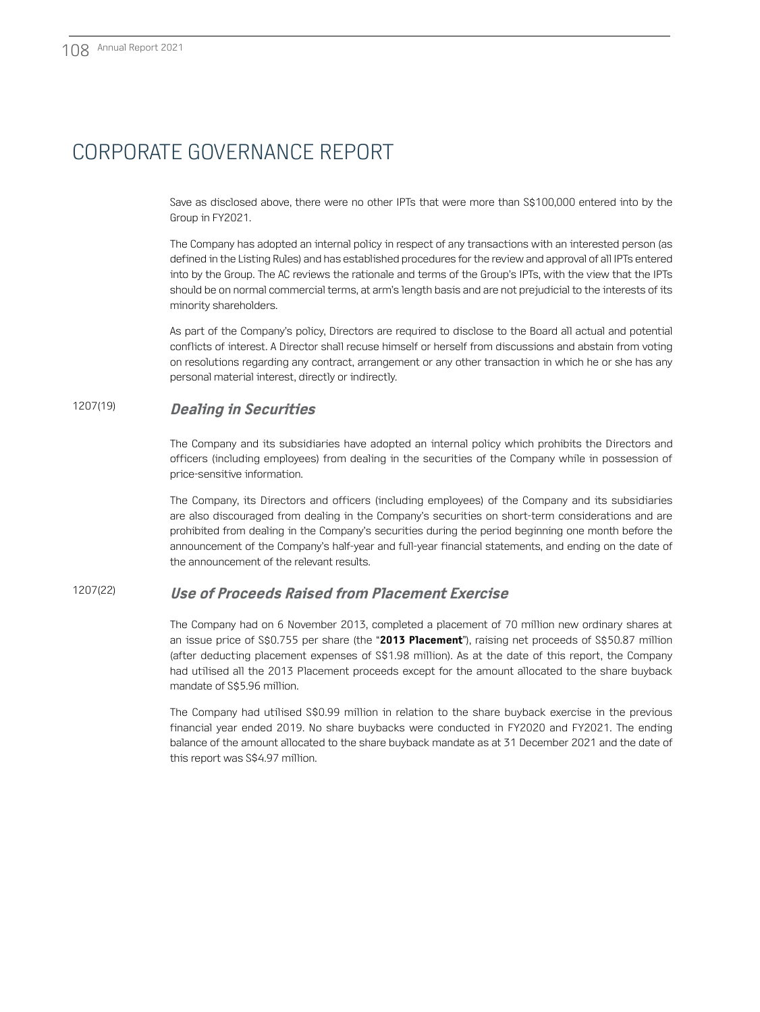Save as disclosed above, there were no other IPTs that were more than S\$100,000 entered into by the Group in FY2021.

The Company has adopted an internal policy in respect of any transactions with an interested person (as defined in the Listing Rules) and has established procedures for the review and approval of all IPTs entered into by the Group. The AC reviews the rationale and terms of the Group's IPTs, with the view that the IPTs should be on normal commercial terms, at arm's length basis and are not prejudicial to the interests of its minority shareholders.

As part of the Company's policy, Directors are required to disclose to the Board all actual and potential conflicts of interest. A Director shall recuse himself or herself from discussions and abstain from voting on resolutions regarding any contract, arrangement or any other transaction in which he or she has any personal material interest, directly or indirectly.

### 1207(19) **Dealing in Securities**

The Company and its subsidiaries have adopted an internal policy which prohibits the Directors and officers (including employees) from dealing in the securities of the Company while in possession of price-sensitive information.

The Company, its Directors and officers (including employees) of the Company and its subsidiaries are also discouraged from dealing in the Company's securities on short-term considerations and are prohibited from dealing in the Company's securities during the period beginning one month before the announcement of the Company's half-year and full-year financial statements, and ending on the date of the announcement of the relevant results.

### 1207(22) **Use of Proceeds Raised from Placement Exercise**

The Company had on 6 November 2013, completed a placement of 70 million new ordinary shares at an issue price of S\$0.755 per share (the "**2013 Placement**"), raising net proceeds of S\$50.87 million (after deducting placement expenses of S\$1.98 million). As at the date of this report, the Company had utilised all the 2013 Placement proceeds except for the amount allocated to the share buyback mandate of S\$5.96 million.

The Company had utilised S\$0.99 million in relation to the share buyback exercise in the previous financial year ended 2019. No share buybacks were conducted in FY2020 and FY2021. The ending balance of the amount allocated to the share buyback mandate as at 31 December 2021 and the date of this report was S\$4.97 million.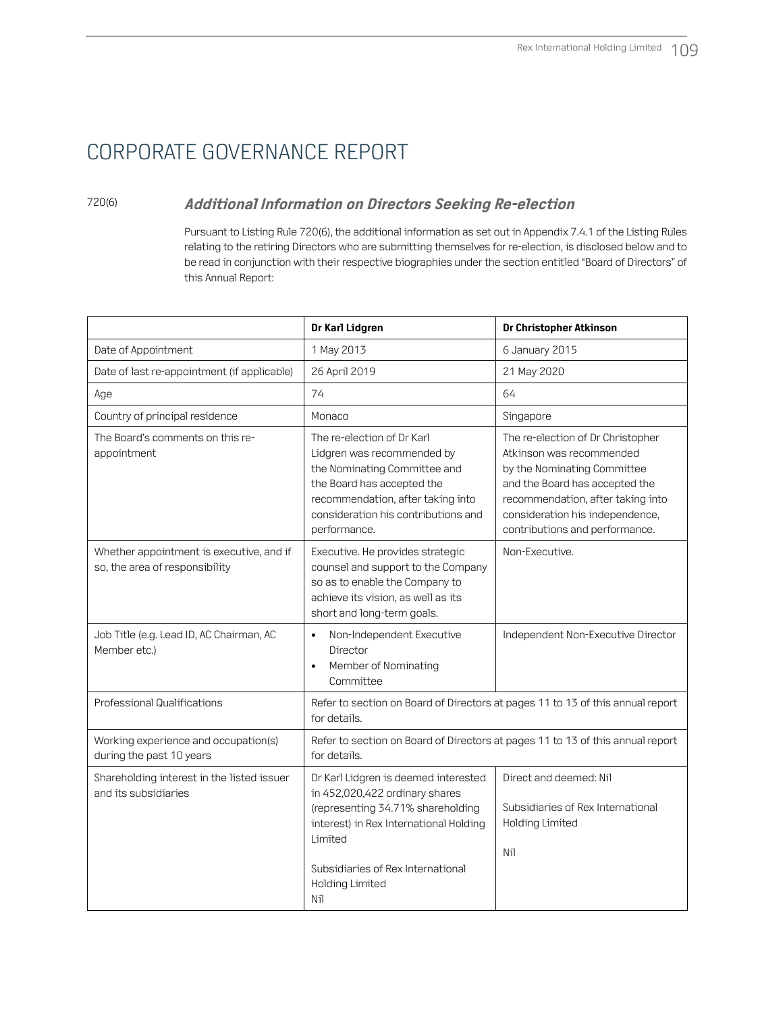### 720(6) **Additional Information on Directors Seeking Re-election**

Pursuant to Listing Rule 720(6), the additional information as set out in Appendix 7.4.1 of the Listing Rules relating to the retiring Directors who are submitting themselves for re-election, is disclosed below and to be read in conjunction with their respective biographies under the section entitled "Board of Directors" of this Annual Report:

|                                                                            | Dr Karl Lidgren                                                                                                                                                                                                                        | Dr Christopher Atkinson                                                                                                                                                                                                                  |
|----------------------------------------------------------------------------|----------------------------------------------------------------------------------------------------------------------------------------------------------------------------------------------------------------------------------------|------------------------------------------------------------------------------------------------------------------------------------------------------------------------------------------------------------------------------------------|
| Date of Appointment                                                        | 1 May 2013                                                                                                                                                                                                                             | 6 January 2015                                                                                                                                                                                                                           |
| Date of last re-appointment (if applicable)                                | 26 April 2019                                                                                                                                                                                                                          | 21 May 2020                                                                                                                                                                                                                              |
| Age                                                                        | 74                                                                                                                                                                                                                                     | 64                                                                                                                                                                                                                                       |
| Country of principal residence                                             | Monaco                                                                                                                                                                                                                                 | Singapore                                                                                                                                                                                                                                |
| The Board's comments on this re-<br>appointment                            | The re-election of Dr Karl<br>Lidgren was recommended by<br>the Nominating Committee and<br>the Board has accepted the<br>recommendation, after taking into<br>consideration his contributions and<br>performance.                     | The re-election of Dr Christopher<br>Atkinson was recommended<br>by the Nominating Committee<br>and the Board has accepted the<br>recommendation, after taking into<br>consideration his independence,<br>contributions and performance. |
| Whether appointment is executive, and if<br>so, the area of responsibility | Executive. He provides strategic<br>counsel and support to the Company<br>so as to enable the Company to<br>achieve its vision, as well as its<br>short and long-term goals.                                                           | Non-Executive.                                                                                                                                                                                                                           |
| Job Title (e.g. Lead ID, AC Chairman, AC<br>Member etc.)                   | Non-Independent Executive<br>$\bullet$<br>Director<br>Member of Nominating<br>$\bullet$<br>Committee                                                                                                                                   | Independent Non-Executive Director                                                                                                                                                                                                       |
| Professional Qualifications                                                | for details.                                                                                                                                                                                                                           | Refer to section on Board of Directors at pages 11 to 13 of this annual report                                                                                                                                                           |
| Working experience and occupation(s)<br>during the past 10 years           | for details.                                                                                                                                                                                                                           | Refer to section on Board of Directors at pages 11 to 13 of this annual report                                                                                                                                                           |
| Shareholding interest in the listed issuer<br>and its subsidiaries         | Dr Karl Lidgren is deemed interested<br>in 452,020,422 ordinary shares<br>(representing 34.71% shareholding<br>interest) in Rex International Holding<br>Limited<br>Subsidiaries of Rex International<br><b>Holding Limited</b><br>Nil | Direct and deemed: Nil<br>Subsidiaries of Rex International<br><b>Holding Limited</b><br>Nil                                                                                                                                             |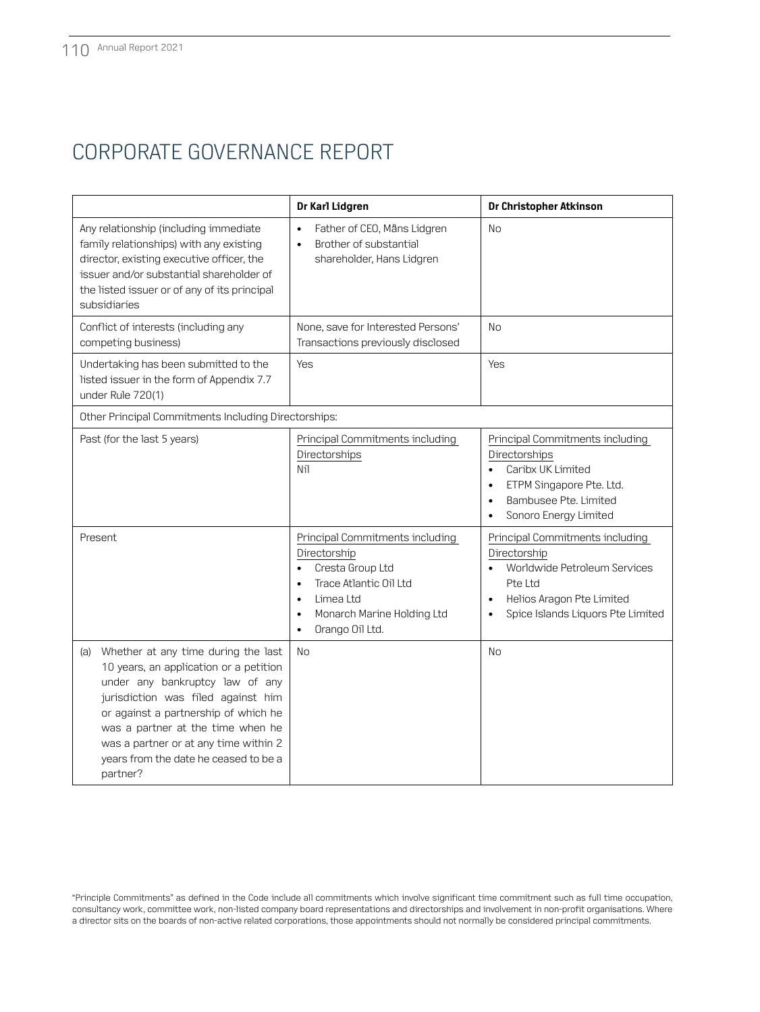|                                                                                                                                                                                                                                                                                                                                          | Dr Karl Lidgren                                                                                                                                                                                                              | Dr Christopher Atkinson                                                                                                                                                                                 |
|------------------------------------------------------------------------------------------------------------------------------------------------------------------------------------------------------------------------------------------------------------------------------------------------------------------------------------------|------------------------------------------------------------------------------------------------------------------------------------------------------------------------------------------------------------------------------|---------------------------------------------------------------------------------------------------------------------------------------------------------------------------------------------------------|
| Any relationship (including immediate<br>family relationships) with any existing<br>director, existing executive officer, the<br>issuer and/or substantial shareholder of<br>the listed issuer or of any of its principal<br>subsidiaries                                                                                                | Father of CEO, Måns Lidgren<br>$\bullet$<br>Brother of substantial<br>$\bullet$<br>shareholder, Hans Lidgren                                                                                                                 | <b>No</b>                                                                                                                                                                                               |
| Conflict of interests (including any<br>competing business)                                                                                                                                                                                                                                                                              | None, save for Interested Persons'<br>Transactions previously disclosed                                                                                                                                                      | <b>No</b>                                                                                                                                                                                               |
| Undertaking has been submitted to the<br>listed issuer in the form of Appendix 7.7<br>under Rule 720(1)                                                                                                                                                                                                                                  | Yes                                                                                                                                                                                                                          | Yes                                                                                                                                                                                                     |
| Other Principal Commitments Including Directorships:                                                                                                                                                                                                                                                                                     |                                                                                                                                                                                                                              |                                                                                                                                                                                                         |
| Past (for the last 5 years)                                                                                                                                                                                                                                                                                                              | Principal Commitments including<br>Directorships<br>Nil                                                                                                                                                                      | Principal Commitments including<br>Directorships<br>Caribx UK Limited<br>$\bullet$<br>ETPM Singapore Pte. Ltd.<br>$\bullet$<br>Bambusee Pte. Limited<br>$\bullet$<br>Sonoro Energy Limited<br>$\bullet$ |
| Present                                                                                                                                                                                                                                                                                                                                  | Principal Commitments including<br>Directorship<br>Cresta Group Ltd<br>$\bullet$<br>Trace Atlantic Oil Ltd<br>$\bullet$<br>Limea Ltd<br>$\bullet$<br>Monarch Marine Holding Ltd<br>$\bullet$<br>Orango Oil Ltd.<br>$\bullet$ | Principal Commitments including<br>Directorship<br>Worldwide Petroleum Services<br>$\bullet$<br>Pte Ltd<br>Helios Aragon Pte Limited<br>$\bullet$<br>Spice Islands Liquors Pte Limited<br>$\bullet$     |
| Whether at any time during the last<br>(a)<br>10 years, an application or a petition<br>under any bankruptcy law of any<br>jurisdiction was filed against him<br>or against a partnership of which he<br>was a partner at the time when he<br>was a partner or at any time within 2<br>years from the date he ceased to be a<br>partner? | <b>No</b>                                                                                                                                                                                                                    | <b>No</b>                                                                                                                                                                                               |

"Principle Commitments" as defined in the Code include all commitments which involve significant time commitment such as full time occupation, consultancy work, committee work, non-listed company board representations and directorships and involvement in non-profit organisations. Where a director sits on the boards of non-active related corporations, those appointments should not normally be considered principal commitments.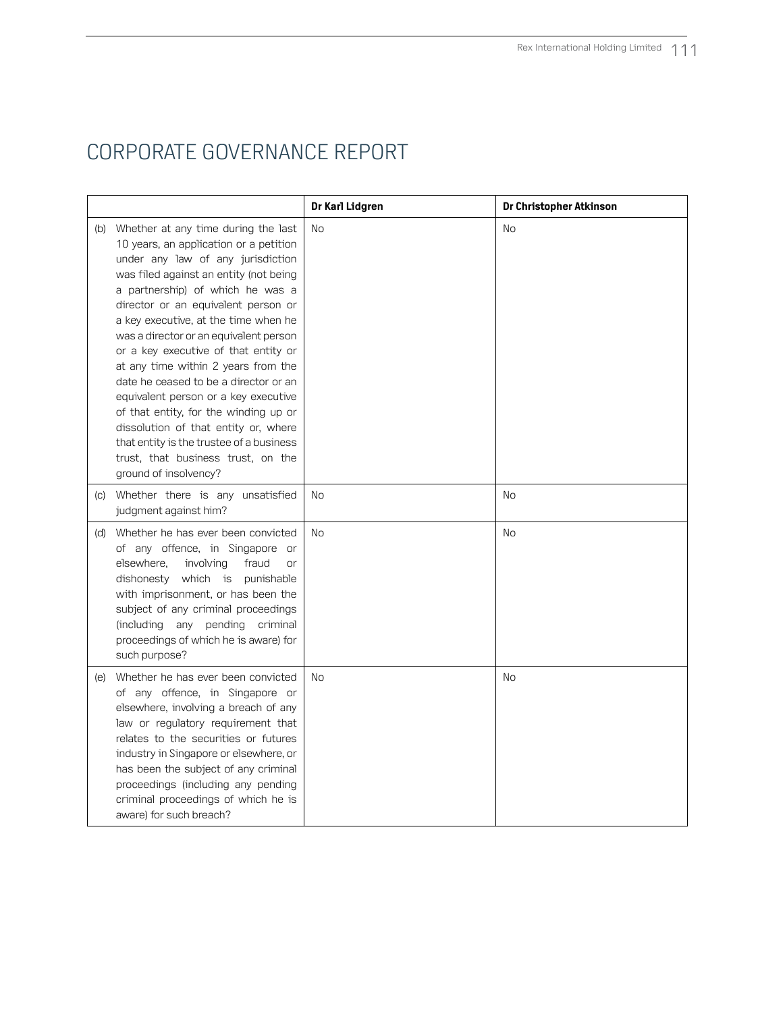|                                                                                                                                                                                                                                                                                                                                                                                                                                                                                                                                                                                                                                                                                           | Dr Karl Lidgren | Dr Christopher Atkinson |
|-------------------------------------------------------------------------------------------------------------------------------------------------------------------------------------------------------------------------------------------------------------------------------------------------------------------------------------------------------------------------------------------------------------------------------------------------------------------------------------------------------------------------------------------------------------------------------------------------------------------------------------------------------------------------------------------|-----------------|-------------------------|
| (b) Whether at any time during the last<br>10 years, an application or a petition<br>under any law of any jurisdiction<br>was filed against an entity (not being<br>a partnership) of which he was a<br>director or an equivalent person or<br>a key executive, at the time when he<br>was a director or an equivalent person<br>or a key executive of that entity or<br>at any time within 2 years from the<br>date he ceased to be a director or an<br>equivalent person or a key executive<br>of that entity, for the winding up or<br>dissolution of that entity or, where<br>that entity is the trustee of a business<br>trust, that business trust, on the<br>ground of insolvency? | No              | No                      |
| (c) Whether there is any unsatisfied<br>judgment against him?                                                                                                                                                                                                                                                                                                                                                                                                                                                                                                                                                                                                                             | No              | No                      |
| (d) Whether he has ever been convicted<br>of any offence, in Singapore or<br>elsewhere,<br>involving<br>fraud<br><b>or</b><br>dishonesty which is punishable<br>with imprisonment, or has been the<br>subject of any criminal proceedings<br>(including any pending criminal<br>proceedings of which he is aware) for<br>such purpose?                                                                                                                                                                                                                                                                                                                                                    | N <sub>O</sub>  | No                      |
| (e) Whether he has ever been convicted<br>of any offence, in Singapore or<br>elsewhere, involving a breach of any<br>law or regulatory requirement that<br>relates to the securities or futures<br>industry in Singapore or elsewhere, or<br>has been the subject of any criminal<br>proceedings (including any pending<br>criminal proceedings of which he is<br>aware) for such breach?                                                                                                                                                                                                                                                                                                 | <b>No</b>       | No                      |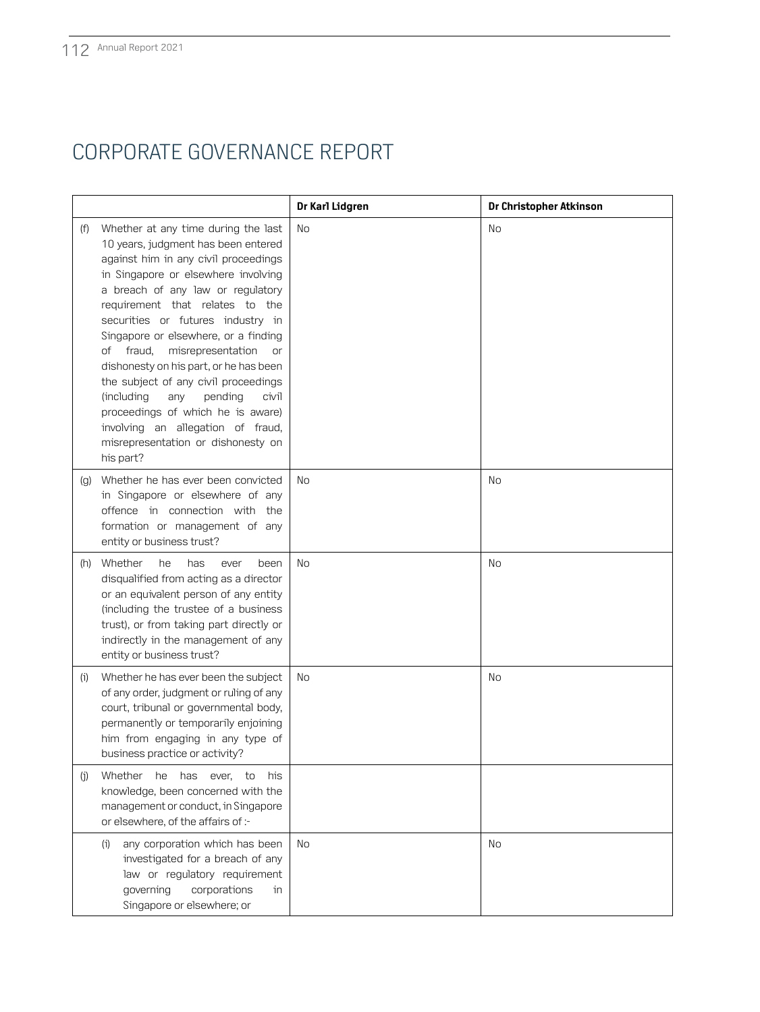|     |                                                                                                                                                                                                                                                                                                                                                                                                                                                                                                                                                                                                                   | Dr Karl Lidgren | Dr Christopher Atkinson |
|-----|-------------------------------------------------------------------------------------------------------------------------------------------------------------------------------------------------------------------------------------------------------------------------------------------------------------------------------------------------------------------------------------------------------------------------------------------------------------------------------------------------------------------------------------------------------------------------------------------------------------------|-----------------|-------------------------|
| (f) | Whether at any time during the last<br>10 years, judgment has been entered<br>against him in any civil proceedings<br>in Singapore or elsewhere involving<br>a breach of any law or regulatory<br>requirement that relates to the<br>securities or futures industry in<br>Singapore or elsewhere, or a finding<br>fraud,<br>misrepresentation<br>of<br>or<br>dishonesty on his part, or he has been<br>the subject of any civil proceedings<br>(including<br>any<br>pending<br>civil<br>proceedings of which he is aware)<br>involving an allegation of fraud,<br>misrepresentation or dishonesty on<br>his part? | No              | No                      |
| (q) | Whether he has ever been convicted<br>in Singapore or elsewhere of any<br>offence in connection with the<br>formation or management of any<br>entity or business trust?                                                                                                                                                                                                                                                                                                                                                                                                                                           | No              | No                      |
| (h) | Whether<br>he<br>has<br>ever<br>been<br>disqualified from acting as a director<br>or an equivalent person of any entity<br>(including the trustee of a business<br>trust), or from taking part directly or<br>indirectly in the management of any<br>entity or business trust?                                                                                                                                                                                                                                                                                                                                    | No              | No                      |
| (i) | Whether he has ever been the subject<br>of any order, judgment or ruling of any<br>court, tribunal or governmental body,<br>permanently or temporarily enjoining<br>him from engaging in any type of<br>business practice or activity?                                                                                                                                                                                                                                                                                                                                                                            | No              | No                      |
| (i) | Whether<br>he<br>has<br>ever,<br>to<br>his<br>knowledge, been concerned with the<br>management or conduct, in Singapore<br>or elsewhere, of the affairs of :-                                                                                                                                                                                                                                                                                                                                                                                                                                                     |                 |                         |
|     | any corporation which has been<br>(i)<br>investigated for a breach of any<br>law or regulatory requirement<br>governing<br>corporations<br>in<br>Singapore or elsewhere; or                                                                                                                                                                                                                                                                                                                                                                                                                                       | No              | No                      |